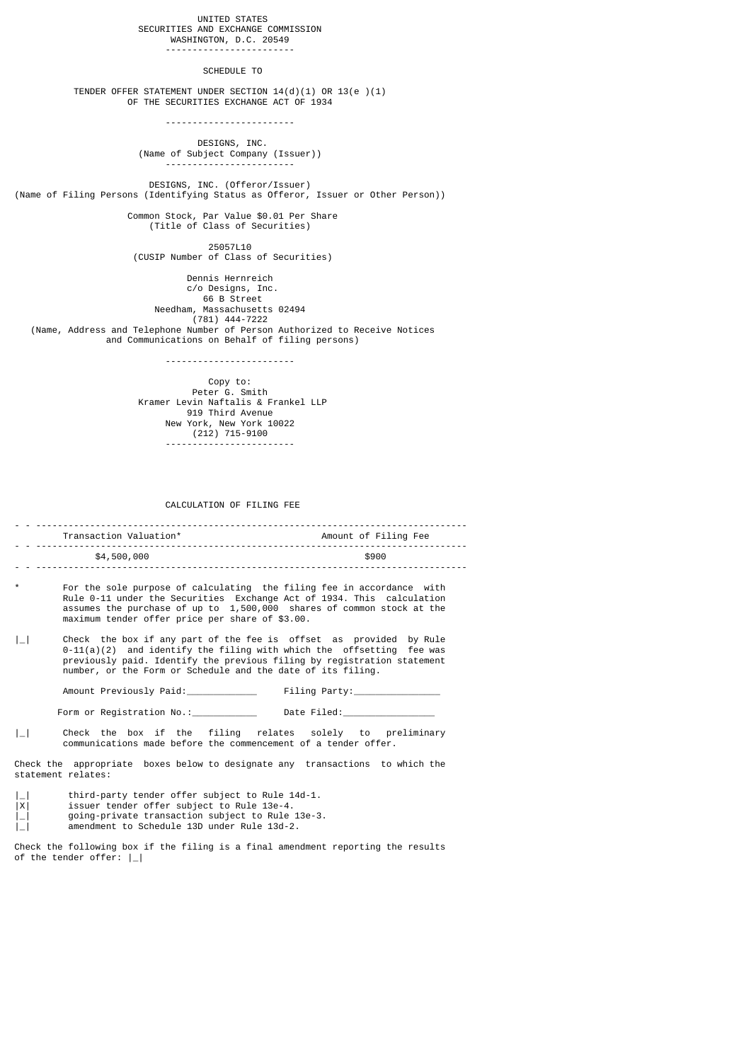### UNITED STATES SECURITIES AND EXCHANGE COMMISSION WASHINGTON, D.C. 20549

### SCHEDULE TO

------------------------

 TENDER OFFER STATEMENT UNDER SECTION 14(d)(1) OR 13(e )(1) OF THE SECURITIES EXCHANGE ACT OF 1934

------------------------

 DESIGNS, INC. (Name of Subject Company (Issuer)) ------------------------

 DESIGNS, INC. (Offeror/Issuer) (Name of Filing Persons (Identifying Status as Offeror, Issuer or Other Person))

 Common Stock, Par Value \$0.01 Per Share (Title of Class of Securities)

> 25057L10 (CUSIP Number of Class of Securities)

 Dennis Hernreich c/o Designs, Inc. 66 B Street Needham, Massachusetts 02494 (781) 444-7222 (Name, Address and Telephone Number of Person Authorized to Receive Notices and Communications on Behalf of filing persons)

------------------------

 Copy to: Peter<sup>6</sup>. Smith Kramer Levin Naftalis & Frankel LLP 919 Third Avenue New York, New York 10022 (212) 715-9100 ------------------------

#### CALCULATION OF FILING FEE

- - -------------------------------------------------------------------------------- Amount of Filing Fee - - -------------------------------------------------------------------------------- \$4,500,000 - - --------------------------------------------------------------------------------

- For the sole purpose of calculating the filing fee in accordance with Rule 0-11 under the Securities Exchange Act of 1934. This calculation assumes the purchase of up to 1,500,000 shares of common stock at the maximum tender offer price per share of \$3.00.
- |\_| Check the box if any part of the fee is offset as provided by Rule  $0-11(a)(2)$  and identify the filing with which the offsetting fee was previously paid. Identify the previous filing by registration statement number, or the Form or Schedule and the date of its filing.

Amount Previously Paid: The Party:

Form or Registration No.: \_\_\_\_\_\_\_\_\_\_\_\_\_\_\_\_ Date Filed:

| | Check the box if the filing relates solely to preliminary communications made before the commencement of a tender offer.

Check the appropriate boxes below to designate any transactions to which the statement relates:

- |\_| third-party tender offer subject to Rule 14d-1.<br>|X| issuer tender offer subject to Rule 13e-4.
- issuer tender offer subject to Rule 13e-4.
- |\_| going-private transaction subject to Rule 13e-3.
- |\_| amendment to Schedule 13D under Rule 13d-2.

Check the following box if the filing is a final amendment reporting the results of the tender offer:  $|-|$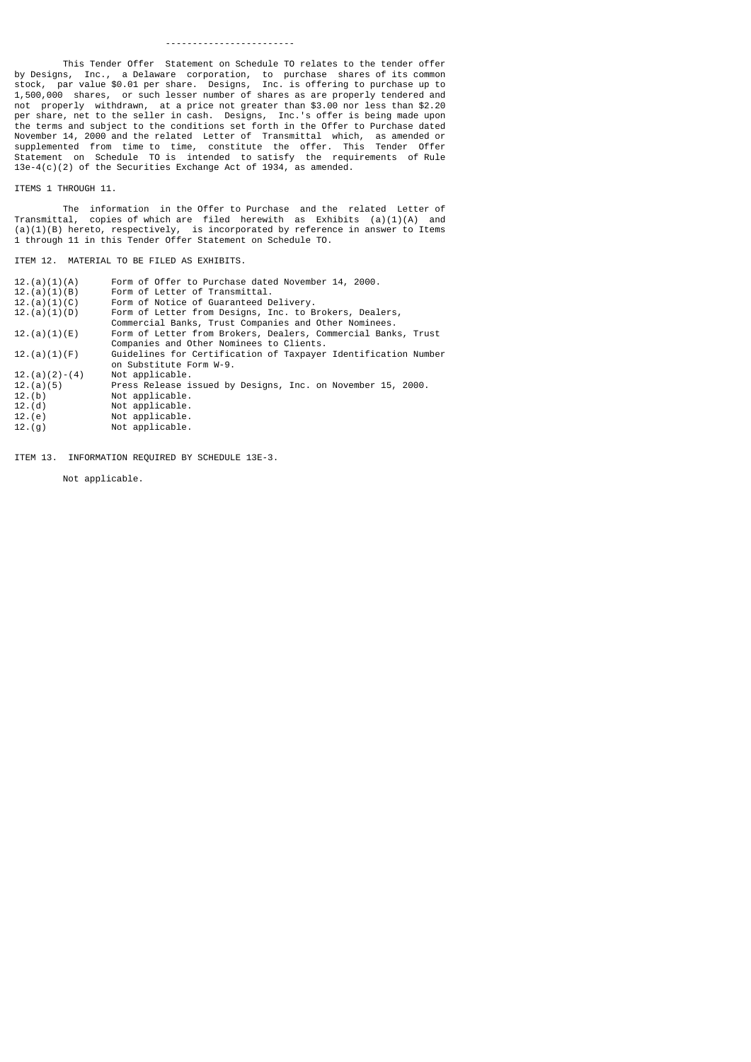#### ------------------------

 This Tender Offer Statement on Schedule TO relates to the tender offer by Designs, Inc., a Delaware corporation, to purchase shares of its common stock, par value \$0.01 per share. Designs, Inc. is offering to purchase up to 1,500,000 shares, or such lesser number of shares as are properly tendered and not properly withdrawn, at a price not greater than \$3.00 nor less than \$2.20 per share, net to the seller in cash. Designs, Inc.'s offer is being made upon the terms and subject to the conditions set forth in the Offer to Purchase dated November 14, 2000 and the related Letter of Transmittal which, as amended or supplemented from time to time, constitute the offer. This Tender Offer Statement on Schedule TO is intended to satisfy the requirements of Rule 13e-4(c)(2) of the Securities Exchange Act of 1934, as amended.

## ITEMS 1 THROUGH 11.

 The information in the Offer to Purchase and the related Letter of Transmittal, copies of which are filed herewith as Exhibits (a)(1)(A) and (a)(1)(B) hereto, respectively, is incorporated by reference in answer to Items 1 through 11 in this Tender Offer Statement on Schedule TO.

# ITEM 12. MATERIAL TO BE FILED AS EXHIBITS.

| 12.(a)(1)(B)<br>Form of Letter of Transmittal.<br>12.(a)(1)(C)<br>Form of Notice of Guaranteed Delivery.<br>12.(a)(1)(D)<br>Form of Letter from Designs, Inc. to Brokers, Dealers,<br>Commercial Banks, Trust Companies and Other Nominees.<br>Form of Letter from Brokers, Dealers, Commercial Banks, Trust<br>12.(a)(1)(E)<br>Companies and Other Nominees to Clients.<br>12.(a)(1)(F)<br>on Substitute Form W-9.<br>$12.(a)(2)-(4)$<br>Not applicable.<br>12.(a)(5)<br>Press Release issued by Designs, Inc. on November 15, 2000.<br>12.(b)<br>Not applicable.<br>12.(d)<br>Not applicable.<br>12.(e)<br>Not applicable.<br>Not applicable.<br>12.(9) | 12.(a)(1)(A) | Form of Offer to Purchase dated November 14, 2000.             |
|-----------------------------------------------------------------------------------------------------------------------------------------------------------------------------------------------------------------------------------------------------------------------------------------------------------------------------------------------------------------------------------------------------------------------------------------------------------------------------------------------------------------------------------------------------------------------------------------------------------------------------------------------------------|--------------|----------------------------------------------------------------|
|                                                                                                                                                                                                                                                                                                                                                                                                                                                                                                                                                                                                                                                           |              |                                                                |
|                                                                                                                                                                                                                                                                                                                                                                                                                                                                                                                                                                                                                                                           |              |                                                                |
|                                                                                                                                                                                                                                                                                                                                                                                                                                                                                                                                                                                                                                                           |              |                                                                |
|                                                                                                                                                                                                                                                                                                                                                                                                                                                                                                                                                                                                                                                           |              |                                                                |
|                                                                                                                                                                                                                                                                                                                                                                                                                                                                                                                                                                                                                                                           |              |                                                                |
|                                                                                                                                                                                                                                                                                                                                                                                                                                                                                                                                                                                                                                                           |              |                                                                |
|                                                                                                                                                                                                                                                                                                                                                                                                                                                                                                                                                                                                                                                           |              | Guidelines for Certification of Taxpayer Identification Number |
|                                                                                                                                                                                                                                                                                                                                                                                                                                                                                                                                                                                                                                                           |              |                                                                |
|                                                                                                                                                                                                                                                                                                                                                                                                                                                                                                                                                                                                                                                           |              |                                                                |
|                                                                                                                                                                                                                                                                                                                                                                                                                                                                                                                                                                                                                                                           |              |                                                                |
|                                                                                                                                                                                                                                                                                                                                                                                                                                                                                                                                                                                                                                                           |              |                                                                |
|                                                                                                                                                                                                                                                                                                                                                                                                                                                                                                                                                                                                                                                           |              |                                                                |
|                                                                                                                                                                                                                                                                                                                                                                                                                                                                                                                                                                                                                                                           |              |                                                                |
|                                                                                                                                                                                                                                                                                                                                                                                                                                                                                                                                                                                                                                                           |              |                                                                |
|                                                                                                                                                                                                                                                                                                                                                                                                                                                                                                                                                                                                                                                           |              |                                                                |

ITEM 13. INFORMATION REQUIRED BY SCHEDULE 13E-3.

Not applicable.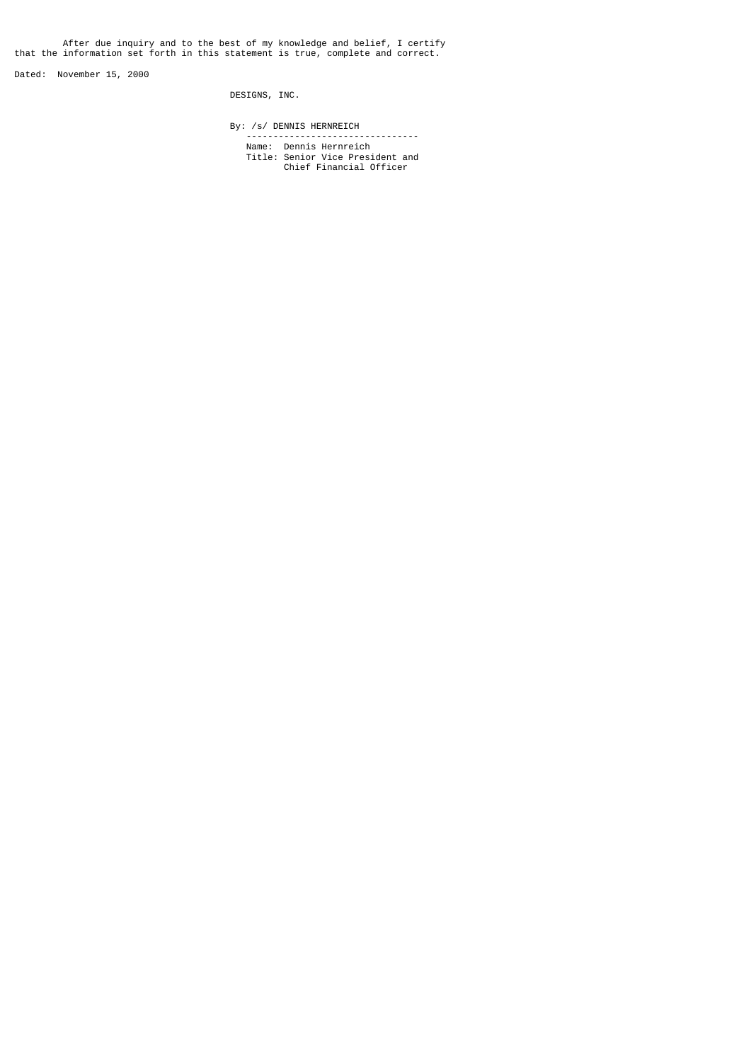After due inquiry and to the best of my knowledge and belief, I certify that the information set forth in this statement is true, complete and correct.

Dated: November 15, 2000

DESIGNS, INC.

By: /s/ DENNIS HERNREICH

--------------------------------

 Name: Dennis Hernreich Title: Senior Vice President and Chief Financial Officer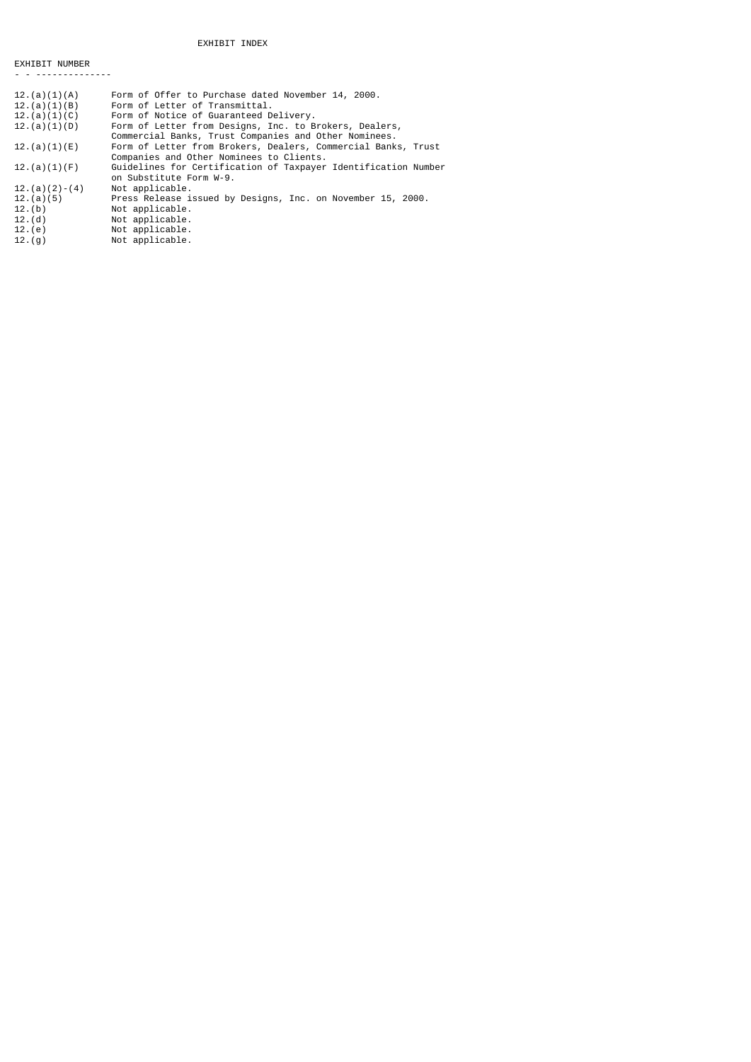## EXHIBIT INDEX

EXHIBIT NUMBER - - --------------

12.(e) Not applicable. 12.(g) Not applicable.

| 12.(a)(1)(A)    | Form of Offer to Purchase dated November 14, 2000.             |
|-----------------|----------------------------------------------------------------|
| 12.(a)(1)(B)    | Form of Letter of Transmittal.                                 |
| 12.(a)(1)(C)    | Form of Notice of Guaranteed Delivery.                         |
| 12.(a)(1)(D)    | Form of Letter from Designs, Inc. to Brokers, Dealers,         |
|                 | Commercial Banks, Trust Companies and Other Nominees.          |
| 12.(a)(1)(E)    | Form of Letter from Brokers, Dealers, Commercial Banks, Trust  |
|                 | Companies and Other Nominees to Clients.                       |
| 12.(a)(1)(F)    | Guidelines for Certification of Taxpayer Identification Number |
|                 | on Substitute Form W-9.                                        |
| $12.(a)(2)-(4)$ | Not applicable.                                                |
| 12.(a)(5)       | Press Release issued by Designs, Inc. on November 15, 2000.    |
| 12.(b)          | Not applicable.                                                |
| 12.(d)          | Not applicable.                                                |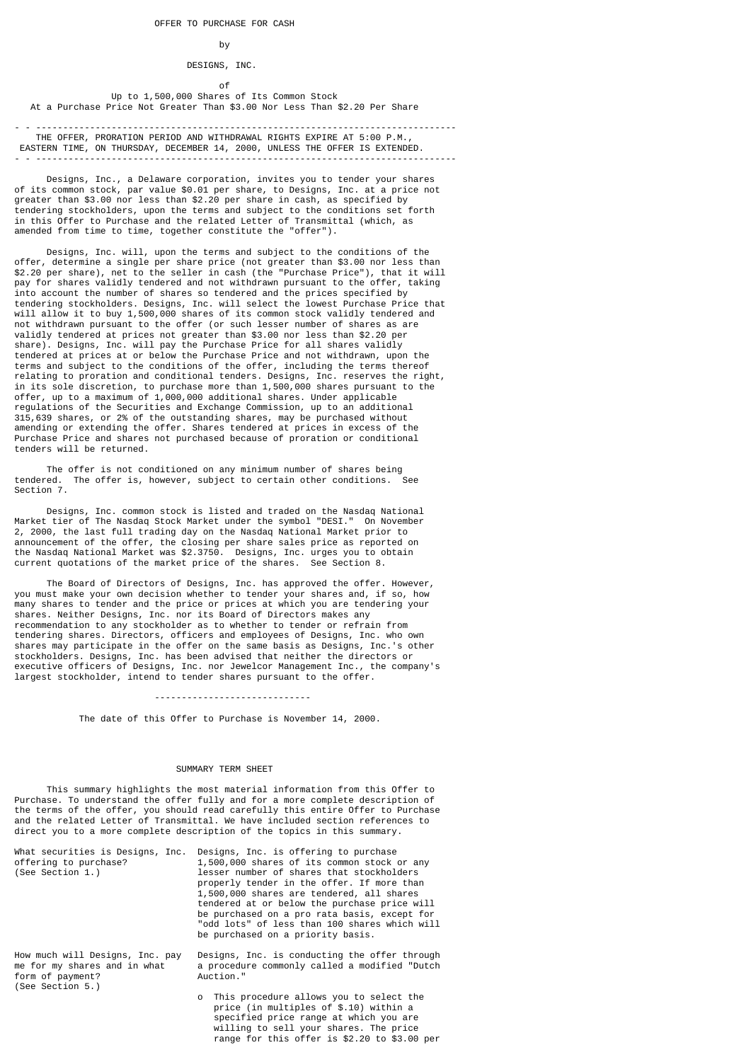## by

# DESIGNS, INC.

of the contract of the contract of the contract of the contract of the contract of the contract of the contract of the contract of the contract of the contract of the contract of the contract of the contract of the contrac Up to 1,500,000 Shares of Its Common Stock At a Purchase Price Not Greater Than \$3.00 Nor Less Than \$2.20 Per Share

- - ------------------------------------------------------------------------------ THE OFFER, PRORATION PERIOD AND WITHDRAWAL RIGHTS EXPIRE AT 5:00 P.M., EASTERN TIME, ON THURSDAY, DECEMBER 14, 2000, UNLESS THE OFFER IS EXTENDED. - - ------------------------------------------------------------------------------

 Designs, Inc., a Delaware corporation, invites you to tender your shares of its common stock, par value \$0.01 per share, to Designs, Inc. at a price not greater than \$3.00 nor less than \$2.20 per share in cash, as specified by tendering stockholders, upon the terms and subject to the conditions set forth in this Offer to Purchase and the related Letter of Transmittal (which, as amended from time to time, together constitute the "offer").

 Designs, Inc. will, upon the terms and subject to the conditions of the offer, determine a single per share price (not greater than \$3.00 nor less than \$2.20 per share), net to the seller in cash (the "Purchase Price"), that it will pay for shares validly tendered and not withdrawn pursuant to the offer, taking into account the number of shares so tendered and the prices specified by tendering stockholders. Designs, Inc. will select the lowest Purchase Price that will allow it to buy 1,500,000 shares of its common stock validly tendered and not withdrawn pursuant to the offer (or such lesser number of shares as are validly tendered at prices not greater than \$3.00 nor less than \$2.20 per share). Designs, Inc. will pay the Purchase Price for all shares validly tendered at prices at or below the Purchase Price and not withdrawn, upon the terms and subject to the conditions of the offer, including the terms thereof relating to proration and conditional tenders. Designs, Inc. reserves the right, in its sole discretion, to purchase more than 1,500,000 shares pursuant to the offer, up to a maximum of 1,000,000 additional shares. Under applicable regulations of the Securities and Exchange Commission, up to an additional 315,639 shares, or 2% of the outstanding shares, may be purchased without amending or extending the offer. Shares tendered at prices in excess of the Purchase Price and shares not purchased because of proration or conditional tenders will be returned.

The offer is not conditioned on any minimum number of shares being<br>red. The offer is, however, subject to certain other conditions. See tendered. The offer is, however, subject to certain other conditions. Section 7.

 Designs, Inc. common stock is listed and traded on the Nasdaq National Market tier of The Nasdaq Stock Market under the symbol "DESI." On November 2, 2000, the last full trading day on the Nasdaq National Market prior to announcement of the offer, the closing per share sales price as reported on the Nasdaq National Market was \$2.3750. Designs, Inc. urges you to obtain current quotations of the market price of the shares. See Section 8.

 The Board of Directors of Designs, Inc. has approved the offer. However, you must make your own decision whether to tender your shares and, if so, how many shares to tender and the price or prices at which you are tendering your shares. Neither Designs, Inc. nor its Board of Directors makes any recommendation to any stockholder as to whether to tender or refrain from tendering shares. Directors, officers and employees of Designs, Inc. who own shares may participate in the offer on the same basis as Designs, Inc.'s other stockholders. Designs, Inc. has been advised that neither the directors or executive officers of Designs, Inc. nor Jewelcor Management Inc., the company's largest stockholder, intend to tender shares pursuant to the offer.

### -----------------------------

The date of this Offer to Purchase is November 14, 2000.

#### SUMMARY TERM SHEET

 This summary highlights the most material information from this Offer to Purchase. To understand the offer fully and for a more complete description of the terms of the offer, you should read carefully this entire Offer to Purchase and the related Letter of Transmittal. We have included section references to direct you to a more complete description of the topics in this summary.

| What securities is Designs, Inc.<br>offering to purchase?<br>(See Section 1.)                           | Designs, Inc. is offering to purchase<br>1,500,000 shares of its common stock or any<br>lesser number of shares that stockholders<br>properly tender in the offer. If more than<br>1,500,000 shares are tendered, all shares<br>tendered at or below the purchase price will<br>be purchased on a pro rata basis, except for<br>"odd lots" of less than 100 shares which will<br>be purchased on a priority basis. |
|---------------------------------------------------------------------------------------------------------|--------------------------------------------------------------------------------------------------------------------------------------------------------------------------------------------------------------------------------------------------------------------------------------------------------------------------------------------------------------------------------------------------------------------|
| How much will Designs, Inc. pay<br>me for my shares and in what<br>form of payment?<br>(See Section 5.) | Designs, Inc. is conducting the offer through<br>a procedure commonly called a modified "Dutch<br>Auction."                                                                                                                                                                                                                                                                                                        |
|                                                                                                         | o This procedure allows you to select the<br>price (in multiples of \$.10) within a<br>specified price range at which you are<br>willing to sell your shares. The price<br>range for this offer is \$2.20 to \$3.00 per                                                                                                                                                                                            |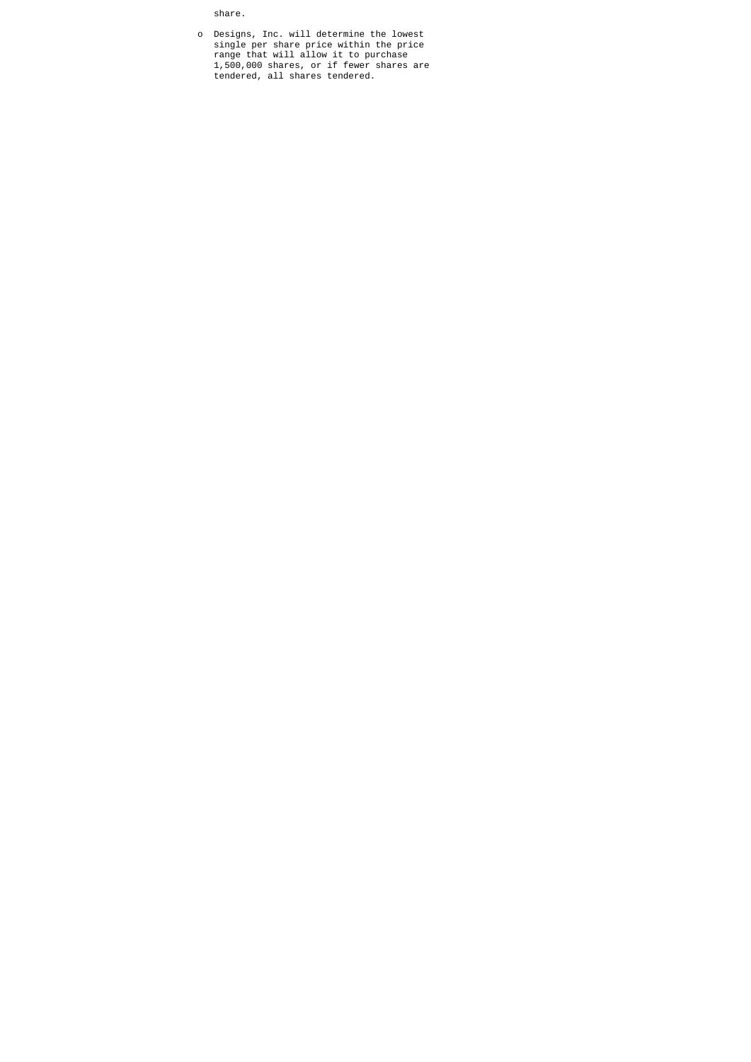share.

 o Designs, Inc. will determine the lowest single per share price within the price range that will allow it to purchase 1,500,000 shares, or if fewer shares are tendered, all shares tendered.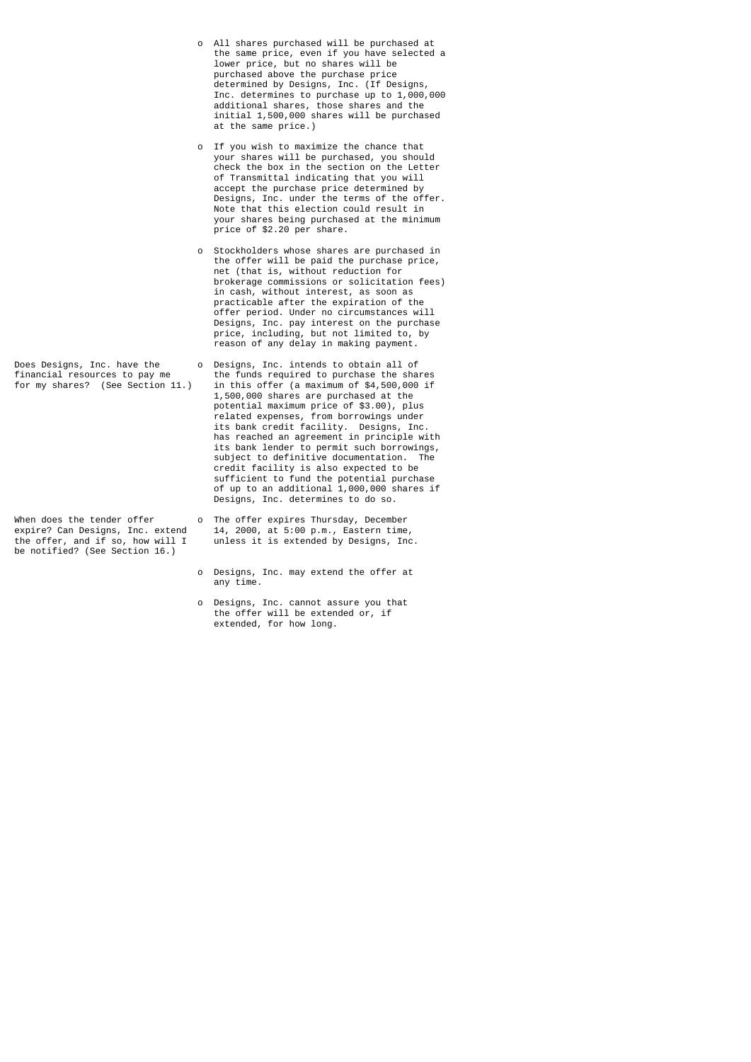be notified? (See Section 16.)

- o All shares purchased will be purchased at the same price, even if you have selected a lower price, but no shares will be purchased above the purchase price determined by Designs, Inc. (If Designs, Inc. determines to purchase up to 1,000,000 additional shares, those shares and the initial 1,500,000 shares will be purchased at the same price.)
- o If you wish to maximize the chance that your shares will be purchased, you should check the box in the section on the Letter of Transmittal indicating that you will accept the purchase price determined by Designs, Inc. under the terms of the offer. Note that this election could result in your shares being purchased at the minimum price of \$2.20 per share.
- o Stockholders whose shares are purchased in the offer will be paid the purchase price, net (that is, without reduction for brokerage commissions or solicitation fees) in cash, without interest, as soon as practicable after the expiration of the offer period. Under no circumstances will Designs, Inc. pay interest on the purchase price, including, but not limited to, by reason of any delay in making payment.
- Does Designs, Inc. have the o Designs, Inc. intends to obtain all of financial resources to pay me the funds required to purchase the sha financial resources to pay me the funds required to purchase the shares<br>for my shares? (See Section 11.) in this offer (a maximum of \$4,500,000 if in this offer (a maximum of  $$4,500,000$  if 1,500,000 shares are purchased at the potential maximum price of \$3.00), plus related expenses, from borrowings under its bank credit facility. Designs, Inc. has reached an agreement in principle with its bank lender to permit such borrowings, subject to definitive documentation. The credit facility is also expected to be sufficient to fund the potential purchase of up to an additional 1,000,000 shares if Designs, Inc. determines to do so.
- When does the tender offer on The offer expires Thursday, December expire? Can Designs, Inc. extend 14, 2000, at 5:00 p.m., Eastern time expire? Can Designs, Inc. extend 14, 2000, at 5:00 p.m., Eastern time, the offer, and if so, how will I unless it is extended by Designs, Inc unless it is extended by Designs, Inc.
	- o Designs, Inc. may extend the offer at any time.
- o Designs, Inc. cannot assure you that the offer will be extended or, if extended, for how long.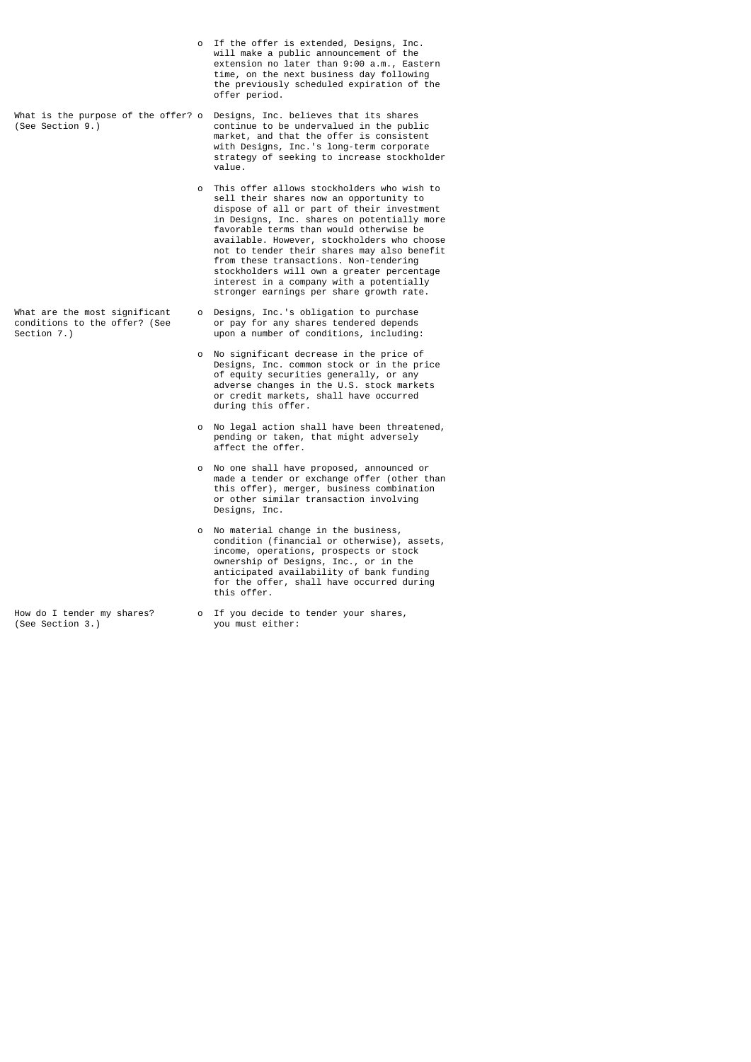o If the offer is extended, Designs, Inc. will make a public announcement of the extension no later than 9:00 a.m., Eastern time, on the next business day following the previously scheduled expiration of the offer period.

What is the purpose of the offer? o Designs, Inc. believes that its shares (See Section 9.) continue to be undervalued in the publ: (See Section 9.) continue to be undervalued in the public market, and that the offer is consistent with Designs, Inc.'s long-term corporate strategy of seeking to increase stockholder<br>value. value.

- o This offer allows stockholders who wish to sell their shares now an opportunity to dispose of all or part of their investment in Designs, Inc. shares on potentially more favorable terms than would otherwise be available. However, stockholders who choose not to tender their shares may also benefit from these transactions. Non-tendering stockholders will own a greater percentage interest in a company with a potentially stronger earnings per share growth rate.
- What are the most significant o Designs, Inc.'s obligation to purchase conditions to the offer? (See or pay for any shares tendered depends Section 7.) upon a number of conditions, including:
	- o No significant decrease in the price of Designs, Inc. common stock or in the price of equity securities generally, or any adverse changes in the U.S. stock markets or credit markets, shall have occurred during this offer.
	- o No legal action shall have been threatened, pending or taken, that might adversely affect the offer.
	- o No one shall have proposed, announced or made a tender or exchange offer (other than this offer), merger, business combination or other similar transaction involving Designs, Inc.
- o No material change in the business, condition (financial or otherwise), assets, income, operations, prospects or stock ownership of Designs, Inc., or in the anticipated availability of bank funding for the offer, shall have occurred during this offer.
- How do I tender my shares? o If you decide to tender your shares,<br>(See Section 3.) you must either: vou must either: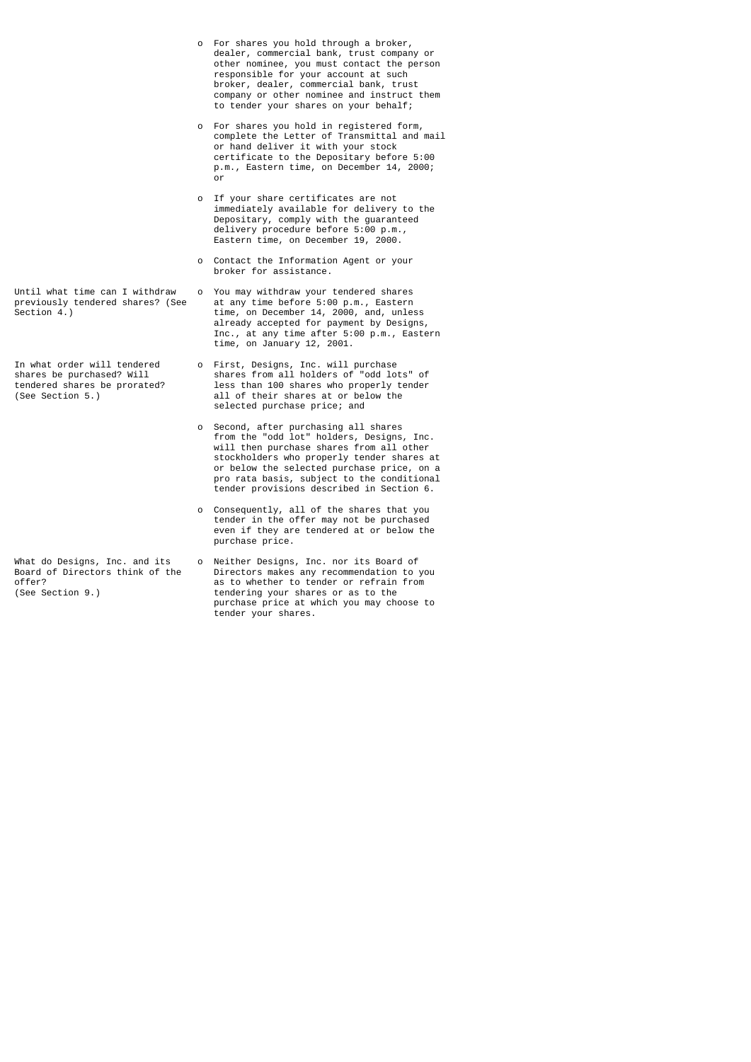- o For shares you hold through a broker, dealer, commercial bank, trust company or other nominee, you must contact the person responsible for your account at such broker, dealer, commercial bank, trust company or other nominee and instruct them to tender your shares on your behalf;
- o For shares you hold in registered form, complete the Letter of Transmittal and mail or hand deliver it with your stock certificate to the Depositary before 5:00 p.m., Eastern time, on December 14, 2000; **or** and the state of the state of the state of the state of the state of the state of the state of the state of the state of the state of the state of the state of the state of the state of the state of the state of the s
- o If your share certificates are not immediately available for delivery to the Depositary, comply with the guaranteed delivery procedure before 5:00 p.m., Eastern time, on December 19, 2000.
	- o Contact the Information Agent or your broker for assistance.
- Until what time can I withdraw o You may withdraw your tendered shares previously tendered shares? (See at any time before 5:00 p.m., Eastern previously tendered shares? (See at any time before 5:00 p.m., Eastern Section 4.) time, on December 14, 2000, and, unless already accepted for payment by Designs, Inc., at any time after 5:00 p.m., Eastern time, on January 12, 2001.
- In what order will tendered o First, Designs, Inc. will purchase shares be purchased? Will shares from all holders of "odd lots" of tendered shares be prorated? less than 100 shares who properly tender tendered shares be prorated? less than 100 shares who properly tender<br>(See Section 5.) all of their shares at or below the all of their shares at or below the selected purchase price; and
- o Second, after purchasing all shares from the "odd lot" holders, Designs, Inc. will then purchase shares from all other stockholders who properly tender shares at or below the selected purchase price, on a pro rata basis, subject to the conditional tender provisions described in Section 6.
	- o Consequently, all of the shares that you tender in the offer may not be purchased even if they are tendered at or below the purchase price.
- What do Designs, Inc. and its only Neither Designs, Inc. nor its Board of Board of Directors think of the Directors makes any recommendation to Directors makes any recommendation to you offer?<br>
(See Section 9.) as to whether to tender or refrain from<br>
tendering your shares or as to the tendering your shares or as to the purchase price at which you may choose to tender your shares.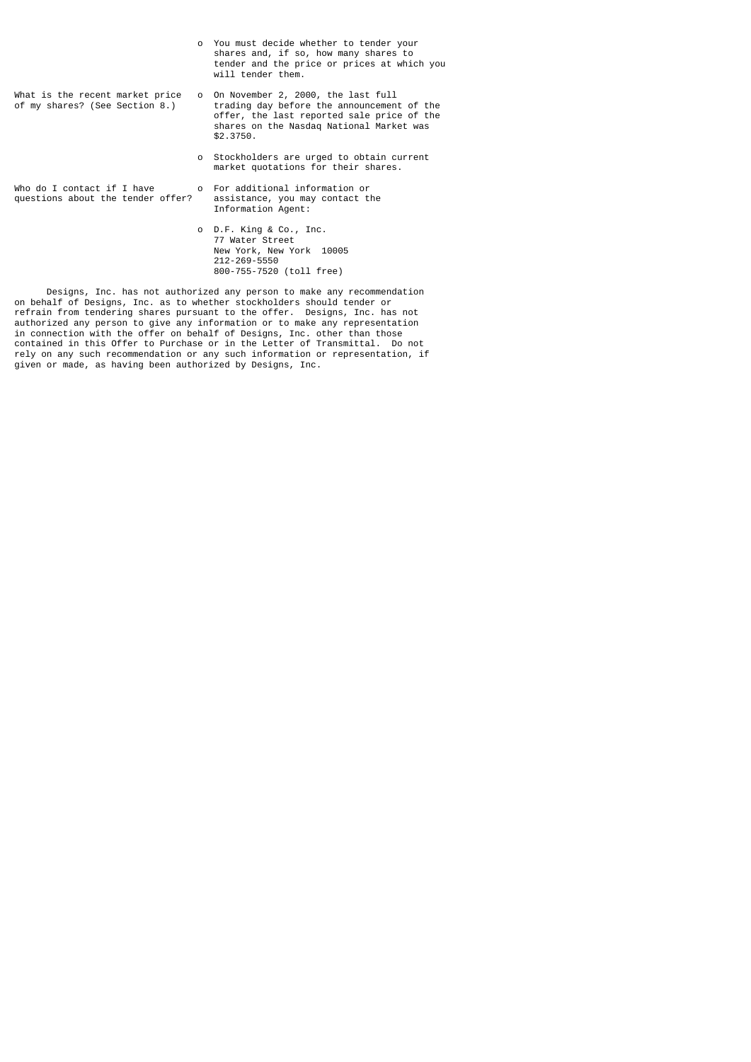|                                                                   | o You must decide whether to tender your<br>shares and, if so, how many shares to<br>tender and the price or prices at which you<br>will tender them.                                     |
|-------------------------------------------------------------------|-------------------------------------------------------------------------------------------------------------------------------------------------------------------------------------------|
| What is the recent market price<br>of my shares? (See Section 8.) | o On November 2, 2000, the last full<br>trading day before the announcement of the<br>offer, the last reported sale price of the<br>shares on the Nasdag National Market was<br>\$2.3750. |
|                                                                   | o Stockholders are urged to obtain current<br>market quotations for their shares.                                                                                                         |
| Who do I contact if I have<br>questions about the tender offer?   | o For additional information or<br>assistance, you may contact the<br>Information Agent:                                                                                                  |
|                                                                   | o D.F. King & Co., Inc.<br>77 Water Street<br>New York, New York 10005                                                                                                                    |

 Designs, Inc. has not authorized any person to make any recommendation on behalf of Designs, Inc. as to whether stockholders should tender or refrain from tendering shares pursuant to the offer. Designs, Inc. has not authorized any person to give any information or to make any representation in connection with the offer on behalf of Designs, Inc. other than those contained in this Offer to Purchase or in the Letter of Transmittal. Do not rely on any such recommendation or any such information or representation, if given or made, as having been authorized by Designs, Inc.

212-269-5550

800-755-7520 (toll free)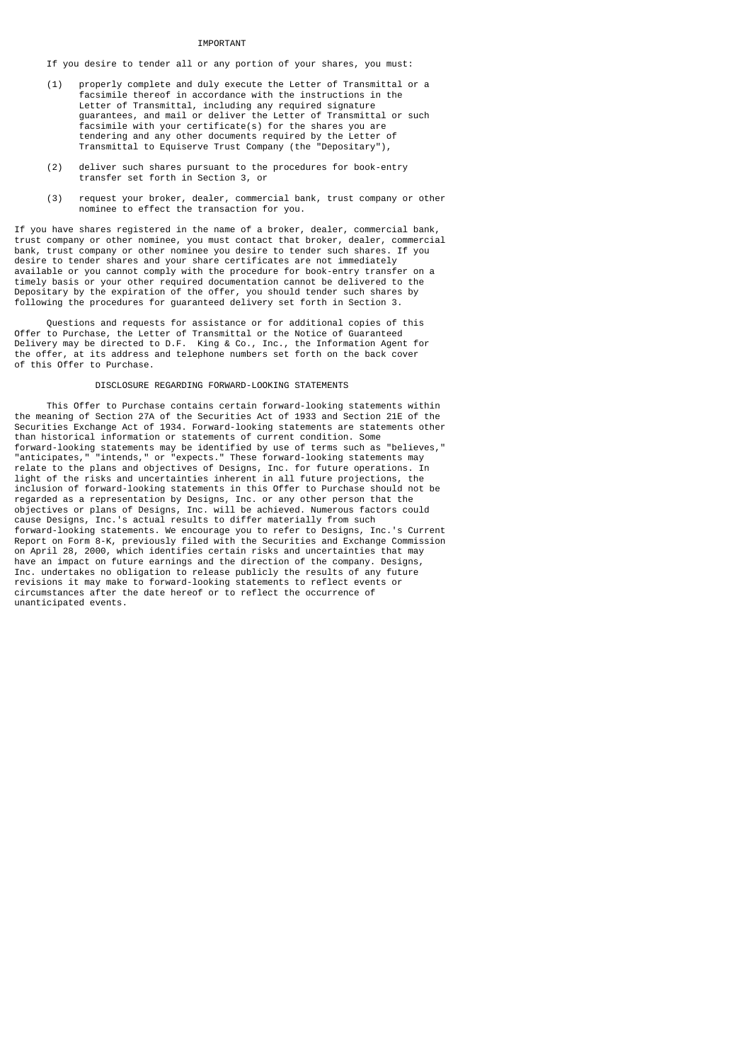#### **TMPORTANT**

If you desire to tender all or any portion of your shares, you must:

- (1) properly complete and duly execute the Letter of Transmittal or a facsimile thereof in accordance with the instructions in the Letter of Transmittal, including any required signature guarantees, and mail or deliver the Letter of Transmittal or such facsimile with your certificate(s) for the shares you are tendering and any other documents required by the Letter of Transmittal to Equiserve Trust Company (the "Depositary"),
	- (2) deliver such shares pursuant to the procedures for book-entry transfer set forth in Section 3, or
	- (3) request your broker, dealer, commercial bank, trust company or other nominee to effect the transaction for you.

If you have shares registered in the name of a broker, dealer, commercial bank, trust company or other nominee, you must contact that broker, dealer, commercial bank, trust company or other nominee you desire to tender such shares. If you desire to tender shares and your share certificates are not immediately available or you cannot comply with the procedure for book-entry transfer on a timely basis or your other required documentation cannot be delivered to the Depositary by the expiration of the offer, you should tender such shares by following the procedures for guaranteed delivery set forth in Section 3.

 Questions and requests for assistance or for additional copies of this Offer to Purchase, the Letter of Transmittal or the Notice of Guaranteed Delivery may be directed to D.F. King & Co., Inc., the Information Agent for the offer, at its address and telephone numbers set forth on the back cover of this Offer to Purchase.

#### DISCLOSURE REGARDING FORWARD-LOOKING STATEMENTS

 This Offer to Purchase contains certain forward-looking statements within the meaning of Section 27A of the Securities Act of 1933 and Section 21E of the Securities Exchange Act of 1934. Forward-looking statements are statements other than historical information or statements of current condition. Some forward-looking statements may be identified by use of terms such as "believes," "anticipates," "intends," or "expects." These forward-looking statements may relate to the plans and objectives of Designs, Inc. for future operations. In light of the risks and uncertainties inherent in all future projections, the inclusion of forward-looking statements in this Offer to Purchase should not be regarded as a representation by Designs, Inc. or any other person that the objectives or plans of Designs, Inc. will be achieved. Numerous factors could cause Designs, Inc.'s actual results to differ materially from such forward-looking statements. We encourage you to refer to Designs, Inc.'s Current Report on Form 8-K, previously filed with the Securities and Exchange Commission on April 28, 2000, which identifies certain risks and uncertainties that may have an impact on future earnings and the direction of the company. Designs, Inc. undertakes no obligation to release publicly the results of any future revisions it may make to forward-looking statements to reflect events or circumstances after the date hereof or to reflect the occurrence of unanticipated events.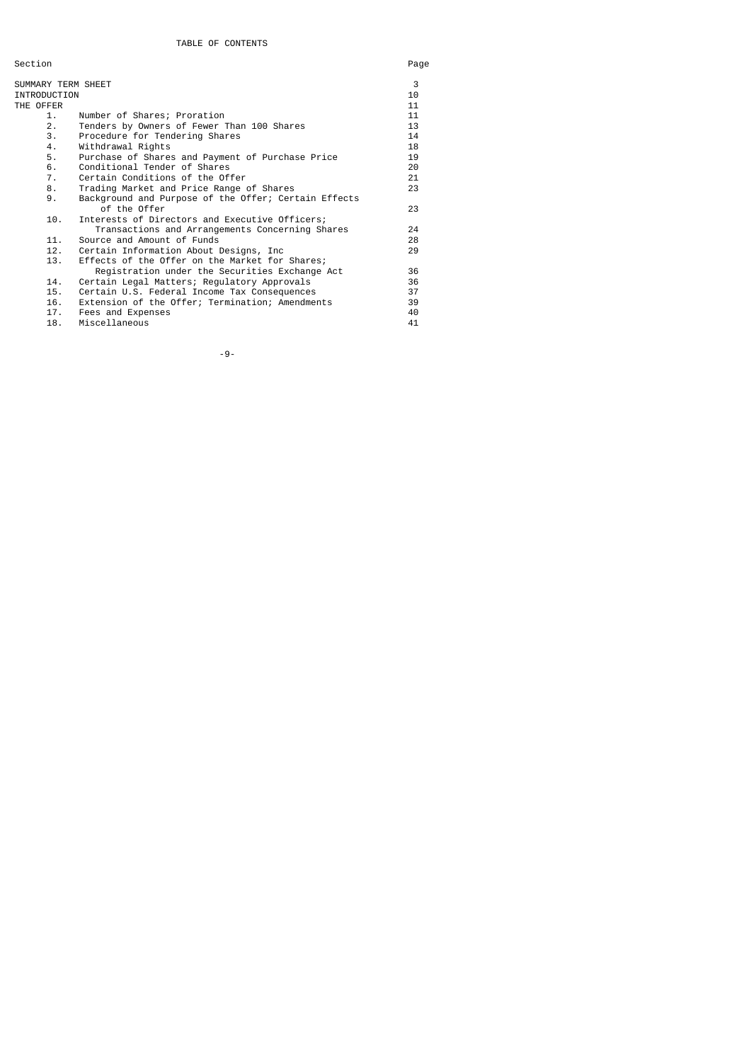Section Page

| SUMMARY TERM SHEET |                                                      | 3  |
|--------------------|------------------------------------------------------|----|
| INTRODUCTION       |                                                      | 10 |
| THE OFFER          |                                                      | 11 |
| 1.                 | Number of Shares; Proration                          | 11 |
| 2.                 | Tenders by Owners of Fewer Than 100 Shares           | 13 |
| 3.                 | Procedure for Tendering Shares                       | 14 |
| 4.                 | Withdrawal Rights                                    | 18 |
| 5.                 | Purchase of Shares and Payment of Purchase Price     | 19 |
| 6.                 | Conditional Tender of Shares                         | 20 |
| 7.                 | Certain Conditions of the Offer                      | 21 |
| 8.                 | Trading Market and Price Range of Shares             | 23 |
| 9.                 | Background and Purpose of the Offer; Certain Effects |    |
|                    | of the Offer                                         | 23 |
| 10.                | Interests of Directors and Executive Officers;       |    |
|                    | Transactions and Arrangements Concerning Shares      | 24 |
| 11.                | Source and Amount of Funds                           | 28 |
| 12.                | Certain Information About Designs, Inc.              | 29 |
| 13.                | Effects of the Offer on the Market for Shares;       |    |
|                    | Registration under the Securities Exchange Act       | 36 |
| 14.                | Certain Legal Matters; Regulatory Approvals          | 36 |
| 15.                | Certain U.S. Federal Income Tax Consequences         | 37 |
| 16.                | Extension of the Offer; Termination; Amendments      | 39 |
| 17.                | Fees and Expenses                                    | 40 |
| 18.                | Miscellaneous                                        | 41 |

-9-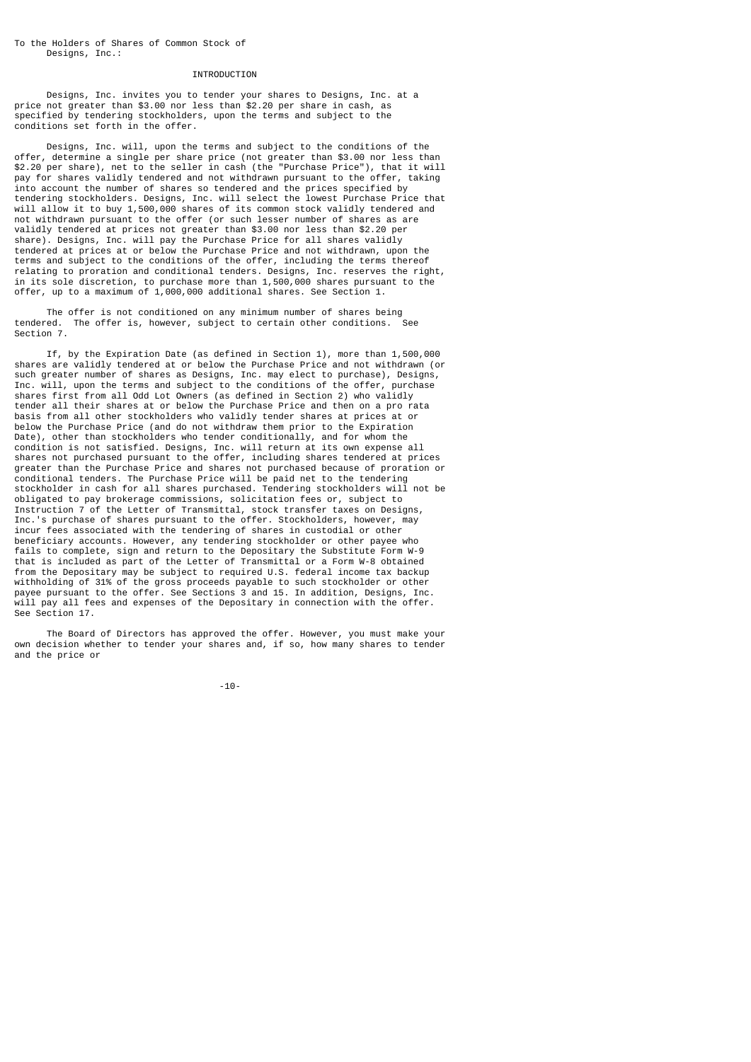#### INTRODUCTION

 Designs, Inc. invites you to tender your shares to Designs, Inc. at a price not greater than \$3.00 nor less than \$2.20 per share in cash, as specified by tendering stockholders, upon the terms and subject to the conditions set forth in the offer.

 Designs, Inc. will, upon the terms and subject to the conditions of the offer, determine a single per share price (not greater than \$3.00 nor less than \$2.20 per share), net to the seller in cash (the "Purchase Price"), that it will pay for shares validly tendered and not withdrawn pursuant to the offer, taking into account the number of shares so tendered and the prices specified by tendering stockholders. Designs, Inc. will select the lowest Purchase Price that will allow it to buy 1,500,000 shares of its common stock validly tendered and not withdrawn pursuant to the offer (or such lesser number of shares as are validly tendered at prices not greater than \$3.00 nor less than \$2.20 per share). Designs, Inc. will pay the Purchase Price for all shares validly tendered at prices at or below the Purchase Price and not withdrawn, upon the terms and subject to the conditions of the offer, including the terms thereof relating to proration and conditional tenders. Designs, Inc. reserves the right, in its sole discretion, to purchase more than 1,500,000 shares pursuant to the offer, up to a maximum of 1,000,000 additional shares. See Section 1.

The offer is not conditioned on any minimum number of shares being<br>red. The offer is, however, subject to certain other conditions. See tendered. The offer is, however, subject to certain other conditions. Section 7.

 If, by the Expiration Date (as defined in Section 1), more than 1,500,000 shares are validly tendered at or below the Purchase Price and not withdrawn (or such greater number of shares as Designs, Inc. may elect to purchase), Designs, Inc. will, upon the terms and subject to the conditions of the offer, purchase shares first from all Odd Lot Owners (as defined in Section 2) who validly tender all their shares at or below the Purchase Price and then on a pro rata basis from all other stockholders who validly tender shares at prices at or below the Purchase Price (and do not withdraw them prior to the Expiration Date), other than stockholders who tender conditionally, and for whom the condition is not satisfied. Designs, Inc. will return at its own expense all shares not purchased pursuant to the offer, including shares tendered at prices greater than the Purchase Price and shares not purchased because of proration or conditional tenders. The Purchase Price will be paid net to the tendering stockholder in cash for all shares purchased. Tendering stockholders will not be obligated to pay brokerage commissions, solicitation fees or, subject to Instruction 7 of the Letter of Transmittal, stock transfer taxes on Designs, Inc.'s purchase of shares pursuant to the offer. Stockholders, however, may incur fees associated with the tendering of shares in custodial or other beneficiary accounts. However, any tendering stockholder or other payee who fails to complete, sign and return to the Depositary the Substitute Form W-9 that is included as part of the Letter of Transmittal or a Form W-8 obtained from the Depositary may be subject to required U.S. federal income tax backup withholding of 31% of the gross proceeds payable to such stockholder or other payee pursuant to the offer. See Sections 3 and 15. In addition, Designs, Inc. will pay all fees and expenses of the Depositary in connection with the offer. See Section 17.

 The Board of Directors has approved the offer. However, you must make your own decision whether to tender your shares and, if so, how many shares to tender and the price or

-10-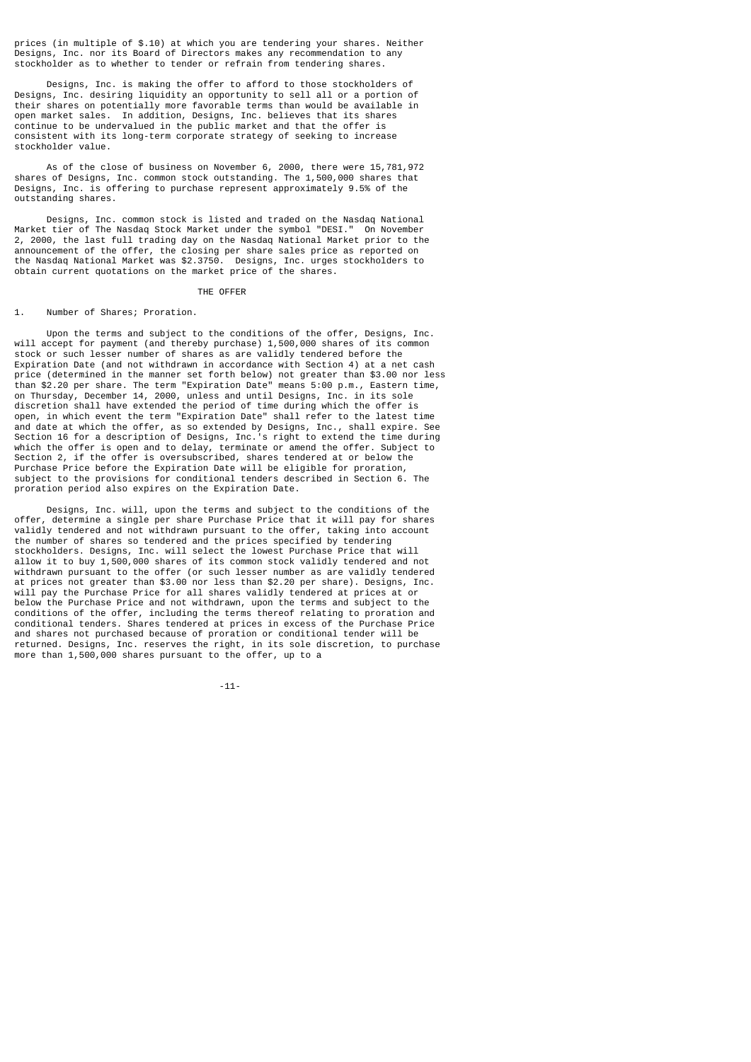prices (in multiple of \$.10) at which you are tendering your shares. Neither Designs, Inc. nor its Board of Directors makes any recommendation to any stockholder as to whether to tender or refrain from tendering shares.

 Designs, Inc. is making the offer to afford to those stockholders of Designs, Inc. desiring liquidity an opportunity to sell all or a portion of their shares on potentially more favorable terms than would be available in open market sales. In addition, Designs, Inc. believes that its shares continue to be undervalued in the public market and that the offer is consistent with its long-term corporate strategy of seeking to increase stockholder value.

 As of the close of business on November 6, 2000, there were 15,781,972 shares of Designs, Inc. common stock outstanding. The 1,500,000 shares that Designs, Inc. is offering to purchase represent approximately 9.5% of the outstanding shares.

 Designs, Inc. common stock is listed and traded on the Nasdaq National Market tier of The Nasdaq Stock Market under the symbol "DESI." On November 2, 2000, the last full trading day on the Nasdaq National Market prior to the announcement of the offer, the closing per share sales price as reported on the Nasdaq National Market was \$2.3750. Designs, Inc. urges stockholders to obtain current quotations on the market price of the shares.

THE OFFER

#### 1. Number of Shares; Proration.

 Upon the terms and subject to the conditions of the offer, Designs, Inc. will accept for payment (and thereby purchase) 1,500,000 shares of its common stock or such lesser number of shares as are validly tendered before the Expiration Date (and not withdrawn in accordance with Section 4) at a net cash price (determined in the manner set forth below) not greater than \$3.00 nor less than \$2.20 per share. The term "Expiration Date" means 5:00 p.m., Eastern time, on Thursday, December 14, 2000, unless and until Designs, Inc. in its sole discretion shall have extended the period of time during which the offer is open, in which event the term "Expiration Date" shall refer to the latest time and date at which the offer, as so extended by Designs, Inc., shall expire. See Section 16 for a description of Designs, Inc.'s right to extend the time during which the offer is open and to delay, terminate or amend the offer. Subject to Section 2, if the offer is oversubscribed, shares tendered at or below the Purchase Price before the Expiration Date will be eligible for proration, subject to the provisions for conditional tenders described in Section 6. The proration period also expires on the Expiration Date.

 Designs, Inc. will, upon the terms and subject to the conditions of the offer, determine a single per share Purchase Price that it will pay for shares validly tendered and not withdrawn pursuant to the offer, taking into account the number of shares so tendered and the prices specified by tendering stockholders. Designs, Inc. will select the lowest Purchase Price that will allow it to buy 1,500,000 shares of its common stock validly tendered and not withdrawn pursuant to the offer (or such lesser number as are validly tendered at prices not greater than \$3.00 nor less than \$2.20 per share). Designs, Inc. will pay the Purchase Price for all shares validly tendered at prices at or below the Purchase Price and not withdrawn, upon the terms and subject to the conditions of the offer, including the terms thereof relating to proration and conditional tenders. Shares tendered at prices in excess of the Purchase Price and shares not purchased because of proration or conditional tender will be returned. Designs, Inc. reserves the right, in its sole discretion, to purchase more than 1,500,000 shares pursuant to the offer, up to a

-11-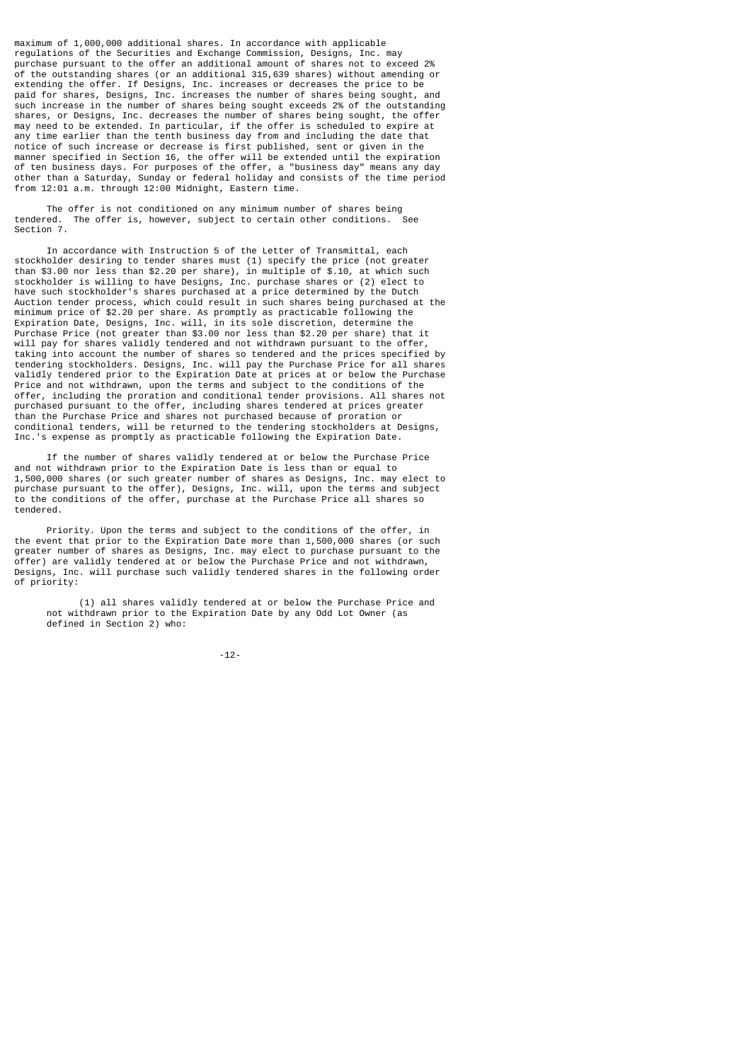maximum of 1,000,000 additional shares. In accordance with applicable regulations of the Securities and Exchange Commission, Designs, Inc. may purchase pursuant to the offer an additional amount of shares not to exceed 2% of the outstanding shares (or an additional 315,639 shares) without amending or extending the offer. If Designs, Inc. increases or decreases the price to be paid for shares, Designs, Inc. increases the number of shares being sought, and such increase in the number of shares being sought exceeds 2% of the outstanding shares, or Designs, Inc. decreases the number of shares being sought, the offer may need to be extended. In particular, if the offer is scheduled to expire at any time earlier than the tenth business day from and including the date that notice of such increase or decrease is first published, sent or given in the manner specified in Section 16, the offer will be extended until the expiration of ten business days. For purposes of the offer, a "business day" means any day other than a Saturday, Sunday or federal holiday and consists of the time period from 12:01 a.m. through 12:00 Midnight, Eastern time.

The offer is not conditioned on any minimum number of shares being<br>ed. The offer is, however, subject to certain other conditions. See tendered. The offer is, however, subject to certain other conditions. Section 7.

 In accordance with Instruction 5 of the Letter of Transmittal, each stockholder desiring to tender shares must (1) specify the price (not greater than \$3.00 nor less than \$2.20 per share), in multiple of \$.10, at which such stockholder is willing to have Designs, Inc. purchase shares or (2) elect to have such stockholder's shares purchased at a price determined by the Dutch Auction tender process, which could result in such shares being purchased at the minimum price of \$2.20 per share. As promptly as practicable following the Expiration Date, Designs, Inc. will, in its sole discretion, determine the Purchase Price (not greater than \$3.00 nor less than \$2.20 per share) that it will pay for shares validly tendered and not withdrawn pursuant to the offer, taking into account the number of shares so tendered and the prices specified by tendering stockholders. Designs, Inc. will pay the Purchase Price for all shares validly tendered prior to the Expiration Date at prices at or below the Purchase Price and not withdrawn, upon the terms and subject to the conditions of the offer, including the proration and conditional tender provisions. All shares not purchased pursuant to the offer, including shares tendered at prices greater than the Purchase Price and shares not purchased because of proration or conditional tenders, will be returned to the tendering stockholders at Designs, Inc.'s expense as promptly as practicable following the Expiration Date.

 If the number of shares validly tendered at or below the Purchase Price and not withdrawn prior to the Expiration Date is less than or equal to 1,500,000 shares (or such greater number of shares as Designs, Inc. may elect to purchase pursuant to the offer), Designs, Inc. will, upon the terms and subject to the conditions of the offer, purchase at the Purchase Price all shares so tendered.

 Priority. Upon the terms and subject to the conditions of the offer, in the event that prior to the Expiration Date more than 1,500,000 shares (or such greater number of shares as Designs, Inc. may elect to purchase pursuant to the offer) are validly tendered at or below the Purchase Price and not withdrawn, Designs, Inc. will purchase such validly tendered shares in the following order of priority:

 (1) all shares validly tendered at or below the Purchase Price and not withdrawn prior to the Expiration Date by any Odd Lot Owner (as defined in Section 2) who:

-12-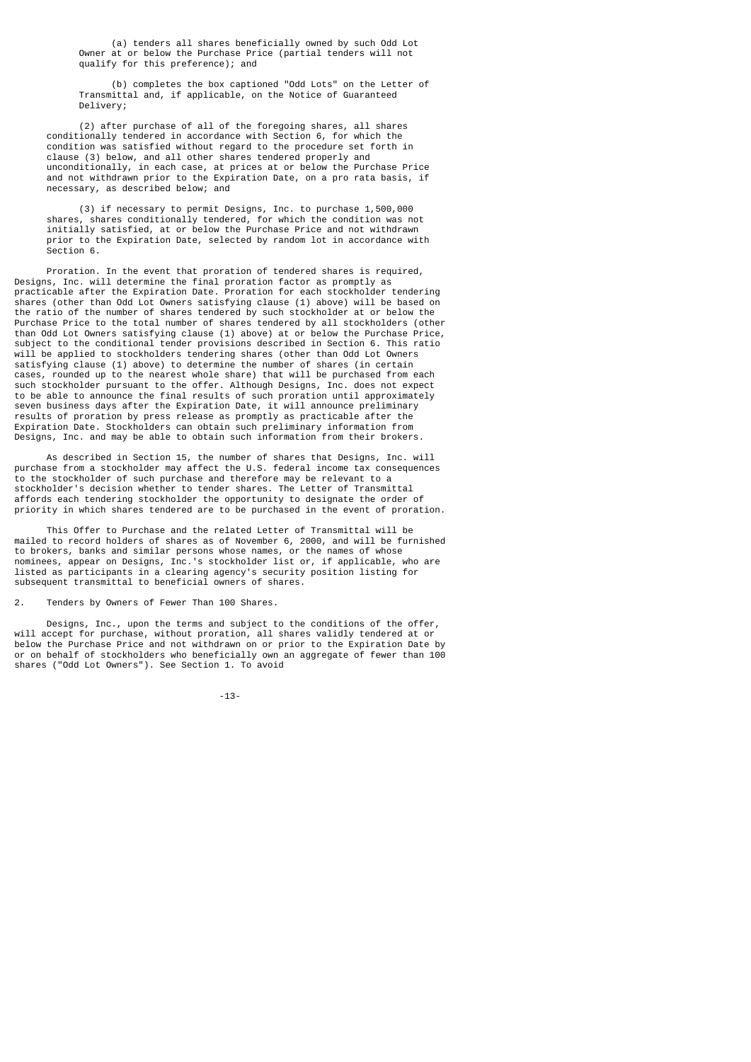(a) tenders all shares beneficially owned by such Odd Lot Owner at or below the Purchase Price (partial tenders will not qualify for this preference); and

 (b) completes the box captioned "Odd Lots" on the Letter of Transmittal and, if applicable, on the Notice of Guaranteed Delivery;

 (2) after purchase of all of the foregoing shares, all shares conditionally tendered in accordance with Section 6, for which the condition was satisfied without regard to the procedure set forth in clause (3) below, and all other shares tendered properly and unconditionally, in each case, at prices at or below the Purchase Price and not withdrawn prior to the Expiration Date, on a pro rata basis, if necessary, as described below; and

 (3) if necessary to permit Designs, Inc. to purchase 1,500,000 shares, shares conditionally tendered, for which the condition was not initially satisfied, at or below the Purchase Price and not withdrawn prior to the Expiration Date, selected by random lot in accordance with Section 6.

 Proration. In the event that proration of tendered shares is required, Designs, Inc. will determine the final proration factor as promptly as practicable after the Expiration Date. Proration for each stockholder tendering shares (other than Odd Lot Owners satisfying clause (1) above) will be based on the ratio of the number of shares tendered by such stockholder at or below the Purchase Price to the total number of shares tendered by all stockholders (other than Odd Lot Owners satisfying clause (1) above) at or below the Purchase Price, subject to the conditional tender provisions described in Section 6. This ratio will be applied to stockholders tendering shares (other than Odd Lot Owners satisfying clause (1) above) to determine the number of shares (in certain cases, rounded up to the nearest whole share) that will be purchased from each such stockholder pursuant to the offer. Although Designs, Inc. does not expect to be able to announce the final results of such proration until approximately seven business days after the Expiration Date, it will announce preliminary results of proration by press release as promptly as practicable after the Expiration Date. Stockholders can obtain such preliminary information from Designs, Inc. and may be able to obtain such information from their brokers.

 As described in Section 15, the number of shares that Designs, Inc. will purchase from a stockholder may affect the U.S. federal income tax consequences to the stockholder of such purchase and therefore may be relevant to a stockholder's decision whether to tender shares. The Letter of Transmittal affords each tendering stockholder the opportunity to designate the order of priority in which shares tendered are to be purchased in the event of proration.

 This Offer to Purchase and the related Letter of Transmittal will be mailed to record holders of shares as of November 6, 2000, and will be furnished to brokers, banks and similar persons whose names, or the names of whose nominees, appear on Designs, Inc.'s stockholder list or, if applicable, who are listed as participants in a clearing agency's security position listing for subsequent transmittal to beneficial owners of shares.

2. Tenders by Owners of Fewer Than 100 Shares.

 Designs, Inc., upon the terms and subject to the conditions of the offer, will accept for purchase, without proration, all shares validly tendered at or below the Purchase Price and not withdrawn on or prior to the Expiration Date by or on behalf of stockholders who beneficially own an aggregate of fewer than 100 shares ("Odd Lot Owners"). See Section 1. To avoid

-13-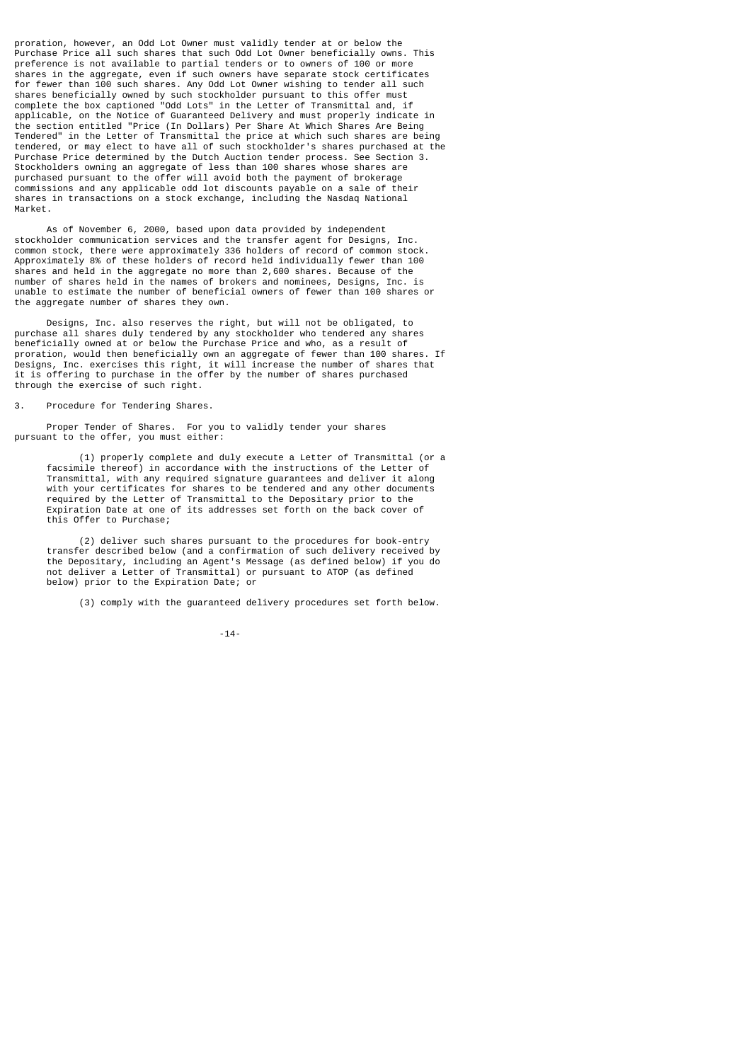proration, however, an Odd Lot Owner must validly tender at or below the Purchase Price all such shares that such Odd Lot Owner beneficially owns. This preference is not available to partial tenders or to owners of 100 or more shares in the aggregate, even if such owners have separate stock certificates for fewer than 100 such shares. Any Odd Lot Owner wishing to tender all such shares beneficially owned by such stockholder pursuant to this offer must complete the box captioned "Odd Lots" in the Letter of Transmittal and, if applicable, on the Notice of Guaranteed Delivery and must properly indicate in the section entitled "Price (In Dollars) Per Share At Which Shares Are Being Tendered" in the Letter of Transmittal the price at which such shares are being tendered, or may elect to have all of such stockholder's shares purchased at the Purchase Price determined by the Dutch Auction tender process. See Section 3. Stockholders owning an aggregate of less than 100 shares whose shares are purchased pursuant to the offer will avoid both the payment of brokerage commissions and any applicable odd lot discounts payable on a sale of their shares in transactions on a stock exchange, including the Nasdaq National Market.

 As of November 6, 2000, based upon data provided by independent stockholder communication services and the transfer agent for Designs, Inc. common stock, there were approximately 336 holders of record of common stock. Approximately 8% of these holders of record held individually fewer than 100 shares and held in the aggregate no more than 2,600 shares. Because of the number of shares held in the names of brokers and nominees, Designs, Inc. is unable to estimate the number of beneficial owners of fewer than 100 shares or the aggregate number of shares they own.

 Designs, Inc. also reserves the right, but will not be obligated, to purchase all shares duly tendered by any stockholder who tendered any shares beneficially owned at or below the Purchase Price and who, as a result of proration, would then beneficially own an aggregate of fewer than 100 shares. If Designs, Inc. exercises this right, it will increase the number of shares that it is offering to purchase in the offer by the number of shares purchased through the exercise of such right.

3. Procedure for Tendering Shares.

 Proper Tender of Shares. For you to validly tender your shares pursuant to the offer, you must either:

 (1) properly complete and duly execute a Letter of Transmittal (or a facsimile thereof) in accordance with the instructions of the Letter of Transmittal, with any required signature guarantees and deliver it along with your certificates for shares to be tendered and any other documents required by the Letter of Transmittal to the Depositary prior to the Expiration Date at one of its addresses set forth on the back cover of this Offer to Purchase;

 (2) deliver such shares pursuant to the procedures for book-entry transfer described below (and a confirmation of such delivery received by the Depositary, including an Agent's Message (as defined below) if you do not deliver a Letter of Transmittal) or pursuant to ATOP (as defined below) prior to the Expiration Date; or

(3) comply with the guaranteed delivery procedures set forth below.

-14-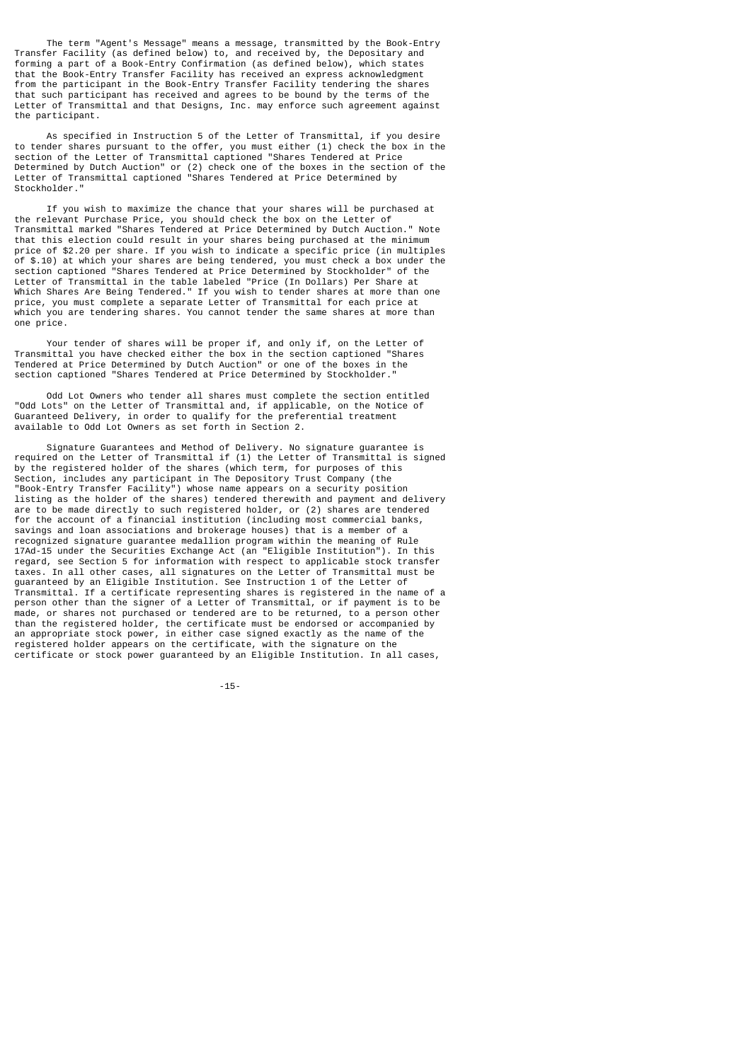The term "Agent's Message" means a message, transmitted by the Book-Entry Transfer Facility (as defined below) to, and received by, the Depositary and forming a part of a Book-Entry Confirmation (as defined below), which states that the Book-Entry Transfer Facility has received an express acknowledgment from the participant in the Book-Entry Transfer Facility tendering the shares that such participant has received and agrees to be bound by the terms of the Letter of Transmittal and that Designs, Inc. may enforce such agreement against the participant.

 As specified in Instruction 5 of the Letter of Transmittal, if you desire to tender shares pursuant to the offer, you must either (1) check the box in the section of the Letter of Transmittal captioned "Shares Tendered at Price Determined by Dutch Auction" or (2) check one of the boxes in the section of the Letter of Transmittal captioned "Shares Tendered at Price Determined by Stockholder."

 If you wish to maximize the chance that your shares will be purchased at the relevant Purchase Price, you should check the box on the Letter of Transmittal marked "Shares Tendered at Price Determined by Dutch Auction." Note that this election could result in your shares being purchased at the minimum price of \$2.20 per share. If you wish to indicate a specific price (in multiples of \$.10) at which your shares are being tendered, you must check a box under the section captioned "Shares Tendered at Price Determined by Stockholder" of the Letter of Transmittal in the table labeled "Price (In Dollars) Per Share at Which Shares Are Being Tendered." If you wish to tender shares at more than one price, you must complete a separate Letter of Transmittal for each price at which you are tendering shares. You cannot tender the same shares at more than one price.

 Your tender of shares will be proper if, and only if, on the Letter of Transmittal you have checked either the box in the section captioned "Shares Tendered at Price Determined by Dutch Auction" or one of the boxes in the section captioned "Shares Tendered at Price Determined by Stockholder.

 Odd Lot Owners who tender all shares must complete the section entitled "Odd Lots" on the Letter of Transmittal and, if applicable, on the Notice of Guaranteed Delivery, in order to qualify for the preferential treatment available to Odd Lot Owners as set forth in Section 2.

 Signature Guarantees and Method of Delivery. No signature guarantee is required on the Letter of Transmittal if (1) the Letter of Transmittal is signed by the registered holder of the shares (which term, for purposes of this Section, includes any participant in The Depository Trust Company (the "Book-Entry Transfer Facility") whose name appears on a security position listing as the holder of the shares) tendered therewith and payment and delivery are to be made directly to such registered holder, or (2) shares are tendered for the account of a financial institution (including most commercial banks, savings and loan associations and brokerage houses) that is a member of a recognized signature guarantee medallion program within the meaning of Rule 17Ad-15 under the Securities Exchange Act (an "Eligible Institution"). In this regard, see Section 5 for information with respect to applicable stock transfer taxes. In all other cases, all signatures on the Letter of Transmittal must be guaranteed by an Eligible Institution. See Instruction 1 of the Letter of Transmittal. If a certificate representing shares is registered in the name of a person other than the signer of a Letter of Transmittal, or if payment is to be made, or shares not purchased or tendered are to be returned, to a person other than the registered holder, the certificate must be endorsed or accompanied by an appropriate stock power, in either case signed exactly as the name of the registered holder appears on the certificate, with the signature on the certificate or stock power guaranteed by an Eligible Institution. In all cases,

-15-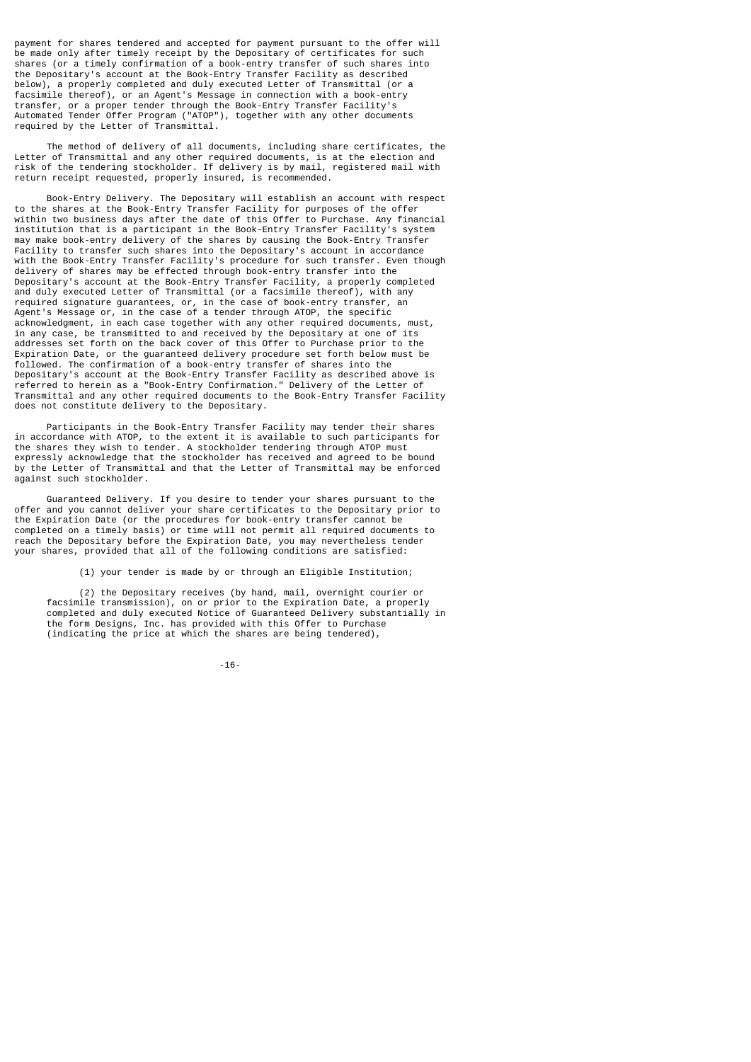payment for shares tendered and accepted for payment pursuant to the offer will be made only after timely receipt by the Depositary of certificates for such shares (or a timely confirmation of a book-entry transfer of such shares into the Depositary's account at the Book-Entry Transfer Facility as described below), a properly completed and duly executed Letter of Transmittal (or a facsimile thereof), or an Agent's Message in connection with a book-entry transfer, or a proper tender through the Book-Entry Transfer Facility's Automated Tender Offer Program ("ATOP"), together with any other documents required by the Letter of Transmittal.

 The method of delivery of all documents, including share certificates, the Letter of Transmittal and any other required documents, is at the election and risk of the tendering stockholder. If delivery is by mail, registered mail with return receipt requested, properly insured, is recommended.

 Book-Entry Delivery. The Depositary will establish an account with respect to the shares at the Book-Entry Transfer Facility for purposes of the offer within two business days after the date of this Offer to Purchase. Any financial institution that is a participant in the Book-Entry Transfer Facility's system may make book-entry delivery of the shares by causing the Book-Entry Transfer Facility to transfer such shares into the Depositary's account in accordance with the Book-Entry Transfer Facility's procedure for such transfer. Even though delivery of shares may be effected through book-entry transfer into the Depositary's account at the Book-Entry Transfer Facility, a properly completed and duly executed Letter of Transmittal (or a facsimile thereof), with any required signature guarantees, or, in the case of book-entry transfer, an Agent's Message or, in the case of a tender through ATOP, the specific acknowledgment, in each case together with any other required documents, must, in any case, be transmitted to and received by the Depositary at one of its addresses set forth on the back cover of this Offer to Purchase prior to the Expiration Date, or the guaranteed delivery procedure set forth below must be followed. The confirmation of a book-entry transfer of shares into the Depositary's account at the Book-Entry Transfer Facility as described above is referred to herein as a "Book-Entry Confirmation." Delivery of the Letter of Transmittal and any other required documents to the Book-Entry Transfer Facility does not constitute delivery to the Depositary.

 Participants in the Book-Entry Transfer Facility may tender their shares in accordance with ATOP, to the extent it is available to such participants for the shares they wish to tender. A stockholder tendering through ATOP must expressly acknowledge that the stockholder has received and agreed to be bound by the Letter of Transmittal and that the Letter of Transmittal may be enforced against such stockholder.

 Guaranteed Delivery. If you desire to tender your shares pursuant to the offer and you cannot deliver your share certificates to the Depositary prior to the Expiration Date (or the procedures for book-entry transfer cannot be completed on a timely basis) or time will not permit all required documents to reach the Depositary before the Expiration Date, you may nevertheless tender your shares, provided that all of the following conditions are satisfied:

(1) your tender is made by or through an Eligible Institution;

 (2) the Depositary receives (by hand, mail, overnight courier or facsimile transmission), on or prior to the Expiration Date, a properly completed and duly executed Notice of Guaranteed Delivery substantially in the form Designs, Inc. has provided with this Offer to Purchase (indicating the price at which the shares are being tendered),

-16-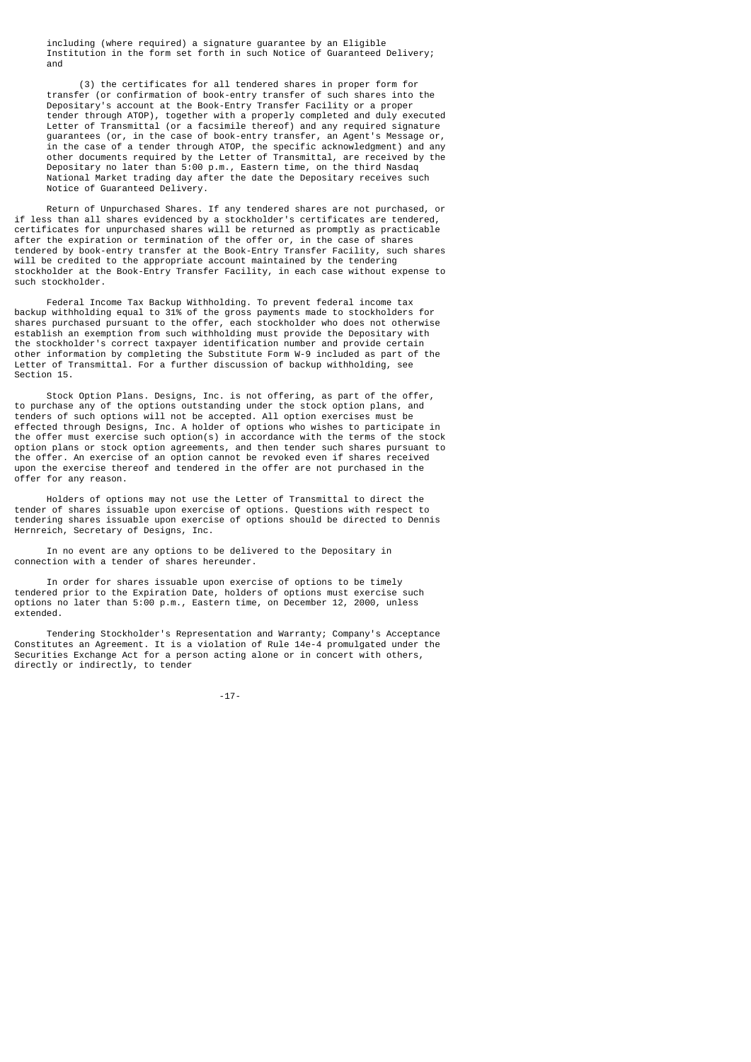including (where required) a signature guarantee by an Eligible Institution in the form set forth in such Notice of Guaranteed Delivery; and

 (3) the certificates for all tendered shares in proper form for transfer (or confirmation of book-entry transfer of such shares into the Depositary's account at the Book-Entry Transfer Facility or a proper tender through ATOP), together with a properly completed and duly executed Letter of Transmittal (or a facsimile thereof) and any required signature guarantees (or, in the case of book-entry transfer, an Agent's Message or, in the case of a tender through ATOP, the specific acknowledgment) and any other documents required by the Letter of Transmittal, are received by the Depositary no later than 5:00 p.m., Eastern time, on the third Nasdaq National Market trading day after the date the Depositary receives such Notice of Guaranteed Delivery.

 Return of Unpurchased Shares. If any tendered shares are not purchased, or if less than all shares evidenced by a stockholder's certificates are tendered, certificates for unpurchased shares will be returned as promptly as practicable after the expiration or termination of the offer or, in the case of shares tendered by book-entry transfer at the Book-Entry Transfer Facility, such shares will be credited to the appropriate account maintained by the tendering stockholder at the Book-Entry Transfer Facility, in each case without expense to such stockholder.

 Federal Income Tax Backup Withholding. To prevent federal income tax backup withholding equal to 31% of the gross payments made to stockholders for shares purchased pursuant to the offer, each stockholder who does not otherwise establish an exemption from such withholding must provide the Depositary with the stockholder's correct taxpayer identification number and provide certain other information by completing the Substitute Form W-9 included as part of the Letter of Transmittal. For a further discussion of backup withholding, see Section 15.

 Stock Option Plans. Designs, Inc. is not offering, as part of the offer, to purchase any of the options outstanding under the stock option plans, and tenders of such options will not be accepted. All option exercises must be effected through Designs, Inc. A holder of options who wishes to participate in the offer must exercise such option(s) in accordance with the terms of the stock option plans or stock option agreements, and then tender such shares pursuant to the offer. An exercise of an option cannot be revoked even if shares received upon the exercise thereof and tendered in the offer are not purchased in the offer for any reason.

 Holders of options may not use the Letter of Transmittal to direct the tender of shares issuable upon exercise of options. Questions with respect to tendering shares issuable upon exercise of options should be directed to Dennis Hernreich, Secretary of Designs, Inc.

 In no event are any options to be delivered to the Depositary in connection with a tender of shares hereunder.

 In order for shares issuable upon exercise of options to be timely tendered prior to the Expiration Date, holders of options must exercise such options no later than 5:00 p.m., Eastern time, on December 12, 2000, unless extended.

 Tendering Stockholder's Representation and Warranty; Company's Acceptance Constitutes an Agreement. It is a violation of Rule 14e-4 promulgated under the Securities Exchange Act for a person acting alone or in concert with others, directly or indirectly, to tender

-17-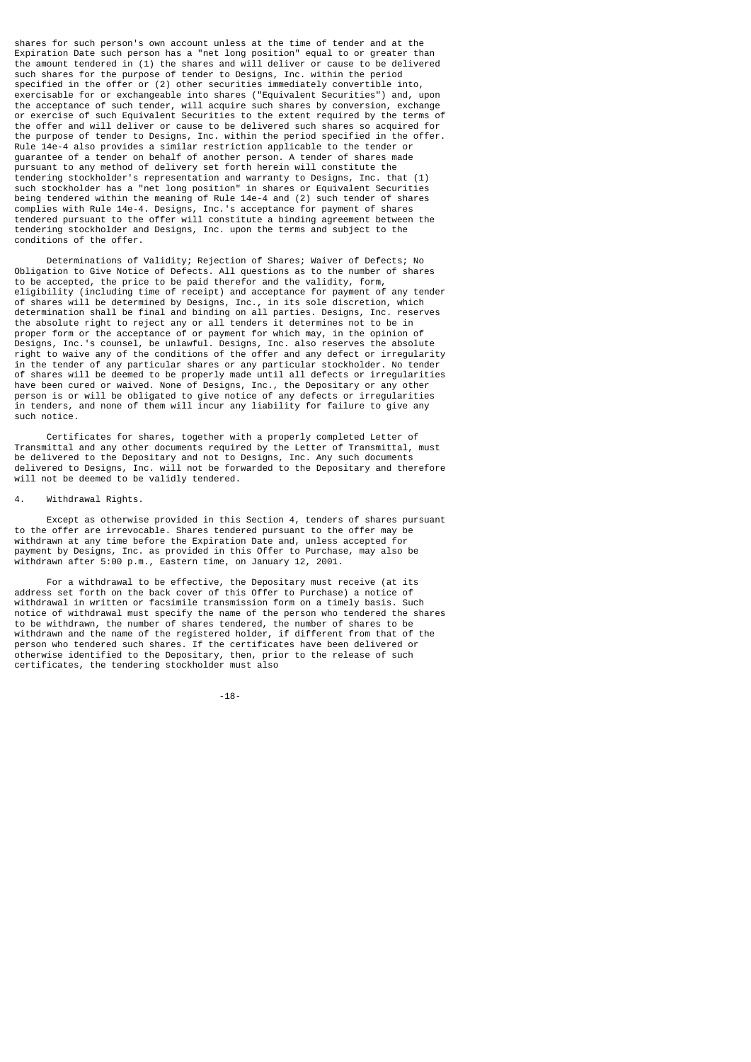shares for such person's own account unless at the time of tender and at the Expiration Date such person has a "net long position" equal to or greater than the amount tendered in (1) the shares and will deliver or cause to be delivered such shares for the purpose of tender to Designs, Inc. within the period specified in the offer or (2) other securities immediately convertible into, exercisable for or exchangeable into shares ("Equivalent Securities") and, upon the acceptance of such tender, will acquire such shares by conversion, exchange or exercise of such Equivalent Securities to the extent required by the terms of the offer and will deliver or cause to be delivered such shares so acquired for the purpose of tender to Designs, Inc. within the period specified in the offer. Rule 14e-4 also provides a similar restriction applicable to the tender or guarantee of a tender on behalf of another person. A tender of shares made pursuant to any method of delivery set forth herein will constitute the tendering stockholder's representation and warranty to Designs, Inc. that (1) such stockholder has a "net long position" in shares or Equivalent Securities being tendered within the meaning of Rule 14e-4 and (2) such tender of shares complies with Rule 14e-4. Designs, Inc.'s acceptance for payment of shares tendered pursuant to the offer will constitute a binding agreement between the tendering stockholder and Designs, Inc. upon the terms and subject to the conditions of the offer.

 Determinations of Validity; Rejection of Shares; Waiver of Defects; No Obligation to Give Notice of Defects. All questions as to the number of shares to be accepted, the price to be paid therefor and the validity, form, eligibility (including time of receipt) and acceptance for payment of any tender of shares will be determined by Designs, Inc., in its sole discretion, which determination shall be final and binding on all parties. Designs, Inc. reserves the absolute right to reject any or all tenders it determines not to be in proper form or the acceptance of or payment for which may, in the opinion of Designs, Inc.'s counsel, be unlawful. Designs, Inc. also reserves the absolute right to waive any of the conditions of the offer and any defect or irregularity in the tender of any particular shares or any particular stockholder. No tender of shares will be deemed to be properly made until all defects or irregularities have been cured or waived. None of Designs, Inc., the Depositary or any other person is or will be obligated to give notice of any defects or irregularities in tenders, and none of them will incur any liability for failure to give any such notice.

 Certificates for shares, together with a properly completed Letter of Transmittal and any other documents required by the Letter of Transmittal, must be delivered to the Depositary and not to Designs, Inc. Any such documents delivered to Designs, Inc. will not be forwarded to the Depositary and therefore will not be deemed to be validly tendered.

#### Withdrawal Rights.

 Except as otherwise provided in this Section 4, tenders of shares pursuant to the offer are irrevocable. Shares tendered pursuant to the offer may be withdrawn at any time before the Expiration Date and, unless accepted for payment by Designs, Inc. as provided in this Offer to Purchase, may also be withdrawn after 5:00 p.m., Eastern time, on January 12, 2001.

 For a withdrawal to be effective, the Depositary must receive (at its address set forth on the back cover of this Offer to Purchase) a notice of withdrawal in written or facsimile transmission form on a timely basis. Such notice of withdrawal must specify the name of the person who tendered the shares to be withdrawn, the number of shares tendered, the number of shares to be withdrawn and the name of the registered holder, if different from that of the person who tendered such shares. If the certificates have been delivered or otherwise identified to the Depositary, then, prior to the release of such certificates, the tendering stockholder must also

-18-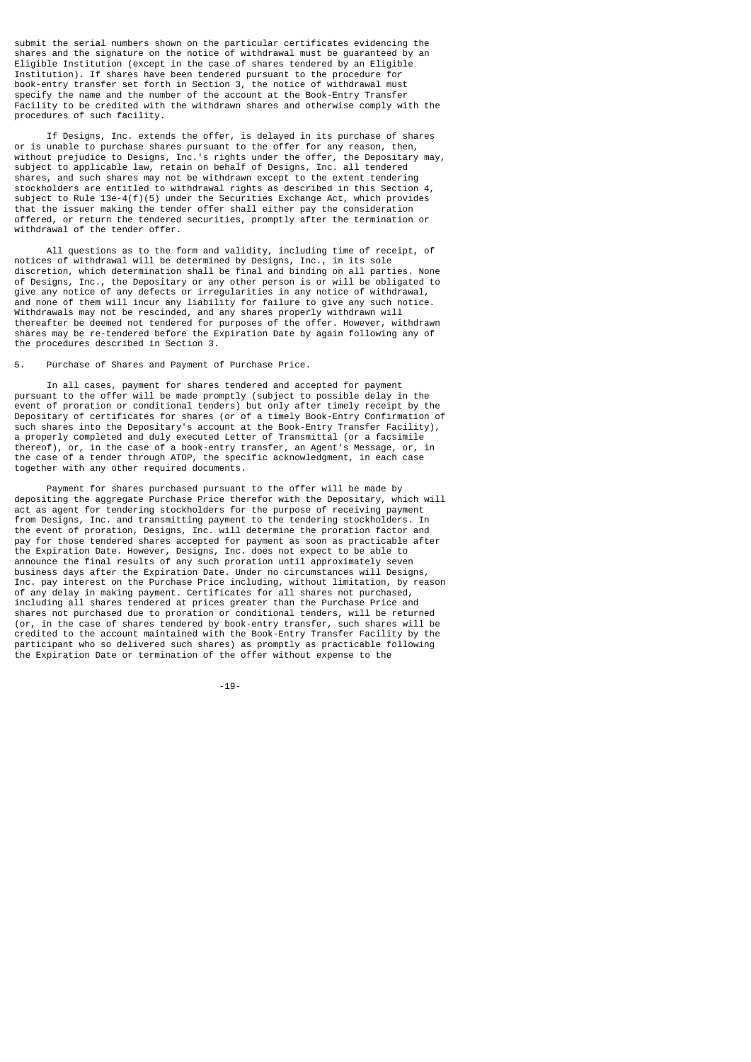submit the serial numbers shown on the particular certificates evidencing the shares and the signature on the notice of withdrawal must be guaranteed by an Eligible Institution (except in the case of shares tendered by an Eligible Institution). If shares have been tendered pursuant to the procedure for book-entry transfer set forth in Section 3, the notice of withdrawal must specify the name and the number of the account at the Book-Entry Transfer Facility to be credited with the withdrawn shares and otherwise comply with the procedures of such facility.

 If Designs, Inc. extends the offer, is delayed in its purchase of shares or is unable to purchase shares pursuant to the offer for any reason, then, without prejudice to Designs, Inc.'s rights under the offer, the Depositary may, subject to applicable law, retain on behalf of Designs, Inc. all tendered shares, and such shares may not be withdrawn except to the extent tendering stockholders are entitled to withdrawal rights as described in this Section 4, subject to Rule  $13e-4(f)(5)$  under the Securities Exchange Act, which provides that the issuer making the tender offer shall either pay the consideration offered, or return the tendered securities, promptly after the termination or withdrawal of the tender offer.

 All questions as to the form and validity, including time of receipt, of notices of withdrawal will be determined by Designs, Inc., in its sole discretion, which determination shall be final and binding on all parties. None of Designs, Inc., the Depositary or any other person is or will be obligated to give any notice of any defects or irregularities in any notice of withdrawal, and none of them will incur any liability for failure to give any such notice. Withdrawals may not be rescinded, and any shares properly withdrawn will thereafter be deemed not tendered for purposes of the offer. However, withdrawn shares may be re-tendered before the Expiration Date by again following any of the procedures described in Section 3.

# Purchase of Shares and Payment of Purchase Price.

 In all cases, payment for shares tendered and accepted for payment pursuant to the offer will be made promptly (subject to possible delay in the event of proration or conditional tenders) but only after timely receipt by the Depositary of certificates for shares (or of a timely Book-Entry Confirmation of such shares into the Depositary's account at the Book-Entry Transfer Facility), a properly completed and duly executed Letter of Transmittal (or a facsimile thereof), or, in the case of a book-entry transfer, an Agent's Message, or, in the case of a tender through ATOP, the specific acknowledgment, in each case together with any other required documents.

 Payment for shares purchased pursuant to the offer will be made by depositing the aggregate Purchase Price therefor with the Depositary, which will act as agent for tendering stockholders for the purpose of receiving payment from Designs, Inc. and transmitting payment to the tendering stockholders. In the event of proration, Designs, Inc. will determine the proration factor and pay for those tendered shares accepted for payment as soon as practicable after the Expiration Date. However, Designs, Inc. does not expect to be able to announce the final results of any such proration until approximately seven business days after the Expiration Date. Under no circumstances will Designs, Inc. pay interest on the Purchase Price including, without limitation, by reason of any delay in making payment. Certificates for all shares not purchased, including all shares tendered at prices greater than the Purchase Price and including all shares tendered at prices greater than the Purchase Price and shares not purchased due to proration or conditional tenders, will be returned (or, in the case of shares tendered by book-entry transfer, such shares will be credited to the account maintained with the Book-Entry Transfer Facility by the participant who so delivered such shares) as promptly as practicable following the Expiration Date or termination of the offer without expense to the

-19-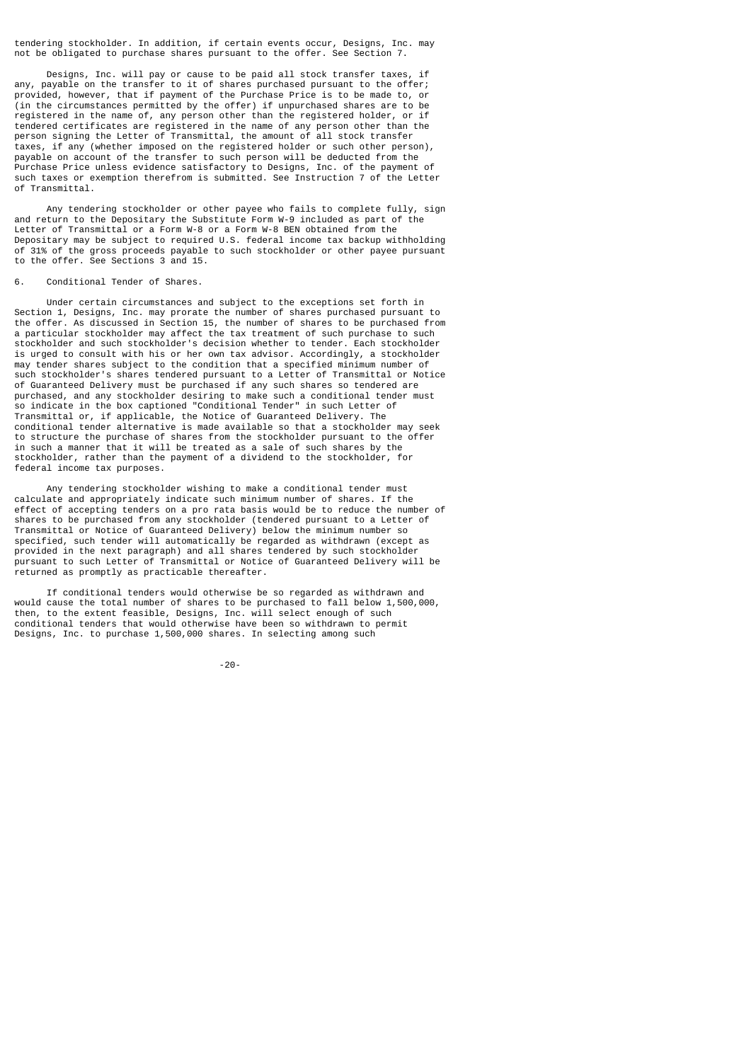tendering stockholder. In addition, if certain events occur, Designs, Inc. may not be obligated to purchase shares pursuant to the offer. See Section 7.

 Designs, Inc. will pay or cause to be paid all stock transfer taxes, if payable on the transfer to it of shares purchased pursuant to the offer; provided, however, that if payment of the Purchase Price is to be made to, or (in the circumstances permitted by the offer) if unpurchased shares are to be registered in the name of, any person other than the registered holder, or if tendered certificates are registered in the name of any person other than the person signing the Letter of Transmittal, the amount of all stock transfer taxes, if any (whether imposed on the registered holder or such other person), payable on account of the transfer to such person will be deducted from the Purchase Price unless evidence satisfactory to Designs, Inc. of the payment of such taxes or exemption therefrom is submitted. See Instruction 7 of the Letter of Transmittal.

 Any tendering stockholder or other payee who fails to complete fully, sign and return to the Depositary the Substitute Form W-9 included as part of the Letter of Transmittal or a Form W-8 or a Form W-8 BEN obtained from the Depositary may be subject to required U.S. federal income tax backup withholding of 31% of the gross proceeds payable to such stockholder or other payee pursuant to the offer. See Sections 3 and 15.

### 6. Conditional Tender of Shares.

 Under certain circumstances and subject to the exceptions set forth in Section 1, Designs, Inc. may prorate the number of shares purchased pursuant to the offer. As discussed in Section 15, the number of shares to be purchased from a particular stockholder may affect the tax treatment of such purchase to such stockholder and such stockholder's decision whether to tender. Each stockholder is urged to consult with his or her own tax advisor. Accordingly, a stockholder may tender shares subject to the condition that a specified minimum number of such stockholder's shares tendered pursuant to a Letter of Transmittal or Notice of Guaranteed Delivery must be purchased if any such shares so tendered are purchased, and any stockholder desiring to make such a conditional tender must so indicate in the box captioned "Conditional Tender" in such Letter of Transmittal or, if applicable, the Notice of Guaranteed Delivery. The conditional tender alternative is made available so that a stockholder may seek to structure the purchase of shares from the stockholder pursuant to the offer in such a manner that it will be treated as a sale of such shares by the stockholder, rather than the payment of a dividend to the stockholder, for federal income tax purposes.

 Any tendering stockholder wishing to make a conditional tender must calculate and appropriately indicate such minimum number of shares. If the effect of accepting tenders on a pro rata basis would be to reduce the number of shares to be purchased from any stockholder (tendered pursuant to a Letter of Transmittal or Notice of Guaranteed Delivery) below the minimum number so specified, such tender will automatically be regarded as withdrawn (except as provided in the next paragraph) and all shares tendered by such stockholder pursuant to such Letter of Transmittal or Notice of Guaranteed Delivery will be returned as promptly as practicable thereafter.

 If conditional tenders would otherwise be so regarded as withdrawn and would cause the total number of shares to be purchased to fall below 1,500,000, then, to the extent feasible, Designs, Inc. will select enough of such conditional tenders that would otherwise have been so withdrawn to permit Designs, Inc. to purchase 1,500,000 shares. In selecting among such

-20-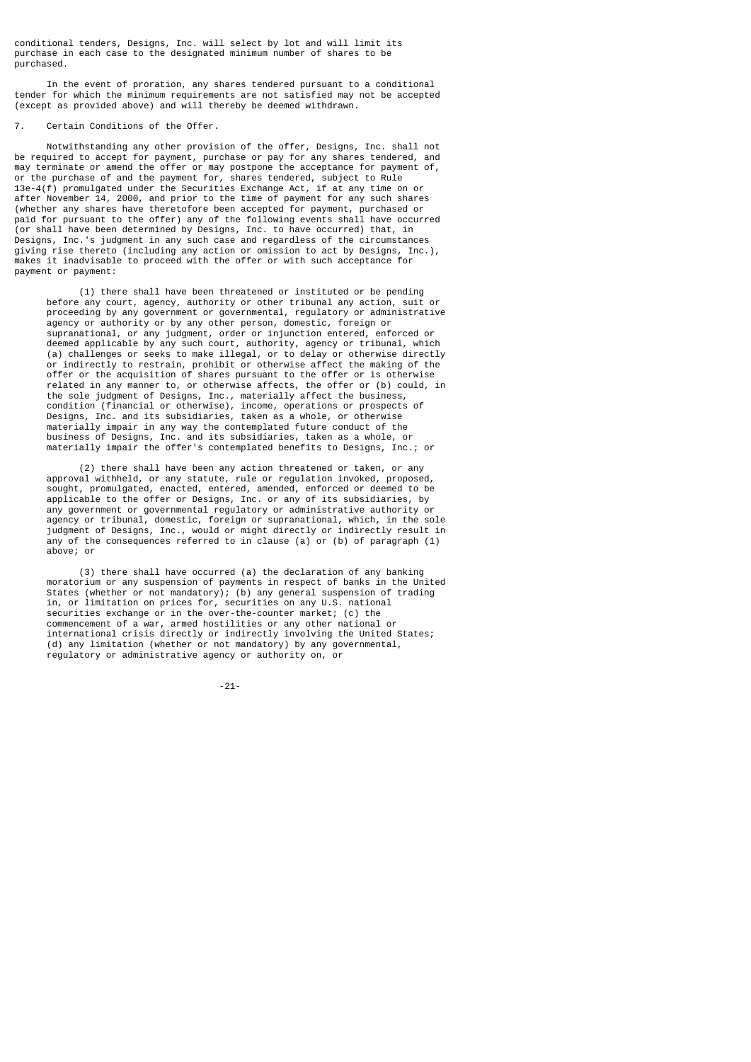conditional tenders, Designs, Inc. will select by lot and will limit its purchase in each case to the designated minimum number of shares to be purchased.

 In the event of proration, any shares tendered pursuant to a conditional tender for which the minimum requirements are not satisfied may not be accepted (except as provided above) and will thereby be deemed withdrawn.

#### 7. Certain Conditions of the Offer.

 Notwithstanding any other provision of the offer, Designs, Inc. shall not be required to accept for payment, purchase or pay for any shares tendered, and may terminate or amend the offer or may postpone the acceptance for payment of, or the purchase of and the payment for, shares tendered, subject to Rule 13e-4(f) promulgated under the Securities Exchange Act, if at any time on or after November 14, 2000, and prior to the time of payment for any such shares (whether any shares have theretofore been accepted for payment, purchased or paid for pursuant to the offer) any of the following events shall have occurred (or shall have been determined by Designs, Inc. to have occurred) that, in Designs, Inc.'s judgment in any such case and regardless of the circumstances giving rise thereto (including any action or omission to act by Designs, Inc.), makes it inadvisable to proceed with the offer or with such acceptance for payment or payment:

 (1) there shall have been threatened or instituted or be pending before any court, agency, authority or other tribunal any action, suit or proceeding by any government or governmental, regulatory or administrative agency or authority or by any other person, domestic, foreign or supranational, or any judgment, order or injunction entered, enforced or deemed applicable by any such court, authority, agency or tribunal, which (a) challenges or seeks to make illegal, or to delay or otherwise directly or indirectly to restrain, prohibit or otherwise affect the making of the offer or the acquisition of shares pursuant to the offer or is otherwise related in any manner to, or otherwise affects, the offer or (b) could, in the sole judgment of Designs, Inc., materially affect the business, condition (financial or otherwise), income, operations or prospects of Designs, Inc. and its subsidiaries, taken as a whole, or otherwise materially impair in any way the contemplated future conduct of the business of Designs, Inc. and its subsidiaries, taken as a whole, or materially impair the offer's contemplated benefits to Designs, Inc.; or

 (2) there shall have been any action threatened or taken, or any approval withheld, or any statute, rule or regulation invoked, proposed, sought, promulgated, enacted, entered, amended, enforced or deemed to be applicable to the offer or Designs, Inc. or any of its subsidiaries, by any government or governmental regulatory or administrative authority or agency or tribunal, domestic, foreign or supranational, which, in the sole judgment of Designs, Inc., would or might directly or indirectly result in any of the consequences referred to in clause (a) or (b) of paragraph  $(1)$ above; or

 (3) there shall have occurred (a) the declaration of any banking moratorium or any suspension of payments in respect of banks in the United States (whether or not mandatory); (b) any general suspension of trading in, or limitation on prices for, securities on any U.S. national securities exchange or in the over-the-counter market; (c) the commencement of a war, armed hostilities or any other national or international crisis directly or indirectly involving the United States; (d) any limitation (whether or not mandatory) by any governmental, regulatory or administrative agency or authority on, or

-21-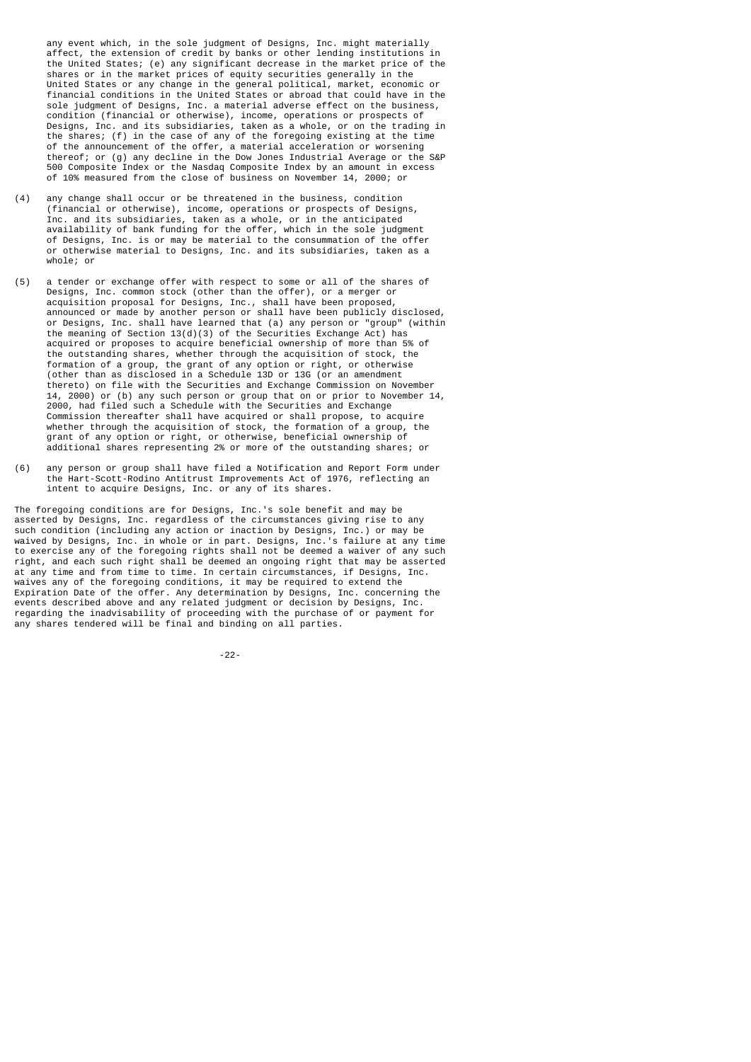any event which, in the sole judgment of Designs, Inc. might materially affect, the extension of credit by banks or other lending institutions in the United States; (e) any significant decrease in the market price of the shares or in the market prices of equity securities generally in the United States or any change in the general political, market, economic or financial conditions in the United States or abroad that could have in the sole judgment of Designs, Inc. a material adverse effect on the business, condition (financial or otherwise), income, operations or prospects of Designs, Inc. and its subsidiaries, taken as a whole, or on the trading in the shares; (f) in the case of any of the foregoing existing at the time of the announcement of the offer, a material acceleration or worsening thereof; or (g) any decline in the Dow Jones Industrial Average or the S&P 500 Composite Index or the Nasdaq Composite Index by an amount in excess of 10% measured from the close of business on November 14, 2000; or

- (4) any change shall occur or be threatened in the business, condition (financial or otherwise), income, operations or prospects of Designs, Inc. and its subsidiaries, taken as a whole, or in the anticipated availability of bank funding for the offer, which in the sole judgment of Designs, Inc. is or may be material to the consummation of the offer or otherwise material to Designs, Inc. and its subsidiaries, taken as a whole; or
- (5) a tender or exchange offer with respect to some or all of the shares of Designs, Inc. common stock (other than the offer), or a merger or acquisition proposal for Designs, Inc., shall have been proposed, announced or made by another person or shall have been publicly disclosed, or Designs, Inc. shall have learned that (a) any person or "group" (within the meaning of Section  $13(d)(3)$  of the Securities Exchange Act) has acquired or proposes to acquire beneficial ownership of more than 5% of the outstanding shares, whether through the acquisition of stock, the formation of a group, the grant of any option or right, or otherwise (other than as disclosed in a Schedule 13D or 13G (or an amendment thereto) on file with the Securities and Exchange Commission on November 14, 2000) or (b) any such person or group that on or prior to November 14, 2000, had filed such a Schedule with the Securities and Exchange Commission thereafter shall have acquired or shall propose, to acquire whether through the acquisition of stock, the formation of a group, the grant of any option or right, or otherwise, beneficial ownership of additional shares representing 2% or more of the outstanding shares; or
- (6) any person or group shall have filed a Notification and Report Form under the Hart-Scott-Rodino Antitrust Improvements Act of 1976, reflecting an intent to acquire Designs, Inc. or any of its shares.

The foregoing conditions are for Designs, Inc.'s sole benefit and may be asserted by Designs, Inc. regardless of the circumstances giving rise to any such condition (including any action or inaction by Designs, Inc.) or may be waived by Designs, Inc. in whole or in part. Designs, Inc.'s failure at any time to exercise any of the foregoing rights shall not be deemed a waiver of any such right, and each such right shall be deemed an ongoing right that may be asserted at any time and from time to time. In certain circumstances, if Designs, Inc. waives any of the foregoing conditions, it may be required to extend the Expiration Date of the offer. Any determination by Designs, Inc. concerning the events described above and any related judgment or decision by Designs, Inc. regarding the inadvisability of proceeding with the purchase of or payment for any shares tendered will be final and binding on all parties.

-22-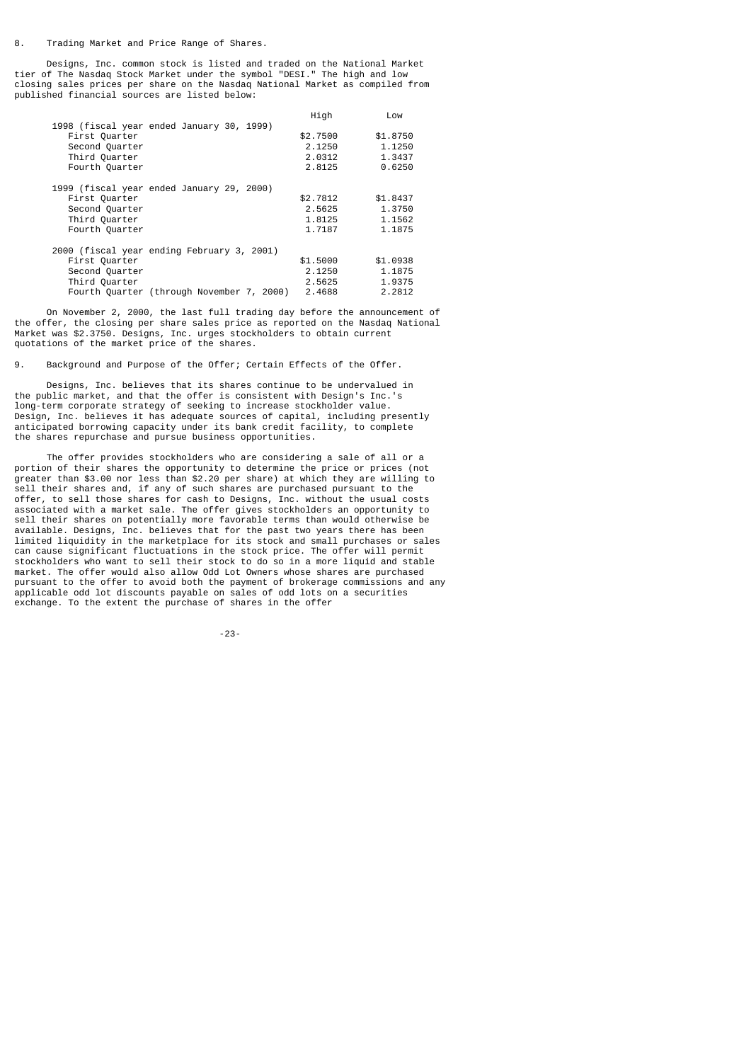Designs, Inc. common stock is listed and traded on the National Market tier of The Nasdaq Stock Market under the symbol "DESI." The high and low closing sales prices per share on the Nasdaq National Market as compiled from published financial sources are listed below:

|                                            | High     | Low      |
|--------------------------------------------|----------|----------|
| 1998 (fiscal year ended January 30, 1999)  |          |          |
| First Quarter                              | \$2,7500 | \$1,8750 |
| Second Quarter                             | 2.1250   | 1.1250   |
| Third Quarter                              | 2.0312   | 1.3437   |
| Fourth Quarter                             | 2.8125   | 0.6250   |
| 1999 (fiscal year ended January 29, 2000)  |          |          |
| First Quarter                              | \$2,7812 | \$1,8437 |
| Second Quarter                             | 2.5625   | 1.3750   |
| Third Quarter                              | 1.8125   | 1.1562   |
| Fourth Quarter                             | 1.7187   | 1.1875   |
| 2000 (fiscal year ending February 3, 2001) |          |          |
| First Quarter                              | \$1,5000 | \$1,0938 |
| Second Quarter                             | 2.1250   | 1.1875   |
| Third Quarter                              | 2.5625   | 1.9375   |
| Fourth Quarter (through November 7, 2000)  | 2.4688   | 2.2812   |
|                                            |          |          |

 On November 2, 2000, the last full trading day before the announcement of the offer, the closing per share sales price as reported on the Nasdaq National Market was \$2.3750. Designs, Inc. urges stockholders to obtain current quotations of the market price of the shares.

9. Background and Purpose of the Offer; Certain Effects of the Offer.

 Designs, Inc. believes that its shares continue to be undervalued in the public market, and that the offer is consistent with Design's Inc.'s long-term corporate strategy of seeking to increase stockholder value. Design, Inc. believes it has adequate sources of capital, including presently anticipated borrowing capacity under its bank credit facility, to complete the shares repurchase and pursue business opportunities.

 The offer provides stockholders who are considering a sale of all or a portion of their shares the opportunity to determine the price or prices (not greater than \$3.00 nor less than \$2.20 per share) at which they are willing to sell their shares and, if any of such shares are purchased pursuant to the offer, to sell those shares for cash to Designs, Inc. without the usual costs associated with a market sale. The offer gives stockholders an opportunity to sell their shares on potentially more favorable terms than would otherwise be available. Designs, Inc. believes that for the past two years there has been limited liquidity in the marketplace for its stock and small purchases or sales can cause significant fluctuations in the stock price. The offer will permit stockholders who want to sell their stock to do so in a more liquid and stable market. The offer would also allow Odd Lot Owners whose shares are purchased pursuant to the offer to avoid both the payment of brokerage commissions and any applicable odd lot discounts payable on sales of odd lots on a securities exchange. To the extent the purchase of shares in the offer

-23-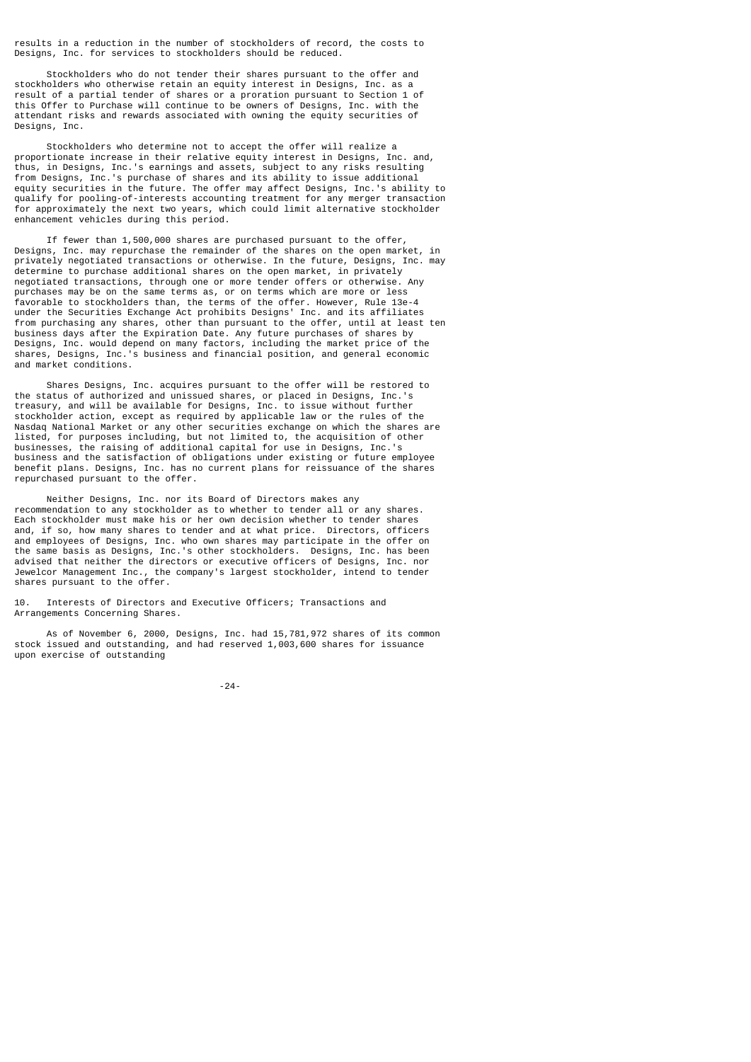results in a reduction in the number of stockholders of record, the costs to Designs, Inc. for services to stockholders should be reduced.

 Stockholders who do not tender their shares pursuant to the offer and stockholders who otherwise retain an equity interest in Designs, Inc. as a result of a partial tender of shares or a proration pursuant to Section 1 of this Offer to Purchase will continue to be owners of Designs, Inc. with the attendant risks and rewards associated with owning the equity securities of Designs, Inc.

 Stockholders who determine not to accept the offer will realize a proportionate increase in their relative equity interest in Designs, Inc. and, thus, in Designs, Inc.'s earnings and assets, subject to any risks resulting from Designs, Inc.'s purchase of shares and its ability to issue additional equity securities in the future. The offer may affect Designs, Inc.'s ability to qualify for pooling-of-interests accounting treatment for any merger transaction for approximately the next two years, which could limit alternative stockholder enhancement vehicles during this period.

 If fewer than 1,500,000 shares are purchased pursuant to the offer, Designs, Inc. may repurchase the remainder of the shares on the open market, in privately negotiated transactions or otherwise. In the future, Designs, Inc. may determine to purchase additional shares on the open market, in privately negotiated transactions, through one or more tender offers or otherwise. Any purchases may be on the same terms as, or on terms which are more or less favorable to stockholders than, the terms of the offer. However, Rule 13e-4 under the Securities Exchange Act prohibits Designs' Inc. and its affiliates from purchasing any shares, other than pursuant to the offer, until at least ten business days after the Expiration Date. Any future purchases of shares by Designs, Inc. would depend on many factors, including the market price of the shares, Designs, Inc.'s business and financial position, and general economic and market conditions.

 Shares Designs, Inc. acquires pursuant to the offer will be restored to the status of authorized and unissued shares, or placed in Designs, Inc.'s treasury, and will be available for Designs, Inc. to issue without further stockholder action, except as required by applicable law or the rules of the Nasdaq National Market or any other securities exchange on which the shares are listed, for purposes including, but not limited to, the acquisition of other businesses, the raising of additional capital for use in Designs, Inc.'s business and the satisfaction of obligations under existing or future employee benefit plans. Designs, Inc. has no current plans for reissuance of the shares repurchased pursuant to the offer.

 Neither Designs, Inc. nor its Board of Directors makes any recommendation to any stockholder as to whether to tender all or any shares. Each stockholder must make his or her own decision whether to tender shares and, if so, how many shares to tender and at what price. Directors, officers and employees of Designs, Inc. who own shares may participate in the offer on the same basis as Designs, Inc.'s other stockholders. Designs, Inc. has been advised that neither the directors or executive officers of Designs, Inc. nor Jewelcor Management Inc., the company's largest stockholder, intend to tender shares pursuant to the offer.

10. Interests of Directors and Executive Officers; Transactions and Arrangements Concerning Shares.

 As of November 6, 2000, Designs, Inc. had 15,781,972 shares of its common stock issued and outstanding, and had reserved 1,003,600 shares for issuance upon exercise of outstanding

-24-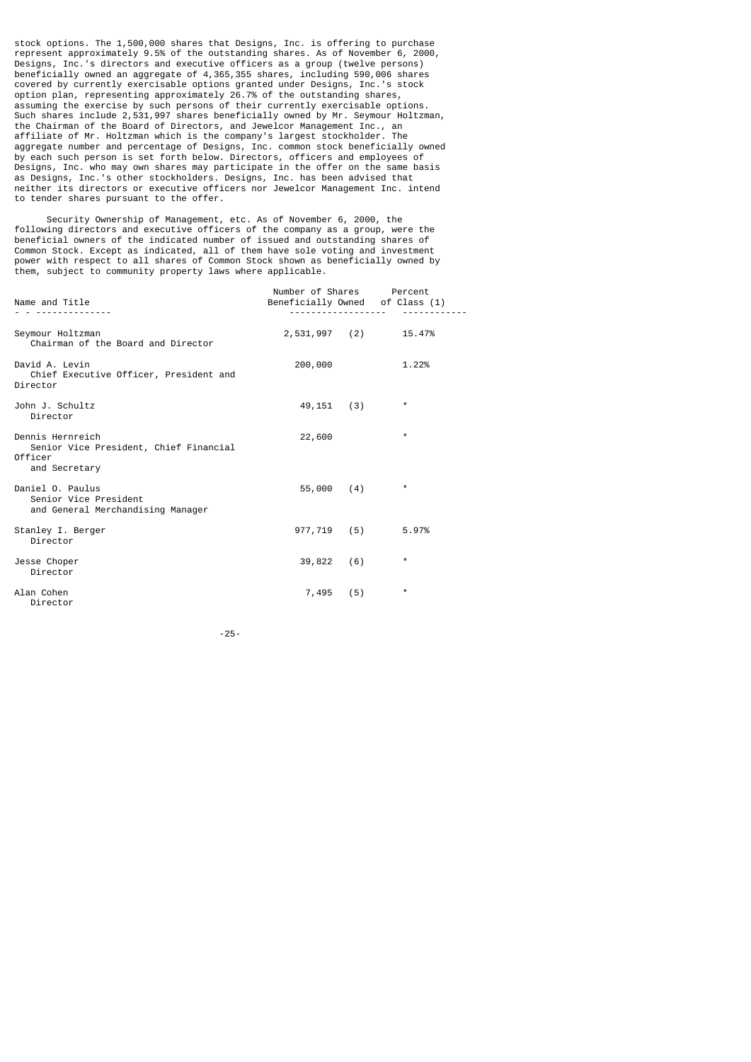stock options. The 1,500,000 shares that Designs, Inc. is offering to purchase represent approximately 9.5% of the outstanding shares. As of November 6, 2000, Designs, Inc.'s directors and executive officers as a group (twelve persons) beneficially owned an aggregate of 4,365,355 shares, including 590,006 shares covered by currently exercisable options granted under Designs, Inc.'s stock option plan, representing approximately 26.7% of the outstanding shares, assuming the exercise by such persons of their currently exercisable options. Such shares include 2,531,997 shares beneficially owned by Mr. Seymour Holtzman, the Chairman of the Board of Directors, and Jewelcor Management Inc., an affiliate of Mr. Holtzman which is the company's largest stockholder. The aggregate number and percentage of Designs, Inc. common stock beneficially owned by each such person is set forth below. Directors, officers and employees of Designs, Inc. who may own shares may participate in the offer on the same basis as Designs, Inc.'s other stockholders. Designs, Inc. has been advised that neither its directors or executive officers nor Jewelcor Management Inc. intend to tender shares pursuant to the offer.

 Security Ownership of Management, etc. As of November 6, 2000, the following directors and executive officers of the company as a group, were the beneficial owners of the indicated number of issued and outstanding shares of Common Stock. Except as indicated, all of them have sole voting and investment power with respect to all shares of Common Stock shown as beneficially owned by them, subject to community property laws where applicable.

| Name and Title                                                                         | Number of Shares<br>Beneficially Owned of Class (1) |     | Percent              |
|----------------------------------------------------------------------------------------|-----------------------------------------------------|-----|----------------------|
| Seymour Holtzman<br>Chairman of the Board and Director                                 |                                                     |     | 2,531,997 (2) 15.47% |
| David A. Levin<br>Chief Executive Officer, President and<br>Director                   | 200,000                                             |     | 1.22%                |
| John J. Schultz<br>Director                                                            | $49,151$ (3)                                        |     | $^\star$             |
| Dennis Hernreich<br>Senior Vice President, Chief Financial<br>Officer<br>and Secretary | 22,600                                              |     | $\star$              |
| Daniel O. Paulus<br>Senior Vice President<br>and General Merchandising Manager         | 55,000                                              | (4) | $^\star$             |
| Stanley I. Berger<br>Director                                                          | 977,719 (5)                                         |     | 5.97%                |
| Jesse Choper<br>Director                                                               | 39,822                                              | (6) | $^\star$             |
| Alan Cohen<br>Director                                                                 | 7,495                                               | (5) | $^\star$             |

-25-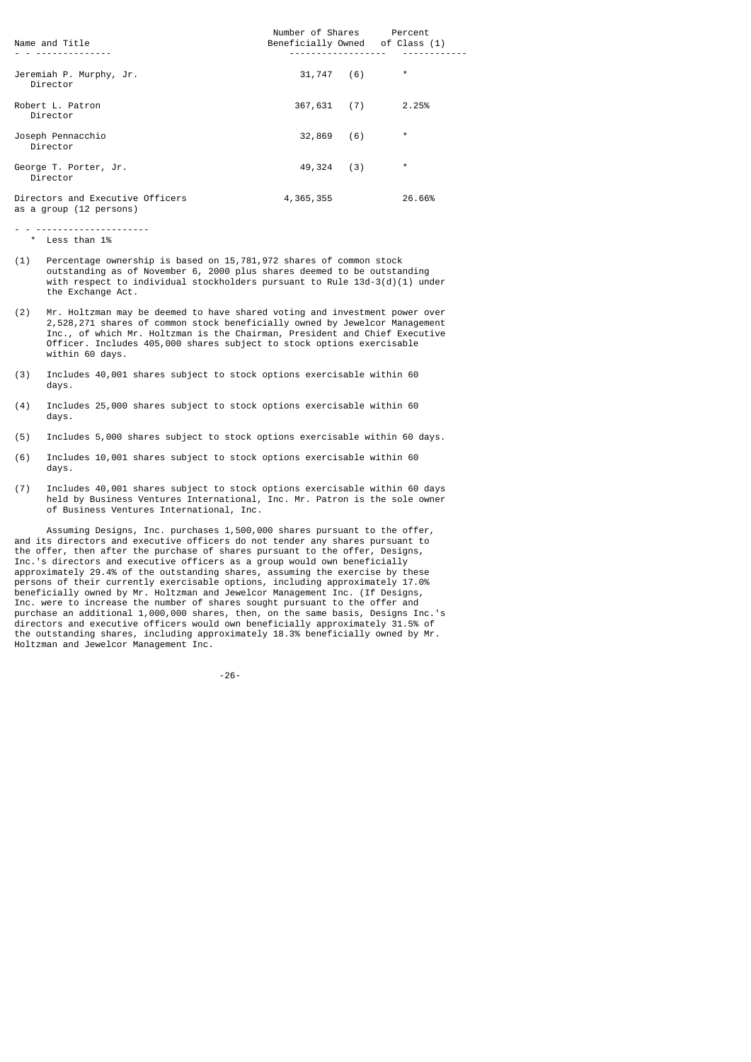| Name and Title                                              | Number of Shares<br>Beneficially Owned of Class (1) | Percent  |
|-------------------------------------------------------------|-----------------------------------------------------|----------|
|                                                             |                                                     |          |
| Jeremiah P. Murphy, Jr.<br>Director                         | 31,747<br>(6)                                       | $^\star$ |
| Robert L. Patron<br>Director                                | 367,631<br>(7)                                      | 2.25%    |
| Joseph Pennacchio<br>Director                               | 32,869<br>(6)                                       | $^\star$ |
| George T. Porter, Jr.<br>Director                           | 49,324<br>(3)                                       | $^\star$ |
| Directors and Executive Officers<br>as a group (12 persons) | 4,365,355                                           | 26.66%   |

- - --------------------- \* Less than 1%

- (1) Percentage ownership is based on 15,781,972 shares of common stock outstanding as of November 6, 2000 plus shares deemed to be outstanding with respect to individual stockholders pursuant to Rule 13d-3(d)(1) under the Exchange Act.
- (2) Mr. Holtzman may be deemed to have shared voting and investment power over 2,528,271 shares of common stock beneficially owned by Jewelcor Management Inc., of which Mr. Holtzman is the Chairman, President and Chief Executive Officer. Includes 405,000 shares subject to stock options exercisable within 60 days.
- (3) Includes 40,001 shares subject to stock options exercisable within 60 days.
- (4) Includes 25,000 shares subject to stock options exercisable within 60 days.
- (5) Includes 5,000 shares subject to stock options exercisable within 60 days.
- (6) Includes 10,001 shares subject to stock options exercisable within 60 days.
- (7) Includes 40,001 shares subject to stock options exercisable within 60 days held by Business Ventures International, Inc. Mr. Patron is the sole owner of Business Ventures International, Inc.

 Assuming Designs, Inc. purchases 1,500,000 shares pursuant to the offer, and its directors and executive officers do not tender any shares pursuant to the offer, then after the purchase of shares pursuant to the offer, Designs, Inc.'s directors and executive officers as a group would own beneficially approximately 29.4% of the outstanding shares, assuming the exercise by these persons of their currently exercisable options, including approximately 17.0% beneficially owned by Mr. Holtzman and Jewelcor Management Inc. (If Designs, Inc. were to increase the number of shares sought pursuant to the offer and purchase an additional 1,000,000 shares, then, on the same basis, Designs Inc.'s directors and executive officers would own beneficially approximately 31.5% of the outstanding shares, including approximately 18.3% beneficially owned by Mr. Holtzman and Jewelcor Management Inc.

-26-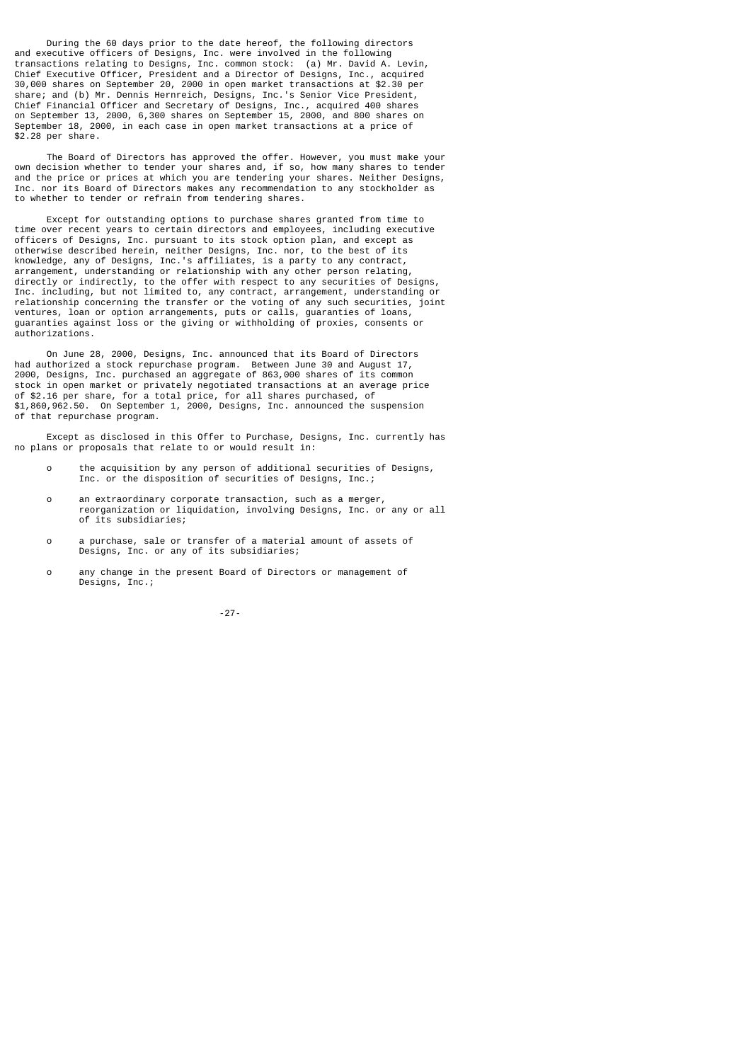During the 60 days prior to the date hereof, the following directors and executive officers of Designs, Inc. were involved in the following transactions relating to Designs, Inc. common stock: (a) Mr. David A. Levin, Chief Executive Officer, President and a Director of Designs, Inc., acquired 30,000 shares on September 20, 2000 in open market transactions at \$2.30 per share; and (b) Mr. Dennis Hernreich, Designs, Inc.'s Senior Vice President, Chief Financial Officer and Secretary of Designs, Inc., acquired 400 shares on September 13, 2000, 6,300 shares on September 15, 2000, and 800 shares on September 18, 2000, in each case in open market transactions at a price of \$2.28 per share.

 The Board of Directors has approved the offer. However, you must make your own decision whether to tender your shares and, if so, how many shares to tender and the price or prices at which you are tendering your shares. Neither Designs, Inc. nor its Board of Directors makes any recommendation to any stockholder as to whether to tender or refrain from tendering shares.

 Except for outstanding options to purchase shares granted from time to time over recent years to certain directors and employees, including executive officers of Designs, Inc. pursuant to its stock option plan, and except as otherwise described herein, neither Designs, Inc. nor, to the best of its knowledge, any of Designs, Inc.'s affiliates, is a party to any contract, arrangement, understanding or relationship with any other person relating, directly or indirectly, to the offer with respect to any securities of Designs, Inc. including, but not limited to, any contract, arrangement, understanding or relationship concerning the transfer or the voting of any such securities, joint ventures, loan or option arrangements, puts or calls, guaranties of loans, guaranties against loss or the giving or withholding of proxies, consents or authorizations.

 On June 28, 2000, Designs, Inc. announced that its Board of Directors had authorized a stock repurchase program. Between June 30 and August 17, 2000, Designs, Inc. purchased an aggregate of 863,000 shares of its common stock in open market or privately negotiated transactions at an average price of \$2.16 per share, for a total price, for all shares purchased, of \$1,860,962.50. On September 1, 2000, Designs, Inc. announced the suspension of that repurchase program.

 Except as disclosed in this Offer to Purchase, Designs, Inc. currently has no plans or proposals that relate to or would result in:

- o the acquisition by any person of additional securities of Designs, Inc. or the disposition of securities of Designs, Inc.;
- o an extraordinary corporate transaction, such as a merger, reorganization or liquidation, involving Designs, Inc. or any or all of its subsidiaries;
- o a purchase, sale or transfer of a material amount of assets of Designs, Inc. or any of its subsidiaries;
- o any change in the present Board of Directors or management of Designs, Inc.;

-27-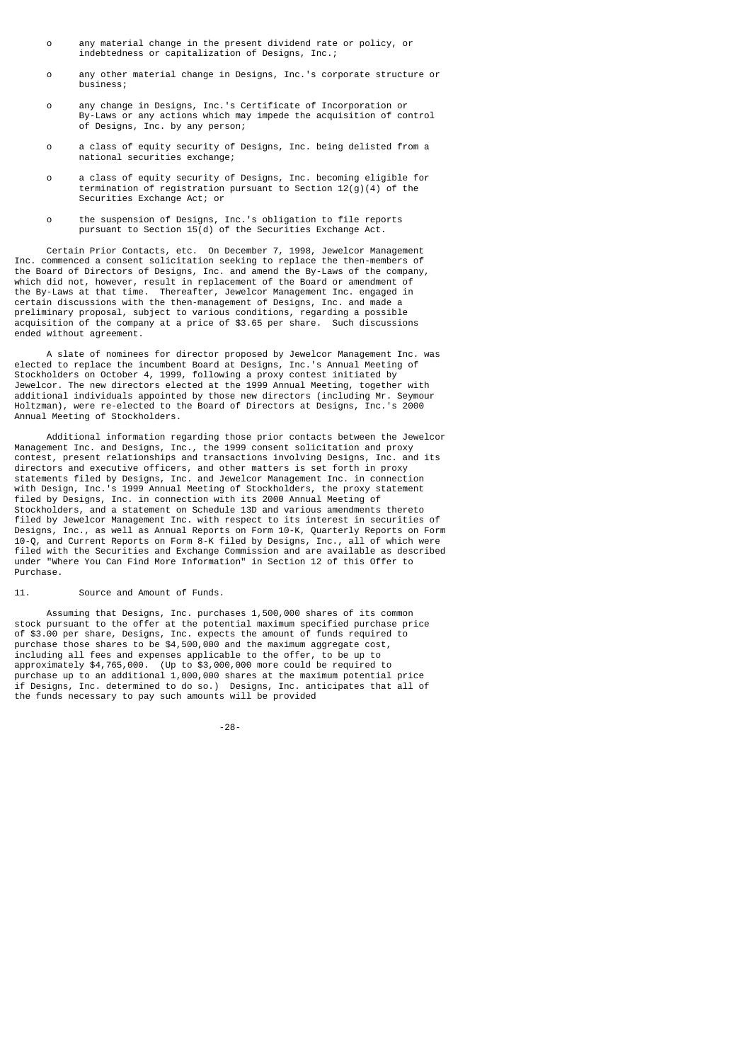- o any material change in the present dividend rate or policy, or indebtedness or capitalization of Designs, Inc.;
- o any other material change in Designs, Inc.'s corporate structure or business;
- o any change in Designs, Inc.'s Certificate of Incorporation or By-Laws or any actions which may impede the acquisition of control of Designs, Inc. by any person;
- o a class of equity security of Designs, Inc. being delisted from a national securities exchange;
- o a class of equity security of Designs, Inc. becoming eligible for termination of registration pursuant to Section  $12(g)(4)$  of the Securities Exchange Act; or
- o the suspension of Designs, Inc.'s obligation to file reports pursuant to Section 15(d) of the Securities Exchange Act.

 Certain Prior Contacts, etc. On December 7, 1998, Jewelcor Management Inc. commenced a consent solicitation seeking to replace the then-members of the Board of Directors of Designs, Inc. and amend the By-Laws of the company, which did not, however, result in replacement of the Board or amendment of the By-Laws at that time. Thereafter, Jewelcor Management Inc. engaged in certain discussions with the then-management of Designs, Inc. and made a preliminary proposal, subject to various conditions, regarding a possible acquisition of the company at a price of \$3.65 per share. Such discussions ended without agreement.

 A slate of nominees for director proposed by Jewelcor Management Inc. was elected to replace the incumbent Board at Designs, Inc.'s Annual Meeting of Stockholders on October 4, 1999, following a proxy contest initiated by Jewelcor. The new directors elected at the 1999 Annual Meeting, together with additional individuals appointed by those new directors (including Mr. Seymour Holtzman), were re-elected to the Board of Directors at Designs, Inc.'s 2000 Annual Meeting of Stockholders.

 Additional information regarding those prior contacts between the Jewelcor Management Inc. and Designs, Inc., the 1999 consent solicitation and proxy contest, present relationships and transactions involving Designs, Inc. and its directors and executive officers, and other matters is set forth in proxy statements filed by Designs, Inc. and Jewelcor Management Inc. in connection with Design, Inc.'s 1999 Annual Meeting of Stockholders, the proxy statement filed by Designs, Inc. in connection with its 2000 Annual Meeting of Stockholders, and a statement on Schedule 13D and various amendments thereto filed by Jewelcor Management Inc. with respect to its interest in securities of Designs, Inc., as well as Annual Reports on Form 10-K, Quarterly Reports on Form 10-Q, and Current Reports on Form 8-K filed by Designs, Inc., all of which were filed with the Securities and Exchange Commission and are available as described under "Where You Can Find More Information" in Section 12 of this Offer to Purchase.

11. Source and Amount of Funds.

 Assuming that Designs, Inc. purchases 1,500,000 shares of its common stock pursuant to the offer at the potential maximum specified purchase price of \$3.00 per share, Designs, Inc. expects the amount of funds required to purchase those shares to be \$4,500,000 and the maximum aggregate cost, including all fees and expenses applicable to the offer, to be up to approximately \$4,765,000. (Up to \$3,000,000 more could be required to purchase up to an additional 1,000,000 shares at the maximum potential price if Designs, Inc. determined to do so.) Designs, Inc. anticipates that all of the funds necessary to pay such amounts will be provided

-28-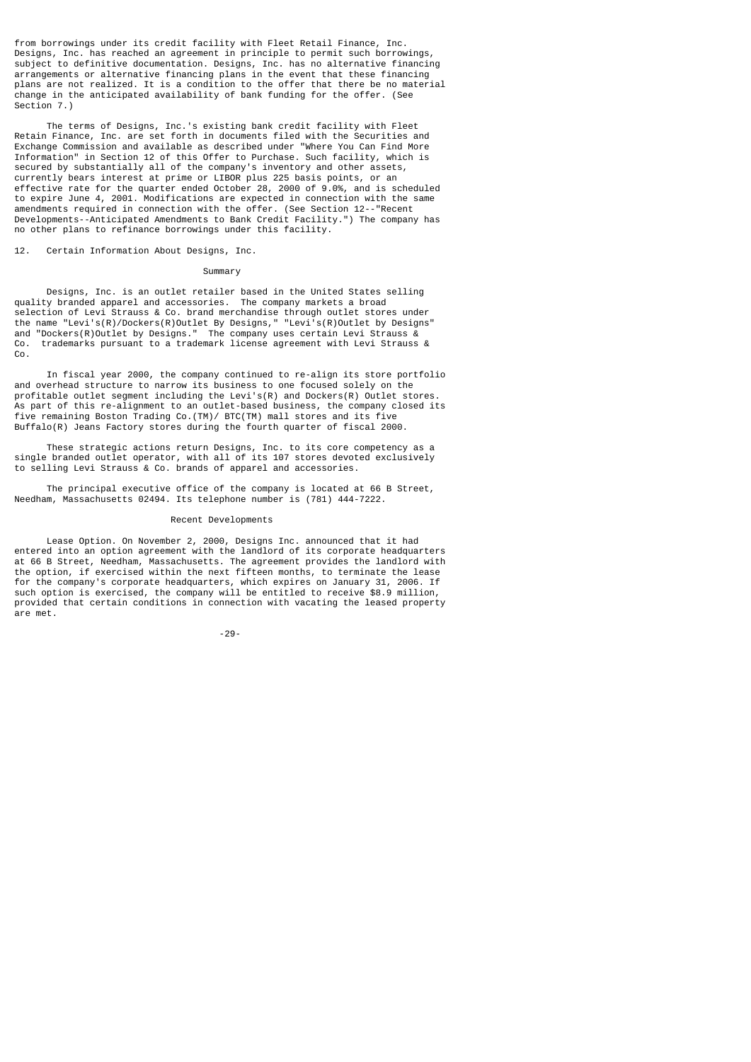from borrowings under its credit facility with Fleet Retail Finance, Inc. Designs, Inc. has reached an agreement in principle to permit such borrowings, subject to definitive documentation. Designs, Inc. has no alternative financing arrangements or alternative financing plans in the event that these financing plans are not realized. It is a condition to the offer that there be no material change in the anticipated availability of bank funding for the offer. (See Section 7.)

 The terms of Designs, Inc.'s existing bank credit facility with Fleet Retain Finance, Inc. are set forth in documents filed with the Securities and Exchange Commission and available as described under "Where You Can Find More Information" in Section 12 of this Offer to Purchase. Such facility, which is secured by substantially all of the company's inventory and other assets, currently bears interest at prime or LIBOR plus 225 basis points, or an effective rate for the quarter ended October 28, 2000 of 9.0%, and is scheduled to expire June 4, 2001. Modifications are expected in connection with the same amendments required in connection with the offer. (See Section 12--"Recent Developments--Anticipated Amendments to Bank Credit Facility.") The company has no other plans to refinance borrowings under this facility.

12. Certain Information About Designs, Inc.

#### Summary

 Designs, Inc. is an outlet retailer based in the United States selling quality branded apparel and accessories. The company markets a broad selection of Levi Strauss & Co. brand merchandise through outlet stores under the name "Levi's(R)/Dockers(R)Outlet By Designs," "Levi's(R)Outlet by Designs" and "Dockers(R)Outlet by Designs." The company uses certain Levi Strauss & Co. trademarks pursuant to a trademark license agreement with Levi Strauss & Co.

 In fiscal year 2000, the company continued to re-align its store portfolio and overhead structure to narrow its business to one focused solely on the profitable outlet segment including the Levi's(R) and Dockers(R) Outlet stores. As part of this re-alignment to an outlet-based business, the company closed its five remaining Boston Trading Co.(TM)/ BTC(TM) mall stores and its five Buffalo(R) Jeans Factory stores during the fourth quarter of fiscal 2000.

 These strategic actions return Designs, Inc. to its core competency as a single branded outlet operator, with all of its 107 stores devoted exclusively to selling Levi Strauss & Co. brands of apparel and accessories.

 The principal executive office of the company is located at 66 B Street, Needham, Massachusetts 02494. Its telephone number is (781) 444-7222.

#### Recent Developments

 Lease Option. On November 2, 2000, Designs Inc. announced that it had entered into an option agreement with the landlord of its corporate headquarters at 66 B Street, Needham, Massachusetts. The agreement provides the landlord with the option, if exercised within the next fifteen months, to terminate the lease for the company's corporate headquarters, which expires on January 31, 2006. If such option is exercised, the company will be entitled to receive \$8.9 million, provided that certain conditions in connection with vacating the leased property are met.

-29-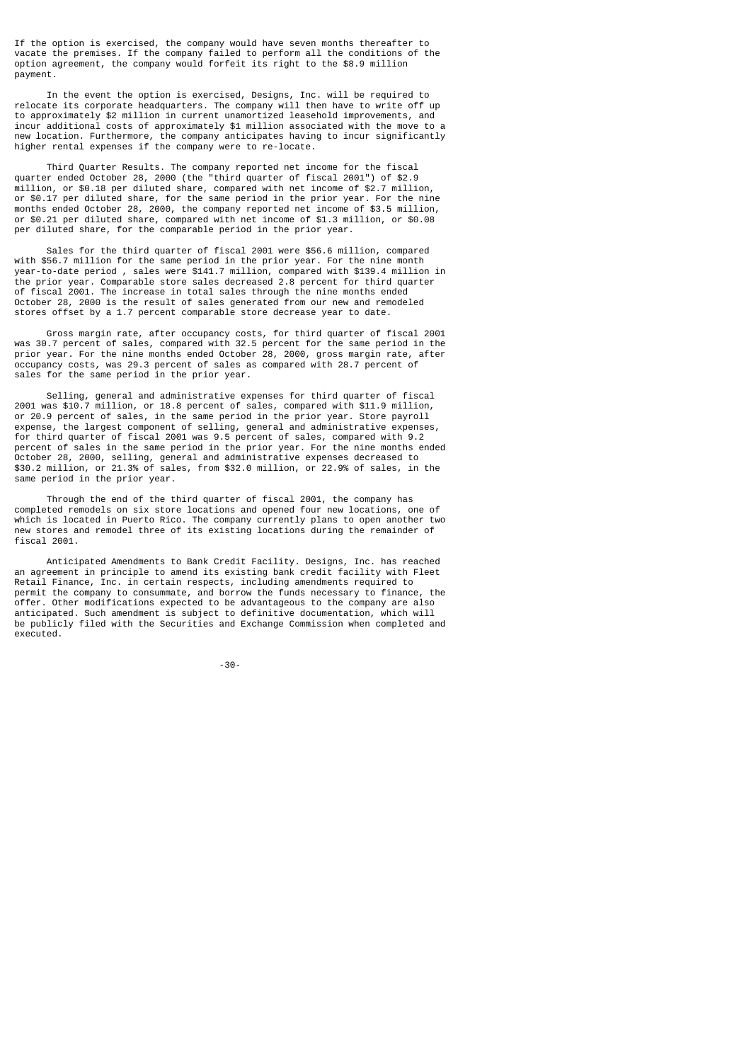If the option is exercised, the company would have seven months thereafter to vacate the premises. If the company failed to perform all the conditions of the option agreement, the company would forfeit its right to the \$8.9 million payment.

 In the event the option is exercised, Designs, Inc. will be required to relocate its corporate headquarters. The company will then have to write off up to approximately \$2 million in current unamortized leasehold improvements, and incur additional costs of approximately \$1 million associated with the move to a new location. Furthermore, the company anticipates having to incur significantly higher rental expenses if the company were to re-locate.

 Third Quarter Results. The company reported net income for the fiscal quarter ended October 28, 2000 (the "third quarter of fiscal 2001") of \$2.9 million, or \$0.18 per diluted share, compared with net income of \$2.7 million, or \$0.17 per diluted share, for the same period in the prior year. For the nine months ended October 28, 2000, the company reported net income of \$3.5 million, or \$0.21 per diluted share, compared with net income of \$1.3 million, or \$0.08 per diluted share, for the comparable period in the prior year.

 Sales for the third quarter of fiscal 2001 were \$56.6 million, compared with \$56.7 million for the same period in the prior year. For the nine month year-to-date period , sales were \$141.7 million, compared with \$139.4 million in the prior year. Comparable store sales decreased 2.8 percent for third quarter of fiscal 2001. The increase in total sales through the nine months ended October 28, 2000 is the result of sales generated from our new and remodeled stores offset by a 1.7 percent comparable store decrease year to date.

 Gross margin rate, after occupancy costs, for third quarter of fiscal 2001 was 30.7 percent of sales, compared with 32.5 percent for the same period in the prior year. For the nine months ended October 28, 2000, gross margin rate, after occupancy costs, was 29.3 percent of sales as compared with 28.7 percent of sales for the same period in the prior year.

 Selling, general and administrative expenses for third quarter of fiscal 2001 was \$10.7 million, or 18.8 percent of sales, compared with \$11.9 million, or 20.9 percent of sales, in the same period in the prior year. Store payroll expense, the largest component of selling, general and administrative expenses, for third quarter of fiscal 2001 was 9.5 percent of sales, compared with 9.2 percent of sales in the same period in the prior year. For the nine months ended October 28, 2000, selling, general and administrative expenses decreased to \$30.2 million, or 21.3% of sales, from \$32.0 million, or 22.9% of sales, in the same period in the prior year.

 Through the end of the third quarter of fiscal 2001, the company has completed remodels on six store locations and opened four new locations, one of which is located in Puerto Rico. The company currently plans to open another two new stores and remodel three of its existing locations during the remainder of fiscal 2001.

 Anticipated Amendments to Bank Credit Facility. Designs, Inc. has reached an agreement in principle to amend its existing bank credit facility with Fleet Retail Finance, Inc. in certain respects, including amendments required to permit the company to consummate, and borrow the funds necessary to finance, the offer. Other modifications expected to be advantageous to the company are also anticipated. Such amendment is subject to definitive documentation, which will be publicly filed with the Securities and Exchange Commission when completed and executed.

-30-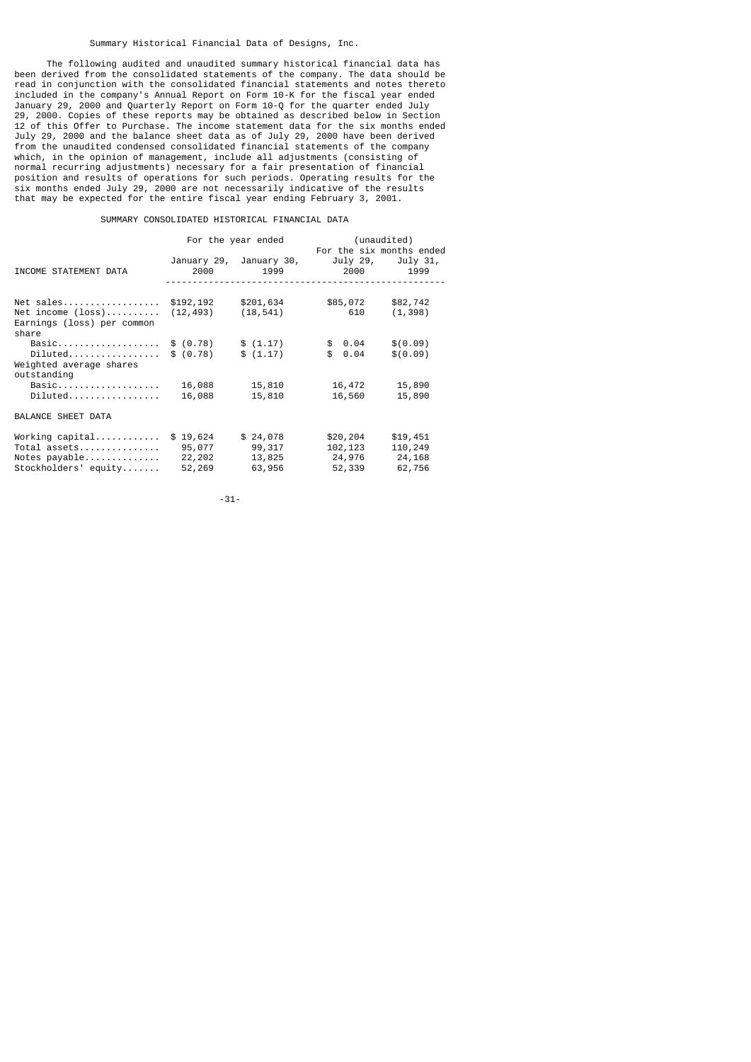### Summary Historical Financial Data of Designs, Inc.

 The following audited and unaudited summary historical financial data has been derived from the consolidated statements of the company. The data should be read in conjunction with the consolidated financial statements and notes thereto included in the company's Annual Report on Form 10-K for the fiscal year ended January 29, 2000 and Quarterly Report on Form 10-Q for the quarter ended July 29, 2000. Copies of these reports may be obtained as described below in Section 12 of this Offer to Purchase. The income statement data for the six months ended July 29, 2000 and the balance sheet data as of July 29, 2000 have been derived from the unaudited condensed consolidated financial statements of the company which, in the opinion of management, include all adjustments (consisting of normal recurring adjustments) necessary for a fair presentation of financial position and results of operations for such periods. Operating results for the six months ended July 29, 2000 are not necessarily indicative of the results that may be expected for the entire fiscal year ending February 3, 2001.

### SUMMARY CONSOLIDATED HISTORICAL FINANCIAL DATA

|                                                                                  |                                        | For the year ended                     |                                         | (unaudited)                                  |
|----------------------------------------------------------------------------------|----------------------------------------|----------------------------------------|-----------------------------------------|----------------------------------------------|
| INCOME STATEMENT DATA                                                            | 2000                                   | January 29, January 30,<br>1999        | July 29,<br>2000                        | For the six months ended<br>July 31,<br>1999 |
| Net sales<br>Net income (loss)<br>Earnings (loss) per common<br>share            | \$192,192<br>(12, 493)                 | \$201,634<br>(18, 541)                 | \$85,072<br>610                         | \$82,742<br>(1, 398)                         |
| Basic<br>$Diluted \ldots \ldots \ldots \ldots \ldots$<br>Weighted average shares | \$ (0.78)<br>\$ (0.78)                 | \$(1.17)<br>\$(1.17)                   | \$0.04<br>\$0.04                        | \$ (0.09)<br>\$ (0.09)                       |
| outstanding<br>Basic<br>$Diluted \ldots \ldots \ldots \ldots \ldots$             | 16,088<br>16,088                       | 15,810<br>15,810                       | 16,472<br>16,560                        | 15,890<br>15,890                             |
| <b>BALANCE SHEET DATA</b>                                                        |                                        |                                        |                                         |                                              |
| Working capital<br>Total assets<br>Notes payable<br>Stockholders' equity         | \$19,624<br>95,077<br>22,202<br>52,269 | \$24,078<br>99,317<br>13,825<br>63,956 | \$20,204<br>102,123<br>24,976<br>52,339 | \$19,451<br>110,249<br>24,168<br>62,756      |

-31-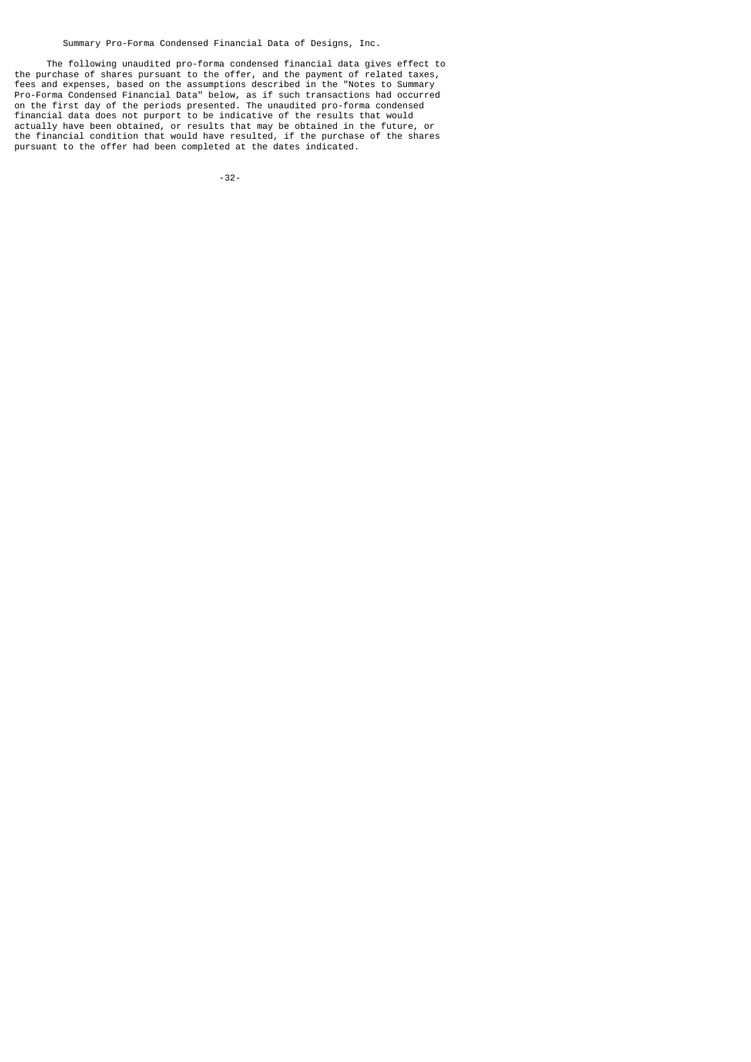Summary Pro-Forma Condensed Financial Data of Designs, Inc.

 The following unaudited pro-forma condensed financial data gives effect to the purchase of shares pursuant to the offer, and the payment of related taxes, fees and expenses, based on the assumptions described in the "Notes to Summary Pro-Forma Condensed Financial Data" below, as if such transactions had occurred on the first day of the periods presented. The unaudited pro-forma condensed financial data does not purport to be indicative of the results that would actually have been obtained, or results that may be obtained in the future, or the financial condition that would have resulted, if the purchase of the shares pursuant to the offer had been completed at the dates indicated.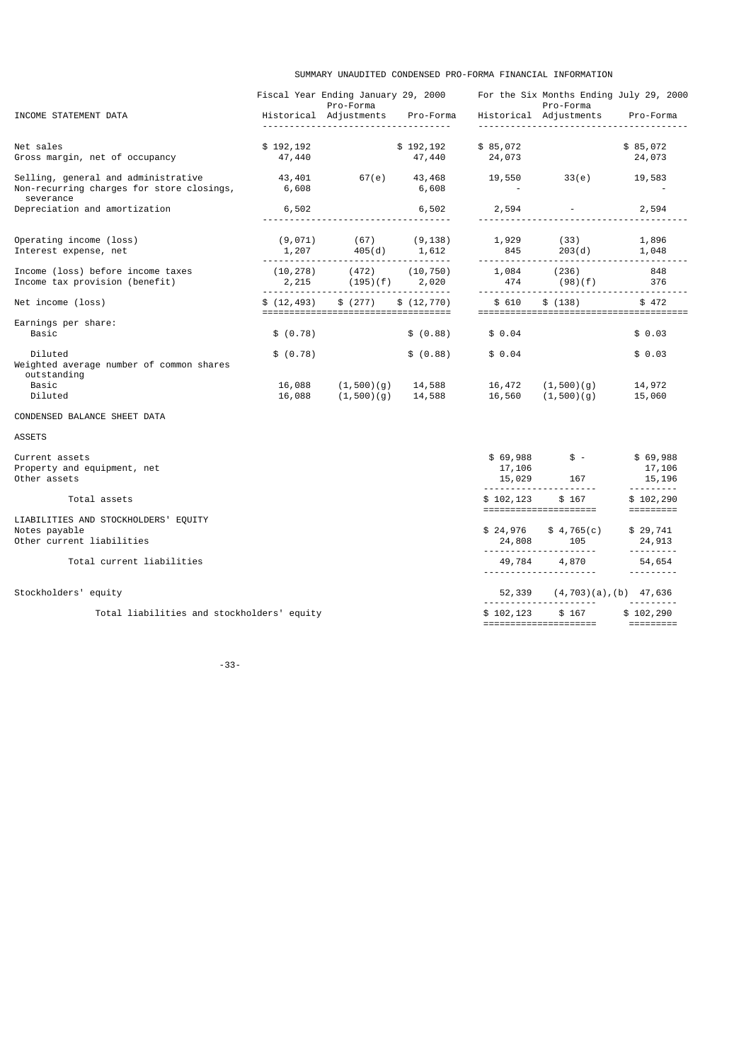SUMMARY UNAUDITED CONDENSED PRO-FORMA FINANCIAL INFORMATION

|                                                                                               |                     | Fiscal Year Ending January 29, 2000<br>Pro-Forma                             |                     |                              | For the Six Months Ending July 29, 2000<br>Pro-Forma |                                     |
|-----------------------------------------------------------------------------------------------|---------------------|------------------------------------------------------------------------------|---------------------|------------------------------|------------------------------------------------------|-------------------------------------|
| INCOME STATEMENT DATA                                                                         |                     | Historical Adjustments<br><u></u>                                            | Pro-Forma           |                              | Historical Adjustments                               | Pro-Forma                           |
| Net sales<br>Gross margin, net of occupancy                                                   | \$192,192<br>47,440 |                                                                              | \$192,192<br>47,440 | \$85,072<br>24,073           |                                                      | \$85,072<br>24,073                  |
| Selling, general and administrative<br>Non-recurring charges for store closings,<br>severance | 43,401<br>6,608     | 67(e)                                                                        | 43,468<br>6,608     | 19,550                       | 33(e)                                                | 19,583                              |
| Depreciation and amortization                                                                 | 6,502               |                                                                              | 6,502               | 2,594                        |                                                      | 2,594                               |
| Operating income (loss)<br>Interest expense, net                                              | (9,071)<br>1,207    | (67)<br>405(d)                                                               | (9, 138)<br>1,612   | 1,929<br>845                 | (33)<br>203(d)                                       | 1,896<br>1,048                      |
| Income (loss) before income taxes<br>Income tax provision (benefit)                           | (10, 278)           | (472)<br>$2,215$ $(195)(f)$ $2,020$<br>------------------------------------- | (10, 750)           | 1,084<br>474                 | (236)<br>(98)(f)                                     | 848<br>376                          |
| Net income (loss)                                                                             | \$(12, 493)         | \$(277)                                                                      | \$(12, 770)         | \$610                        | \$ (138)                                             | \$472                               |
| Earnings per share:<br>Basic                                                                  | \$ (0.78)           |                                                                              | \$ (0.88)           | \$0.04                       |                                                      | \$0.03                              |
| Diluted<br>Weighted average number of common shares<br>outstanding                            | \$ (0.78)           |                                                                              | \$ (0.88)           | \$0.04                       |                                                      | \$0.03                              |
| Basic<br>Diluted                                                                              | 16,088<br>16,088    | (1,500)(g)<br>(1,500)(q)                                                     | 14,588<br>14,588    | 16,472<br>16,560             | (1,500)(q)<br>(1,500)(q)                             | 14,972<br>15,060                    |
| CONDENSED BALANCE SHEET DATA                                                                  |                     |                                                                              |                     |                              |                                                      |                                     |
| ASSETS                                                                                        |                     |                                                                              |                     |                              |                                                      |                                     |
| Current assets<br>Property and equipment, net<br>Other assets                                 |                     |                                                                              |                     | \$69,988<br>17,106<br>15,029 | $s -$<br>167                                         | \$69,988<br>17,106<br>15,196        |
| Total assets                                                                                  |                     |                                                                              |                     | .<br>\$102, 123              | \$167<br>=====================                       | <u>.</u><br>\$102, 290<br>========= |
| LIABILITIES AND STOCKHOLDERS' EQUITY<br>Notes payable<br>Other current liabilities            |                     |                                                                              |                     | \$24,976<br>24,808           | \$4,765(c)<br>105                                    | \$29,741<br>24,913                  |
| Total current liabilities                                                                     |                     |                                                                              |                     |                              | 49,784 4,870                                         | .<br>54,654<br><u>.</u>             |
| Stockholders' equity                                                                          |                     |                                                                              |                     |                              | 52,339 (4,703)(a),(b) 47,636                         |                                     |
| Total liabilities and stockholders' equity                                                    |                     |                                                                              |                     | \$102, 123                   | \$167<br>======================                      | .<br>\$102,290                      |
|                                                                                               |                     |                                                                              |                     |                              |                                                      |                                     |

-33-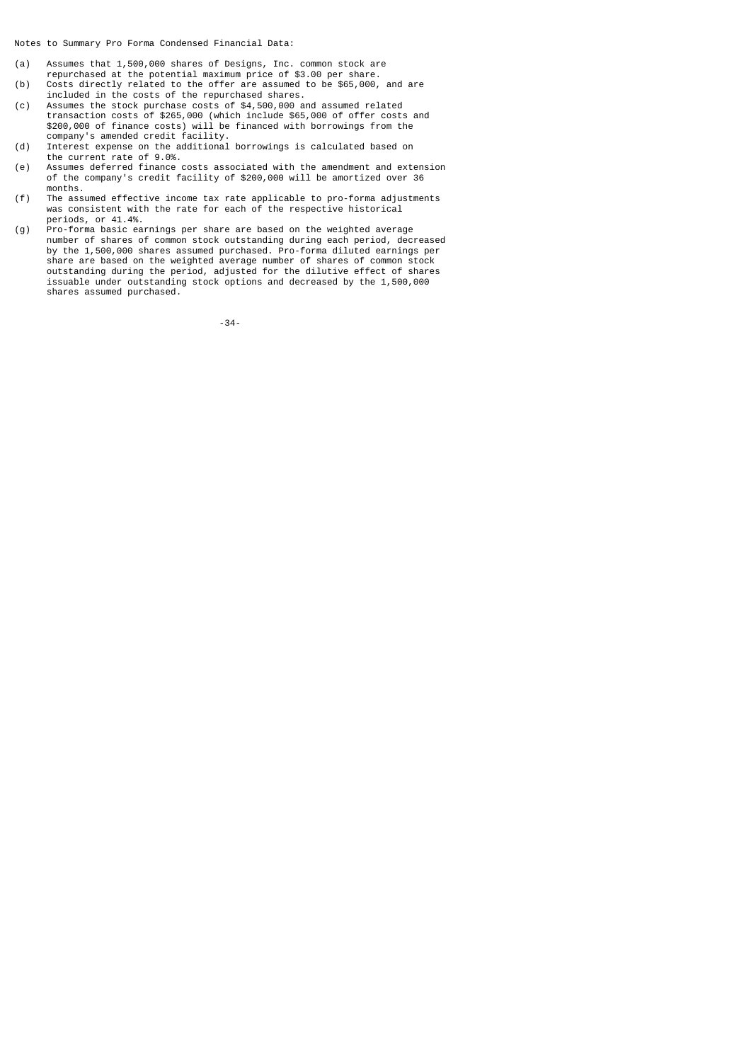Notes to Summary Pro Forma Condensed Financial Data:

- (a) Assumes that 1,500,000 shares of Designs, Inc. common stock are
- repurchased at the potential maximum price of \$3.00 per share.<br>(b) Costs directly related to the offer are assumed to be \$65,000, Costs directly related to the offer are assumed to be \$65,000, and are
- included in the costs of the repurchased shares.<br>(c) Assumes the stock purchase costs of \$4,500,000 a Assumes the stock purchase costs of  $$4,500,000$  and assumed related transaction costs of \$265,000 (which include \$65,000 of offer costs and \$200,000 of finance costs) will be financed with borrowings from the company's amended credit facility.
- (d) Interest expense on the additional borrowings is calculated based on the current rate of 9.0%.<br>(e) Assumes deferred finance
- (e) Assumes deferred finance costs associated with the amendment and extension of the company's credit facility of \$200,000 will be amortized over 36 months.<br>(f) The asset
- The assumed effective income tax rate applicable to pro-forma adjustments was consistent with the rate for each of the respective historical periods, or 41.4%.<br>(g) Pro-forma basic ea
- pro-forma basic earnings per share are based on the weighted average number of shares of common stock outstanding during each period, decreased by the 1,500,000 shares assumed purchased. Pro-forma diluted earnings per share are based on the weighted average number of shares of common stock outstanding during the period, adjusted for the dilutive effect of shares issuable under outstanding stock options and decreased by the 1,500,000 shares assumed purchased.

-34-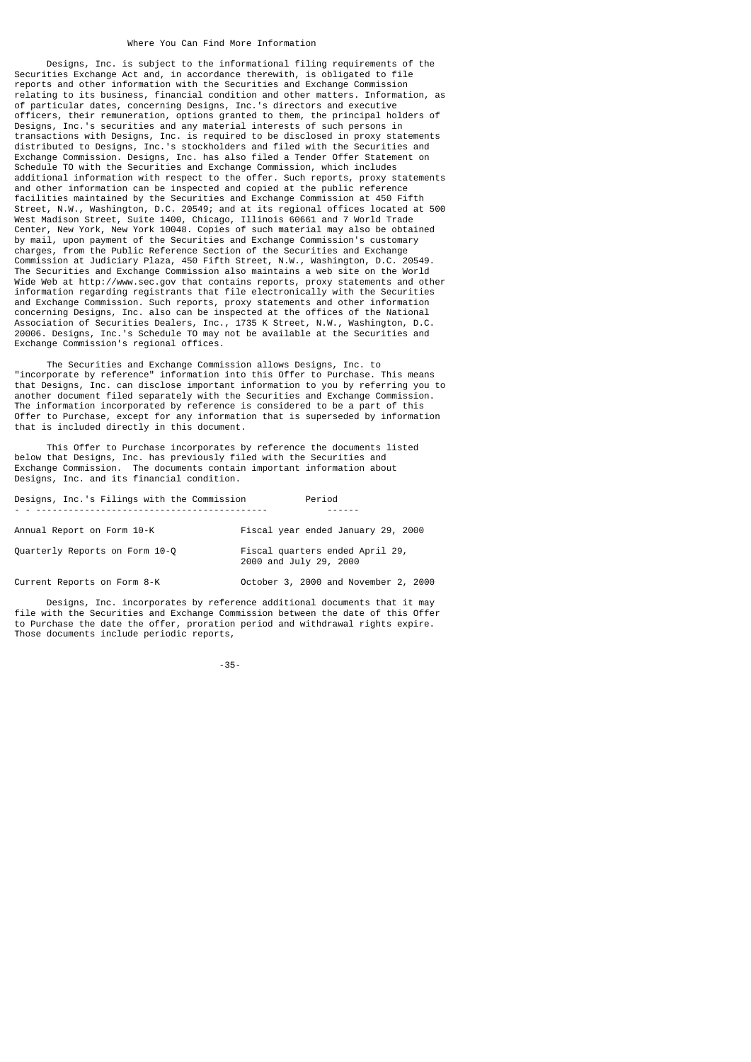#### Where You Can Find More Information

 Designs, Inc. is subject to the informational filing requirements of the Securities Exchange Act and, in accordance therewith, is obligated to file reports and other information with the Securities and Exchange Commission relating to its business, financial condition and other matters. Information, as of particular dates, concerning Designs, Inc.'s directors and executive officers, their remuneration, options granted to them, the principal holders of Designs, Inc.'s securities and any material interests of such persons in transactions with Designs, Inc. is required to be disclosed in proxy statements distributed to Designs, Inc.'s stockholders and filed with the Securities and Exchange Commission. Designs, Inc. has also filed a Tender Offer Statement on Schedule TO with the Securities and Exchange Commission, which includes additional information with respect to the offer. Such reports, proxy statements and other information can be inspected and copied at the public reference facilities maintained by the Securities and Exchange Commission at 450 Fifth Street, N.W., Washington, D.C. 20549; and at its regional offices located at 500 West Madison Street, Suite 1400, Chicago, Illinois 60661 and 7 World Trade Center, New York, New York 10048. Copies of such material may also be obtained by mail, upon payment of the Securities and Exchange Commission's customary charges, from the Public Reference Section of the Securities and Exchange Commission at Judiciary Plaza, 450 Fifth Street, N.W., Washington, D.C. 20549. The Securities and Exchange Commission also maintains a web site on the World Wide Web at http://www.sec.gov that contains reports, proxy statements and other information regarding registrants that file electronically with the Securities and Exchange Commission. Such reports, proxy statements and other information concerning Designs, Inc. also can be inspected at the offices of the National Association of Securities Dealers, Inc., 1735 K Street, N.W., Washington, D.C. 20006. Designs, Inc.'s Schedule TO may not be available at the Securities and Exchange Commission's regional offices.

 The Securities and Exchange Commission allows Designs, Inc. to "incorporate by reference" information into this Offer to Purchase. This means that Designs, Inc. can disclose important information to you by referring you to another document filed separately with the Securities and Exchange Commission. The information incorporated by reference is considered to be a part of this Offer to Purchase, except for any information that is superseded by information that is included directly in this document.

 This Offer to Purchase incorporates by reference the documents listed below that Designs, Inc. has previously filed with the Securities and Exchange Commission. The documents contain important information about Designs, Inc. and its financial condition.

|  |  |  |  |  | Designs, Inc.'s Filings with the Commission | Period |
|--|--|--|--|--|---------------------------------------------|--------|
|--|--|--|--|--|---------------------------------------------|--------|

- - ------------------------------------------- ------

| Annual Report on Form 10-K     | Fiscal year ended January 29, 2000                        |
|--------------------------------|-----------------------------------------------------------|
| Ouarterly Reports on Form 10-Q | Fiscal quarters ended April 29,<br>2000 and July 29, 2000 |

Current Reports on Form 8-K October 3, 2000 and November 2, 2000

 Designs, Inc. incorporates by reference additional documents that it may file with the Securities and Exchange Commission between the date of this Offer to Purchase the date the offer, proration period and withdrawal rights expire. Those documents include periodic reports,

-35-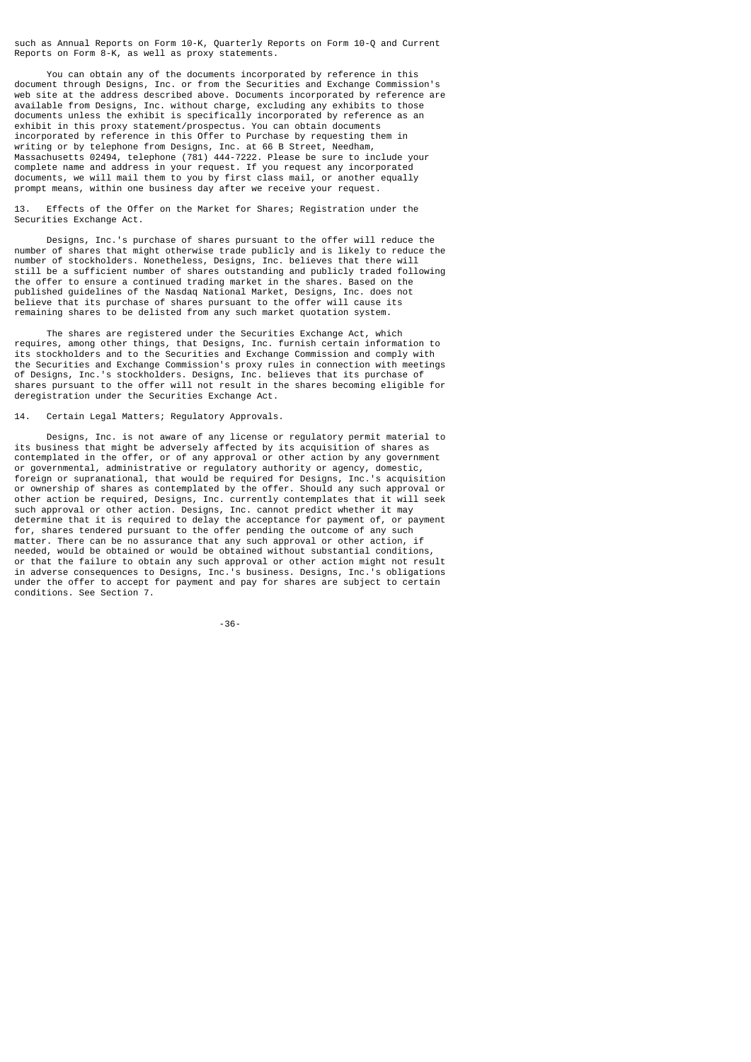such as Annual Reports on Form 10-K, Quarterly Reports on Form 10-Q and Current Reports on Form 8-K, as well as proxy statements.

 You can obtain any of the documents incorporated by reference in this document through Designs, Inc. or from the Securities and Exchange Commission's web site at the address described above. Documents incorporated by reference are available from Designs, Inc. without charge, excluding any exhibits to those documents unless the exhibit is specifically incorporated by reference as an exhibit in this proxy statement/prospectus. You can obtain documents incorporated by reference in this Offer to Purchase by requesting them in writing or by telephone from Designs, Inc. at 66 B Street, Needham, Massachusetts 02494, telephone (781) 444-7222. Please be sure to include your complete name and address in your request. If you request any incorporated documents, we will mail them to you by first class mail, or another equally prompt means, within one business day after we receive your request.

Effects of the Offer on the Market for Shares; Registration under the Securities Exchange Act.

 Designs, Inc.'s purchase of shares pursuant to the offer will reduce the number of shares that might otherwise trade publicly and is likely to reduce the number of stockholders. Nonetheless, Designs, Inc. believes that there will still be a sufficient number of shares outstanding and publicly traded following the offer to ensure a continued trading market in the shares. Based on the published guidelines of the Nasdaq National Market, Designs, Inc. does not believe that its purchase of shares pursuant to the offer will cause its remaining shares to be delisted from any such market quotation system.

 The shares are registered under the Securities Exchange Act, which requires, among other things, that Designs, Inc. furnish certain information to its stockholders and to the Securities and Exchange Commission and comply with the Securities and Exchange Commission's proxy rules in connection with meetings of Designs, Inc.'s stockholders. Designs, Inc. believes that its purchase of shares pursuant to the offer will not result in the shares becoming eligible for deregistration under the Securities Exchange Act.

## 14. Certain Legal Matters; Regulatory Approvals.

 Designs, Inc. is not aware of any license or regulatory permit material to its business that might be adversely affected by its acquisition of shares as contemplated in the offer, or of any approval or other action by any government or governmental, administrative or regulatory authority or agency, domestic, foreign or supranational, that would be required for Designs, Inc.'s acquisition or ownership of shares as contemplated by the offer. Should any such approval or other action be required, Designs, Inc. currently contemplates that it will seek such approval or other action. Designs, Inc. cannot predict whether it may determine that it is required to delay the acceptance for payment of, or payment for, shares tendered pursuant to the offer pending the outcome of any such matter. There can be no assurance that any such approval or other action, if needed, would be obtained or would be obtained without substantial conditions, or that the failure to obtain any such approval or other action might not result in adverse consequences to Designs, Inc.'s business. Designs, Inc.'s obligations under the offer to accept for payment and pay for shares are subject to certain conditions. See Section 7.

-36-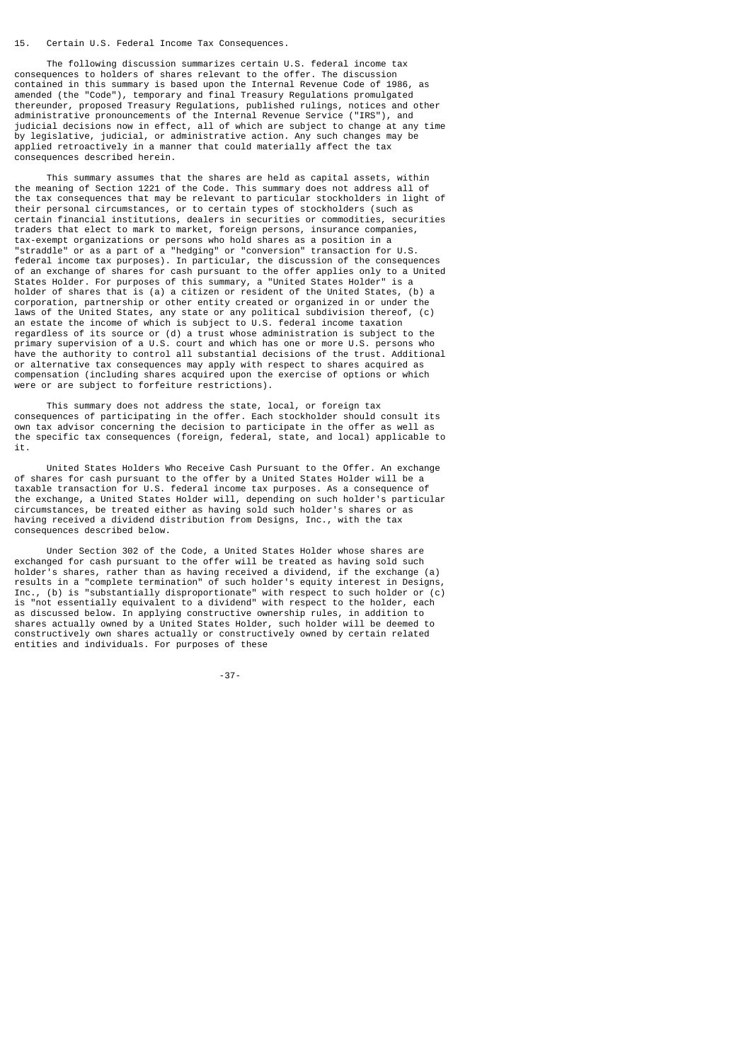## 15. Certain U.S. Federal Income Tax Consequences.

 The following discussion summarizes certain U.S. federal income tax consequences to holders of shares relevant to the offer. The discussion contained in this summary is based upon the Internal Revenue Code of 1986, as amended (the "Code"), temporary and final Treasury Regulations promulgated thereunder, proposed Treasury Regulations, published rulings, notices and other administrative pronouncements of the Internal Revenue Service ("IRS"), and judicial decisions now in effect, all of which are subject to change at any time by legislative, judicial, or administrative action. Any such changes may be applied retroactively in a manner that could materially affect the tax consequences described herein.

 This summary assumes that the shares are held as capital assets, within the meaning of Section 1221 of the Code. This summary does not address all of the tax consequences that may be relevant to particular stockholders in light of their personal circumstances, or to certain types of stockholders (such as certain financial institutions, dealers in securities or commodities, securities traders that elect to mark to market, foreign persons, insurance companies, tax-exempt organizations or persons who hold shares as a position in a "straddle" or as a part of a "hedging" or "conversion" transaction for U.S. federal income tax purposes). In particular, the discussion of the consequences of an exchange of shares for cash pursuant to the offer applies only to a United States Holder. For purposes of this summary, a "United States Holder" is a holder of shares that is (a) a citizen or resident of the United States, (b) a corporation, partnership or other entity created or organized in or under the laws of the United States, any state or any political subdivision thereof, (c) an estate the income of which is subject to U.S. federal income taxation regardless of its source or (d) a trust whose administration is subject to the primary supervision of a U.S. court and which has one or more U.S. persons who have the authority to control all substantial decisions of the trust. Additional or alternative tax consequences may apply with respect to shares acquired as compensation (including shares acquired upon the exercise of options or which were or are subject to forfeiture restrictions).

 This summary does not address the state, local, or foreign tax consequences of participating in the offer. Each stockholder should consult its own tax advisor concerning the decision to participate in the offer as well as the specific tax consequences (foreign, federal, state, and local) applicable to it.

 United States Holders Who Receive Cash Pursuant to the Offer. An exchange of shares for cash pursuant to the offer by a United States Holder will be a taxable transaction for U.S. federal income tax purposes. As a consequence of the exchange, a United States Holder will, depending on such holder's particular circumstances, be treated either as having sold such holder's shares or as having received a dividend distribution from Designs, Inc., with the tax consequences described below.

 Under Section 302 of the Code, a United States Holder whose shares are exchanged for cash pursuant to the offer will be treated as having sold such holder's shares, rather than as having received a dividend, if the exchange (a) results in a "complete termination" of such holder's equity interest in Designs, Inc., (b) is "substantially disproportionate" with respect to such holder or (c) is "not essentially equivalent to a dividend" with respect to the holder, each as discussed below. In applying constructive ownership rules, in addition to shares actually owned by a United States Holder, such holder will be deemed to constructively own shares actually or constructively owned by certain related entities and individuals. For purposes of these

-37-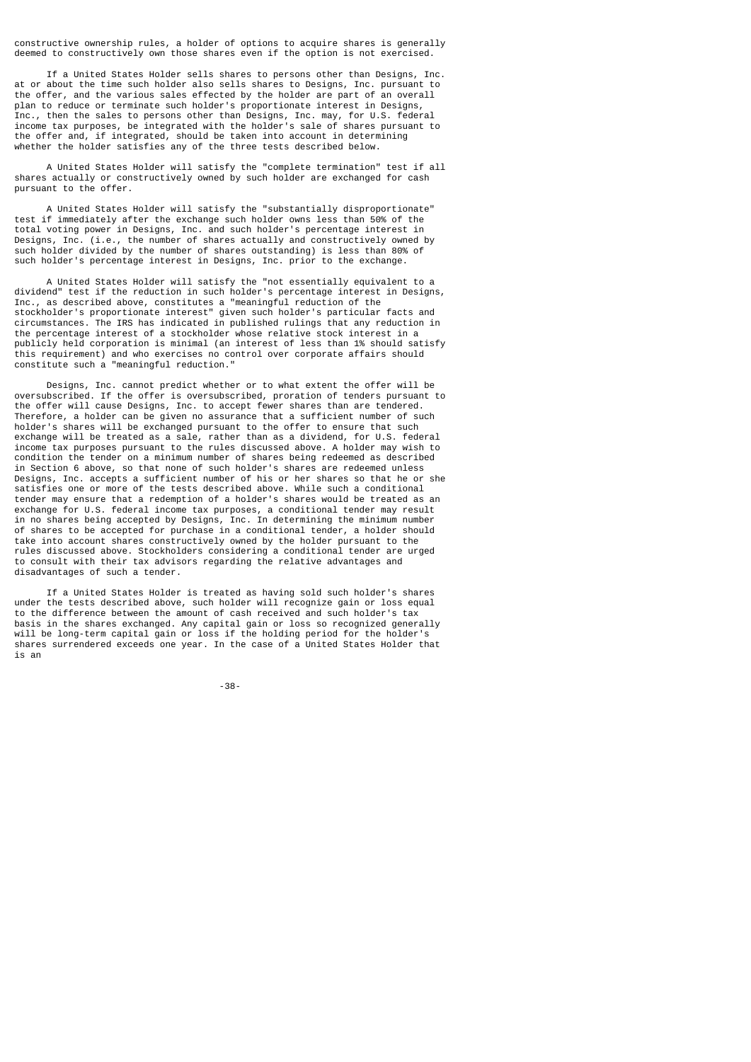constructive ownership rules, a holder of options to acquire shares is generally deemed to constructively own those shares even if the option is not exercised.

 If a United States Holder sells shares to persons other than Designs, Inc. at or about the time such holder also sells shares to Designs, Inc. pursuant to the offer, and the various sales effected by the holder are part of an overall plan to reduce or terminate such holder's proportionate interest in Designs, Inc., then the sales to persons other than Designs, Inc. may, for U.S. federal income tax purposes, be integrated with the holder's sale of shares pursuant to the offer and, if integrated, should be taken into account in determining whether the holder satisfies any of the three tests described below.

 A United States Holder will satisfy the "complete termination" test if all shares actually or constructively owned by such holder are exchanged for cash pursuant to the offer.

 A United States Holder will satisfy the "substantially disproportionate" test if immediately after the exchange such holder owns less than 50% of the total voting power in Designs, Inc. and such holder's percentage interest in (i.e., the number of shares actually and constructively owned by such holder divided by the number of shares outstanding) is less than 80% of such holder's percentage interest in Designs, Inc. prior to the exchange.

 A United States Holder will satisfy the "not essentially equivalent to a dividend" test if the reduction in such holder's percentage interest in Designs, Inc., as described above, constitutes a "meaningful reduction of the stockholder's proportionate interest" given such holder's particular facts and circumstances. The IRS has indicated in published rulings that any reduction in the percentage interest of a stockholder whose relative stock interest in a publicly held corporation is minimal (an interest of less than 1% should satisfy this requirement) and who exercises no control over corporate affairs should constitute such a "meaningful reduction."

 Designs, Inc. cannot predict whether or to what extent the offer will be oversubscribed. If the offer is oversubscribed, proration of tenders pursuant to the offer will cause Designs, Inc. to accept fewer shares than are tendered. Therefore, a holder can be given no assurance that a sufficient number of such holder's shares will be exchanged pursuant to the offer to ensure that such exchange will be treated as a sale, rather than as a dividend, for U.S. federal income tax purposes pursuant to the rules discussed above. A holder may wish to condition the tender on a minimum number of shares being redeemed as described in Section 6 above, so that none of such holder's shares are redeemed unless Designs, Inc. accepts a sufficient number of his or her shares so that he or she satisfies one or more of the tests described above. While such a conditional tender may ensure that a redemption of a holder's shares would be treated as an exchange for U.S. federal income tax purposes, a conditional tender may result in no shares being accepted by Designs, Inc. In determining the minimum number of shares to be accepted for purchase in a conditional tender, a holder should take into account shares constructively owned by the holder pursuant to the rules discussed above. Stockholders considering a conditional tender are urged to consult with their tax advisors regarding the relative advantages and disadvantages of such a tender.

 If a United States Holder is treated as having sold such holder's shares under the tests described above, such holder will recognize gain or loss equal to the difference between the amount of cash received and such holder's tax basis in the shares exchanged. Any capital gain or loss so recognized generally will be long-term capital gain or loss if the holding period for the holder's shares surrendered exceeds one year. In the case of a United States Holder that is an

-38-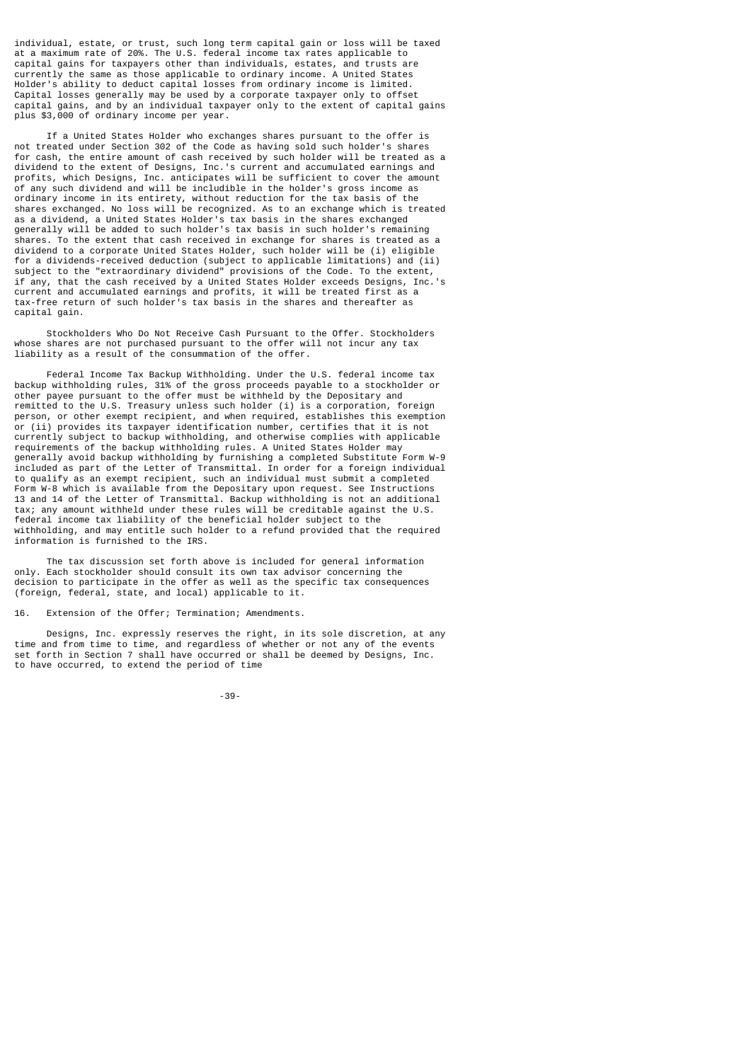individual, estate, or trust, such long term capital gain or loss will be taxed at a maximum rate of 20%. The U.S. federal income tax rates applicable to capital gains for taxpayers other than individuals, estates, and trusts are currently the same as those applicable to ordinary income. A United States Holder's ability to deduct capital losses from ordinary income is limited. Capital losses generally may be used by a corporate taxpayer only to offset capital gains, and by an individual taxpayer only to the extent of capital gains plus \$3,000 of ordinary income per year.

 If a United States Holder who exchanges shares pursuant to the offer is not treated under Section 302 of the Code as having sold such holder's shares for cash, the entire amount of cash received by such holder will be treated as a dividend to the extent of Designs, Inc.'s current and accumulated earnings and profits, which Designs, Inc. anticipates will be sufficient to cover the amount of any such dividend and will be includible in the holder's gross income as ordinary income in its entirety, without reduction for the tax basis of the shares exchanged. No loss will be recognized. As to an exchange which is treated as a dividend, a United States Holder's tax basis in the shares exchanged generally will be added to such holder's tax basis in such holder's remaining shares. To the extent that cash received in exchange for shares is treated as a dividend to a corporate United States Holder, such holder will be (i) eligible for a dividends-received deduction (subject to applicable limitations) and (ii) subject to the "extraordinary dividend" provisions of the Code. To the extent, if any, that the cash received by a United States Holder exceeds Designs, Inc.'s current and accumulated earnings and profits, it will be treated first as a tax-free return of such holder's tax basis in the shares and thereafter as capital gain.

 Stockholders Who Do Not Receive Cash Pursuant to the Offer. Stockholders whose shares are not purchased pursuant to the offer will not incur any tax liability as a result of the consummation of the offer.

 Federal Income Tax Backup Withholding. Under the U.S. federal income tax backup withholding rules, 31% of the gross proceeds payable to a stockholder or other payee pursuant to the offer must be withheld by the Depositary and remitted to the U.S. Treasury unless such holder (i) is a corporation, foreign person, or other exempt recipient, and when required, establishes this exemption or (ii) provides its taxpayer identification number, certifies that it is not currently subject to backup withholding, and otherwise complies with applicable requirements of the backup withholding rules. A United States Holder may generally avoid backup withholding by furnishing a completed Substitute Form W-9 included as part of the Letter of Transmittal. In order for a foreign individual to qualify as an exempt recipient, such an individual must submit a completed Form W-8 which is available from the Depositary upon request. See Instructions 13 and 14 of the Letter of Transmittal. Backup withholding is not an additional tax; any amount withheld under these rules will be creditable against the U.S. federal income tax liability of the beneficial holder subject to the withholding, and may entitle such holder to a refund provided that the required information is furnished to the IRS.

 The tax discussion set forth above is included for general information only. Each stockholder should consult its own tax advisor concerning the decision to participate in the offer as well as the specific tax consequences (foreign, federal, state, and local) applicable to it.

16. Extension of the Offer; Termination; Amendments.

 Designs, Inc. expressly reserves the right, in its sole discretion, at any time and from time to time, and regardless of whether or not any of the events set forth in Section 7 shall have occurred or shall be deemed by Designs, Inc. to have occurred, to extend the period of time

-39-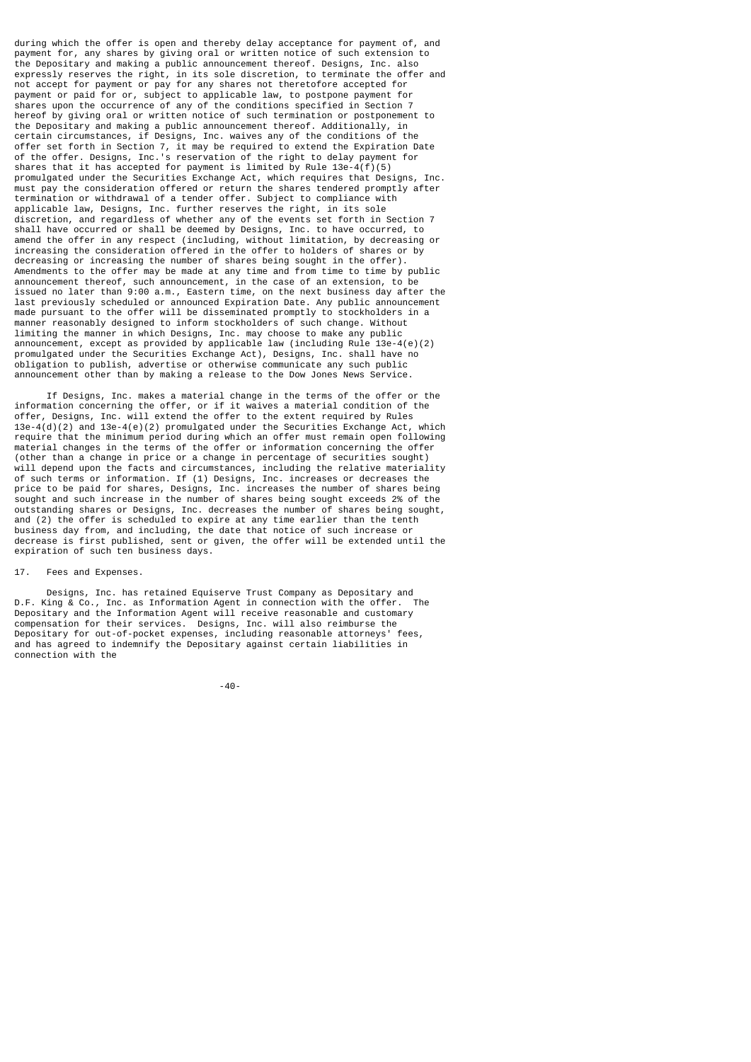during which the offer is open and thereby delay acceptance for payment of, and payment for, any shares by giving oral or written notice of such extension to the Depositary and making a public announcement thereof. Designs, Inc. also expressly reserves the right, in its sole discretion, to terminate the offer and not accept for payment or pay for any shares not theretofore accepted for payment or paid for or, subject to applicable law, to postpone payment for shares upon the occurrence of any of the conditions specified in Section 7 hereof by giving oral or written notice of such termination or postponement to the Depositary and making a public announcement thereof. Additionally, in certain circumstances, if Designs, Inc. waives any of the conditions of the offer set forth in Section 7, it may be required to extend the Expiration Date of the offer. Designs, Inc.'s reservation of the right to delay payment for shares that it has accepted for payment is limited by Rule 13e-4(f)(5) promulgated under the Securities Exchange Act, which requires that Designs, Inc. must pay the consideration offered or return the shares tendered promptly after termination or withdrawal of a tender offer. Subject to compliance with applicable law, Designs, Inc. further reserves the right, in its sole discretion, and regardless of whether any of the events set forth in Section 7 shall have occurred or shall be deemed by Designs, Inc. to have occurred, to amend the offer in any respect (including, without limitation, by decreasing or increasing the consideration offered in the offer to holders of shares or by decreasing or increasing the number of shares being sought in the offer). Amendments to the offer may be made at any time and from time to time by public announcement thereof, such announcement, in the case of an extension, to be issued no later than 9:00 a.m., Eastern time, on the next business day after the last previously scheduled or announced Expiration Date. Any public announcement made pursuant to the offer will be disseminated promptly to stockholders in a manner reasonably designed to inform stockholders of such change. Without limiting the manner in which Designs, Inc. may choose to make any public announcement, except as provided by applicable law (including Rule 13e-4(e)(2) promulgated under the Securities Exchange Act), Designs, Inc. shall have no obligation to publish, advertise or otherwise communicate any such public announcement other than by making a release to the Dow Jones News Service.

 If Designs, Inc. makes a material change in the terms of the offer or the information concerning the offer, or if it waives a material condition of the offer, Designs, Inc. will extend the offer to the extent required by Rules 13e-4(d)(2) and 13e-4(e)(2) promulgated under the Securities Exchange Act, which require that the minimum period during which an offer must remain open following material changes in the terms of the offer or information concerning the offer (other than a change in price or a change in percentage of securities sought) will depend upon the facts and circumstances, including the relative materiality of such terms or information. If (1) Designs, Inc. increases or decreases the price to be paid for shares, Designs, Inc. increases the number of shares being sought and such increase in the number of shares being sought exceeds 2% of the outstanding shares or Designs, Inc. decreases the number of shares being sought, and (2) the offer is scheduled to expire at any time earlier than the tenth business day from, and including, the date that notice of such increase or decrease is first published, sent or given, the offer will be extended until the expiration of such ten business days.

# 17. Fees and Expenses.

 Designs, Inc. has retained Equiserve Trust Company as Depositary and D.F. King & Co., Inc. as Information Agent in connection with the offer. The Depositary and the Information Agent will receive reasonable and customary compensation for their services. Designs, Inc. will also reimburse the Depositary for out-of-pocket expenses, including reasonable attorneys' fees, and has agreed to indemnify the Depositary against certain liabilities in connection with the

-40-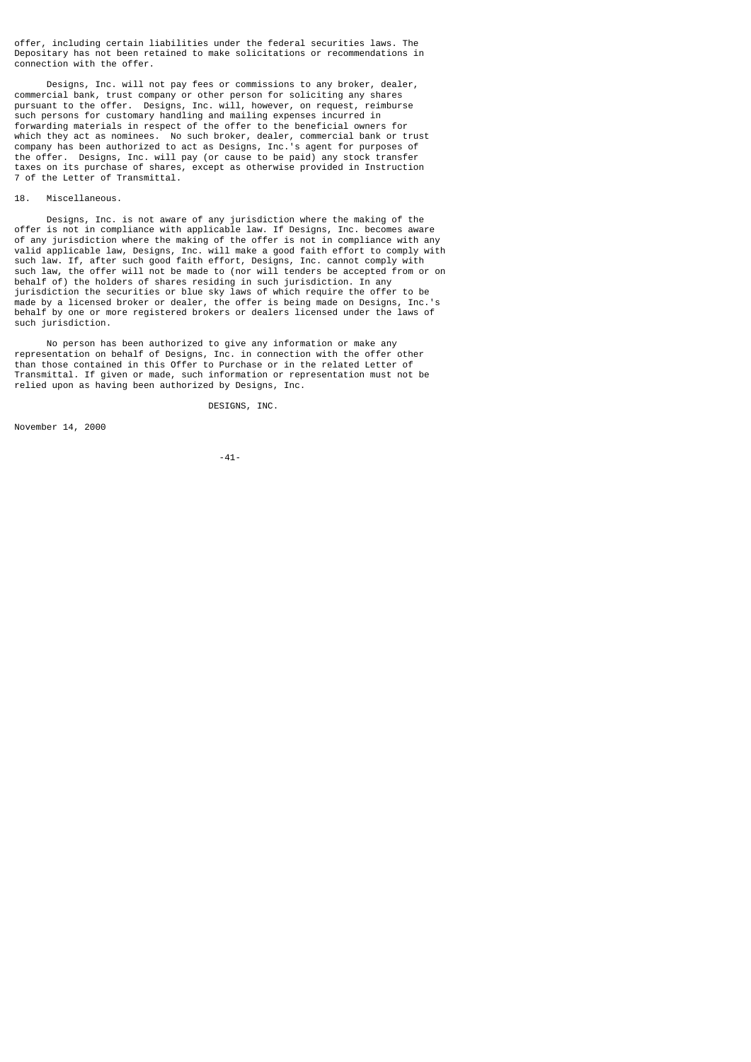offer, including certain liabilities under the federal securities laws. The Depositary has not been retained to make solicitations or recommendations in connection with the offer.

 Designs, Inc. will not pay fees or commissions to any broker, dealer, commercial bank, trust company or other person for soliciting any shares pursuant to the offer. Designs, Inc. will, however, on request, reimburse such persons for customary handling and mailing expenses incurred in forwarding materials in respect of the offer to the beneficial owners for which they act as nominees. No such broker, dealer, commercial bank or trust company has been authorized to act as Designs, Inc.'s agent for purposes of the offer. Designs, Inc. will pay (or cause to be paid) any stock transfer taxes on its purchase of shares, except as otherwise provided in Instruction 7 of the Letter of Transmittal.

# 18. Miscellaneous.

 Designs, Inc. is not aware of any jurisdiction where the making of the offer is not in compliance with applicable law. If Designs, Inc. becomes aware of any jurisdiction where the making of the offer is not in compliance with any valid applicable law, Designs, Inc. will make a good faith effort to comply with such law. If, after such good faith effort, Designs, Inc. cannot comply with such law, the offer will not be made to (nor will tenders be accepted from or on behalf of) the holders of shares residing in such jurisdiction. In any jurisdiction the securities or blue sky laws of which require the offer to be made by a licensed broker or dealer, the offer is being made on Designs, Inc.'s behalf by one or more registered brokers or dealers licensed under the laws of such jurisdiction.

 No person has been authorized to give any information or make any representation on behalf of Designs, Inc. in connection with the offer other than those contained in this Offer to Purchase or in the related Letter of Transmittal. If given or made, such information or representation must not be relied upon as having been authorized by Designs, Inc.

DESIGNS, INC.

November 14, 2000

-41-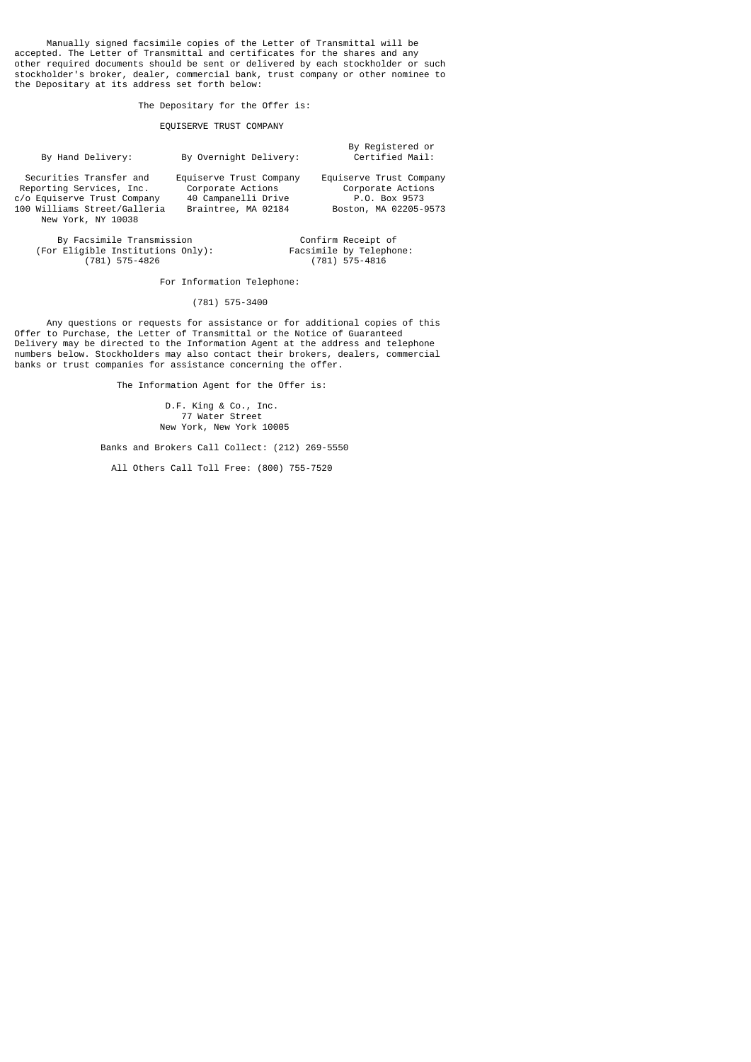Manually signed facsimile copies of the Letter of Transmittal will be accepted. The Letter of Transmittal and certificates for the shares and any other required documents should be sent or delivered by each stockholder or such stockholder's broker, dealer, commercial bank, trust company or other nominee to the Depositary at its address set forth below:

The Depositary for the Offer is:

# EQUISERVE TRUST COMPANY

| By Hand Delivery:                                                                                                                        | By Overnight Delivery:                                                                     | By Registered or<br>Certified Mail:                                                    |
|------------------------------------------------------------------------------------------------------------------------------------------|--------------------------------------------------------------------------------------------|----------------------------------------------------------------------------------------|
| Securities Transfer and<br>Reporting Services, Inc.<br>c/o Equiserve Trust Company<br>100 Williams Street/Galleria<br>New York, NY 10038 | Equiserve Trust Company<br>Corporate Actions<br>40 Campanelli Drive<br>Braintree, MA 02184 | Equiserve Trust Company<br>Corporate Actions<br>P.O. Box 9573<br>Boston, MA 02205-9573 |

By Facsimile Transmission **Confirm Receipt of** (For Eligible Institutions Only):<br>(781) 575-4826

Facsimile by Telephone:<br>(781) 575-4816

For Information Telephone:

(781) 575-3400

 Any questions or requests for assistance or for additional copies of this Offer to Purchase, the Letter of Transmittal or the Notice of Guaranteed Delivery may be directed to the Information Agent at the address and telephone numbers below. Stockholders may also contact their brokers, dealers, commercial banks or trust companies for assistance concerning the offer.

The Information Agent for the Offer is:

 D.F. King & Co., Inc. 77 Water Street New York, New York 10005

Banks and Brokers Call Collect: (212) 269-5550

All Others Call Toll Free: (800) 755-7520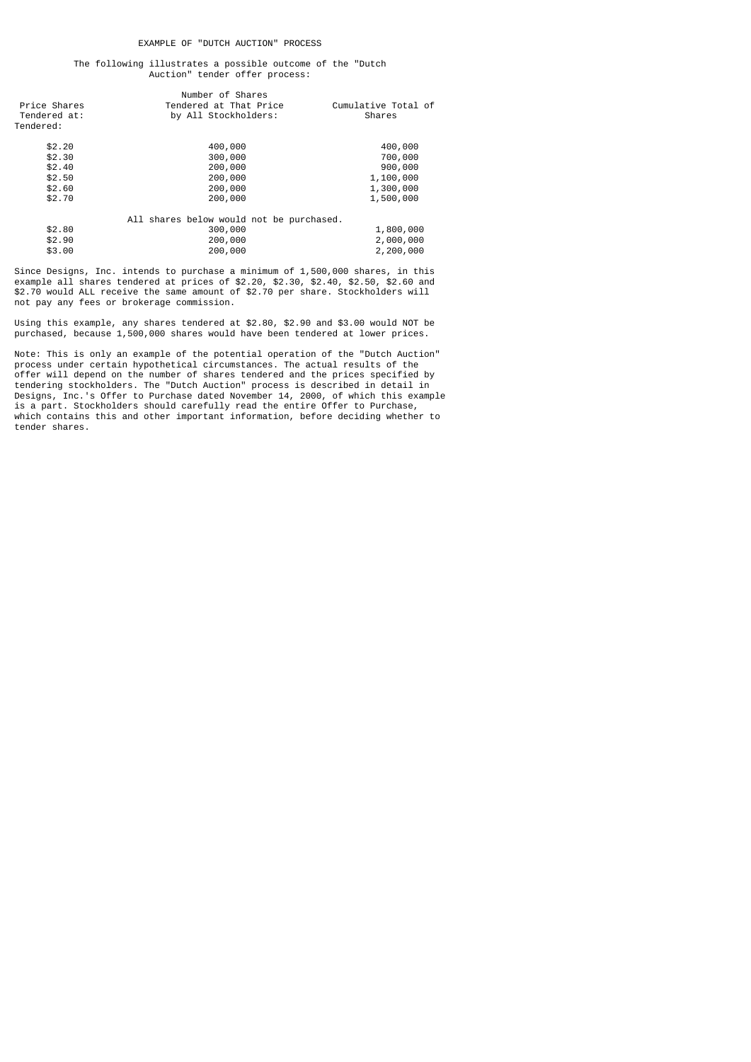# The following illustrates a possible outcome of the "Dutch Auction" tender offer process:

|              | Number of Shares                         |                     |
|--------------|------------------------------------------|---------------------|
| Price Shares | Tendered at That Price                   | Cumulative Total of |
| Tendered at: | by All Stockholders:                     | Shares              |
| Tendered:    |                                          |                     |
| \$2.20       | 400,000                                  | 400,000             |
| \$2.30       | 300,000                                  | 700,000             |
| \$2.40       | 200,000                                  | 900,000             |
| \$2.50       | 200,000                                  | 1,100,000           |
| \$2.60       | 200,000                                  | 1,300,000           |
| \$2.70       | 200,000                                  | 1,500,000           |
|              | All shares below would not be purchased. |                     |
| \$2.80       | 300,000                                  | 1,800,000           |
| \$2.90       | 200,000                                  | 2,000,000           |
| \$3.00       | 200,000                                  | 2,200,000           |
|              |                                          |                     |

Since Designs, Inc. intends to purchase a minimum of 1,500,000 shares, in this example all shares tendered at prices of \$2.20, \$2.30, \$2.40, \$2.50, \$2.60 and \$2.70 would ALL receive the same amount of \$2.70 per share. Stockholders will not pay any fees or brokerage commission.

Using this example, any shares tendered at \$2.80, \$2.90 and \$3.00 would NOT be purchased, because 1,500,000 shares would have been tendered at lower prices.

Note: This is only an example of the potential operation of the "Dutch Auction" process under certain hypothetical circumstances. The actual results of the offer will depend on the number of shares tendered and the prices specified by tendering stockholders. The "Dutch Auction" process is described in detail in Designs, Inc.'s Offer to Purchase dated November 14, 2000, of which this example is a part. Stockholders should carefully read the entire Offer to Purchase, which contains this and other important information, before deciding whether to tender shares.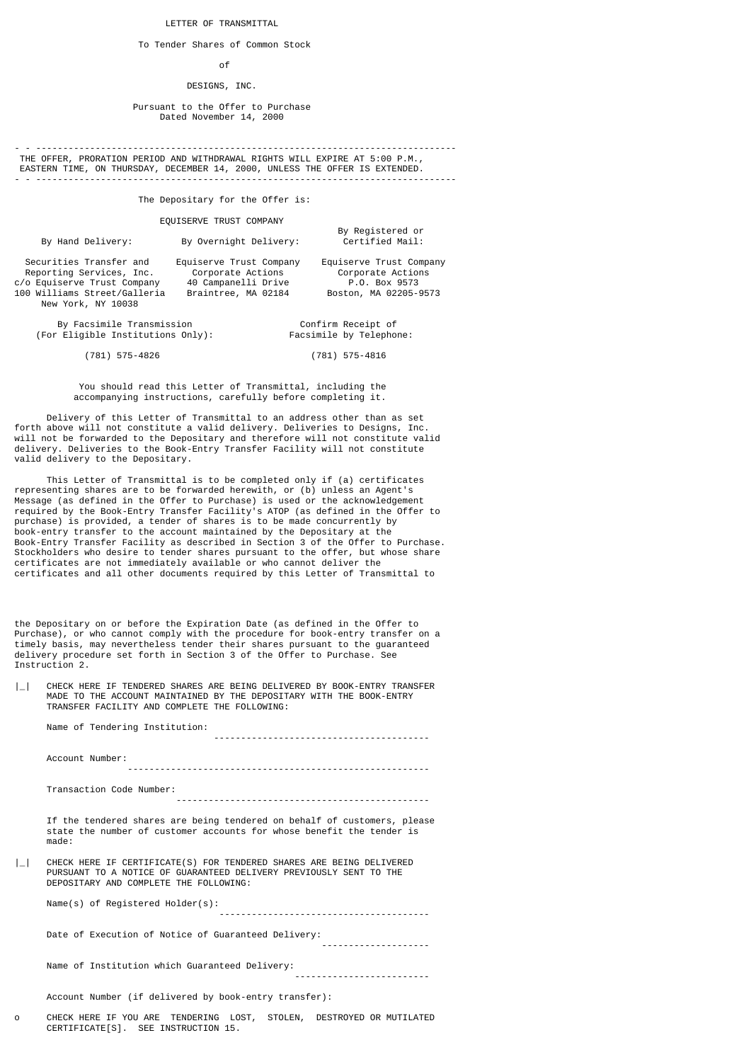#### LETTER OF TRANSMITTAL

To Tender Shares of Common Stock

## of the contract of the contract of the contract of the contract of the contract of the contract of the contract of the contract of the contract of the contract of the contract of the contract of the contract of the contrac

# DESIGNS, INC.

 Pursuant to the Offer to Purchase Dated November 14, 2000

- - ------------------------------------------------------------------------------ THE OFFER, PRORATION PERIOD AND WITHDRAWAL RIGHTS WILL EXPIRE AT 5:00 P.M., EASTERN TIME, ON THURSDAY, DECEMBER 14, 2000, UNLESS THE OFFER IS EXTENDED. - - ------------------------------------------------------------------------------

The Depositary for the Offer is:

EQUISERVE TRUST COMPANY

By Registered or<br>By Hand Delivery: By Overnight Delivery: Certified Mail: By Overnight Delivery:

Securities Transfer and Equiserve Trust Company Equiserve Trust Company<br>Reporting Services, Inc. Corporate Actions Corporate Actions Reporting Services, Inc. Corporate Actions Corporate Action<br>
Corporate Action Corporate Action Corporate Action<br>
Corporate Actions Corporate Action Corporate Action c/o Equiserve Trust Company 40 Campanelli Drive P.O. Box 9573 100 Williams Street/Galleria New York, NY 10038

 By Facsimile Transmission Confirm Receipt of (For  $Eligible$  Institutions Only):

(781) 575-4826 (781) 575-4816

 You should read this Letter of Transmittal, including the accompanying instructions, carefully before completing it.

 Delivery of this Letter of Transmittal to an address other than as set forth above will not constitute a valid delivery. Deliveries to Designs, Inc. will not be forwarded to the Depositary and therefore will not constitute valid delivery. Deliveries to the Book-Entry Transfer Facility will not constitute valid delivery to the Depositary.

 This Letter of Transmittal is to be completed only if (a) certificates representing shares are to be forwarded herewith, or (b) unless an Agent's Message (as defined in the Offer to Purchase) is used or the acknowledgement required by the Book-Entry Transfer Facility's ATOP (as defined in the Offer to purchase) is provided, a tender of shares is to be made concurrently by book-entry transfer to the account maintained by the Depositary at the Book-Entry Transfer Facility as described in Section 3 of the Offer to Purchase. Stockholders who desire to tender shares pursuant to the offer, but whose share certificates are not immediately available or who cannot deliver the certificates and all other documents required by this Letter of Transmittal to

the Depositary on or before the Expiration Date (as defined in the Offer to Purchase), or who cannot comply with the procedure for book-entry transfer on a timely basis, may nevertheless tender their shares pursuant to the guaranteed delivery procedure set forth in Section 3 of the Offer to Purchase. See Instruction 2.

|\_| CHECK HERE IF TENDERED SHARES ARE BEING DELIVERED BY BOOK-ENTRY TRANSFER MADE TO THE ACCOUNT MAINTAINED BY THE DEPOSITARY WITH THE BOOK-ENTRY TRANSFER FACILITY AND COMPLETE THE FOLLOWING:

Name of Tendering Institution:

 Account Number: -------------------------------------------------------- Transaction Code Number:

-----------------------------------------------

----------------------------------------

 If the tendered shares are being tendered on behalf of customers, please state the number of customer accounts for whose benefit the tender is made:

|\_| CHECK HERE IF CERTIFICATE(S) FOR TENDERED SHARES ARE BEING DELIVERED PURSUANT TO A NOTICE OF GUARANTEED DELIVERY PREVIOUSLY SENT TO THE DEPOSITARY AND COMPLETE THE FOLLOWING:

 Name(s) of Registered Holder(s): ---------------------------------------

 Date of Execution of Notice of Guaranteed Delivery: --------------------

 Name of Institution which Guaranteed Delivery: -------------------------

Account Number (if delivered by book-entry transfer):

o CHECK HERE IF YOU ARE TENDERING LOST, STOLEN, DESTROYED OR MUTILATED CERTIFICATE[S]. SEE INSTRUCTION 15.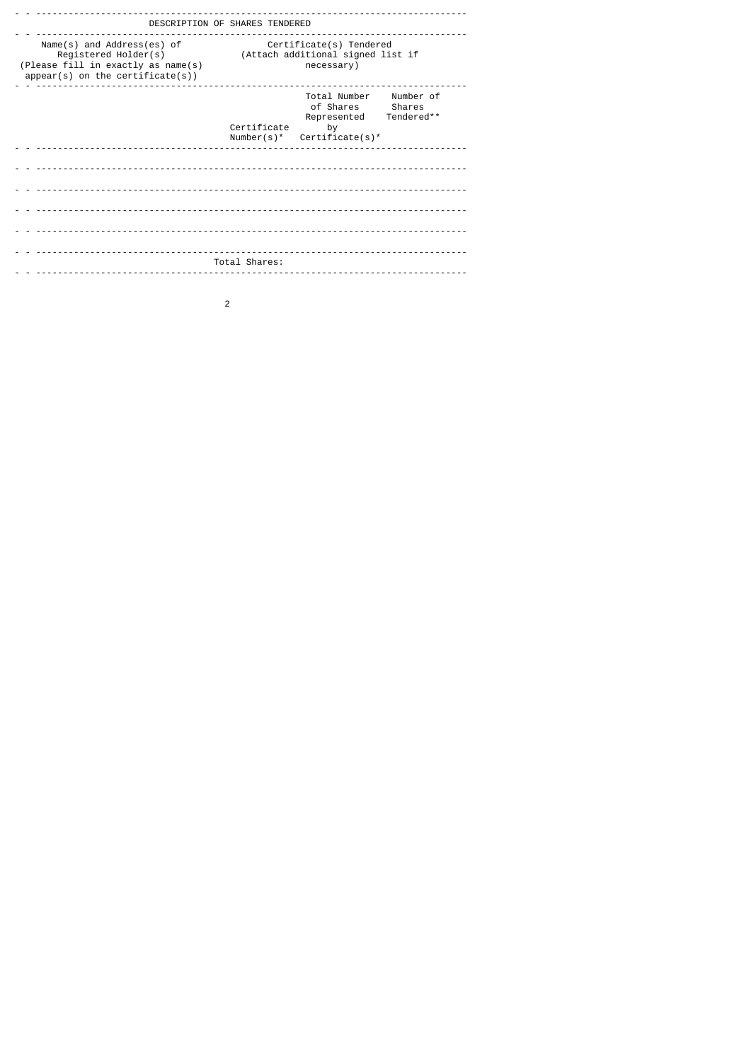|                                                                                                                                | DESCRIPTION OF SHARES TENDERED                                                                                                      |
|--------------------------------------------------------------------------------------------------------------------------------|-------------------------------------------------------------------------------------------------------------------------------------|
| Name(s) and Address(es) of<br>Registered Holder(s)<br>(Please fill in exactly as name(s)<br>$appear(s)$ on the certificate(s)) | Certificate(s) Tendered<br>(Attach additional signed list if<br>necessary)                                                          |
|                                                                                                                                | Total Number<br>Number of<br>of Shares<br>Shares<br>Tendered**<br>Represented<br>Certificate<br>by<br>Number(s)*<br>Certificate(s)* |
|                                                                                                                                |                                                                                                                                     |
|                                                                                                                                |                                                                                                                                     |
|                                                                                                                                |                                                                                                                                     |
|                                                                                                                                | Total Shares:                                                                                                                       |
|                                                                                                                                |                                                                                                                                     |

 $\overline{c}$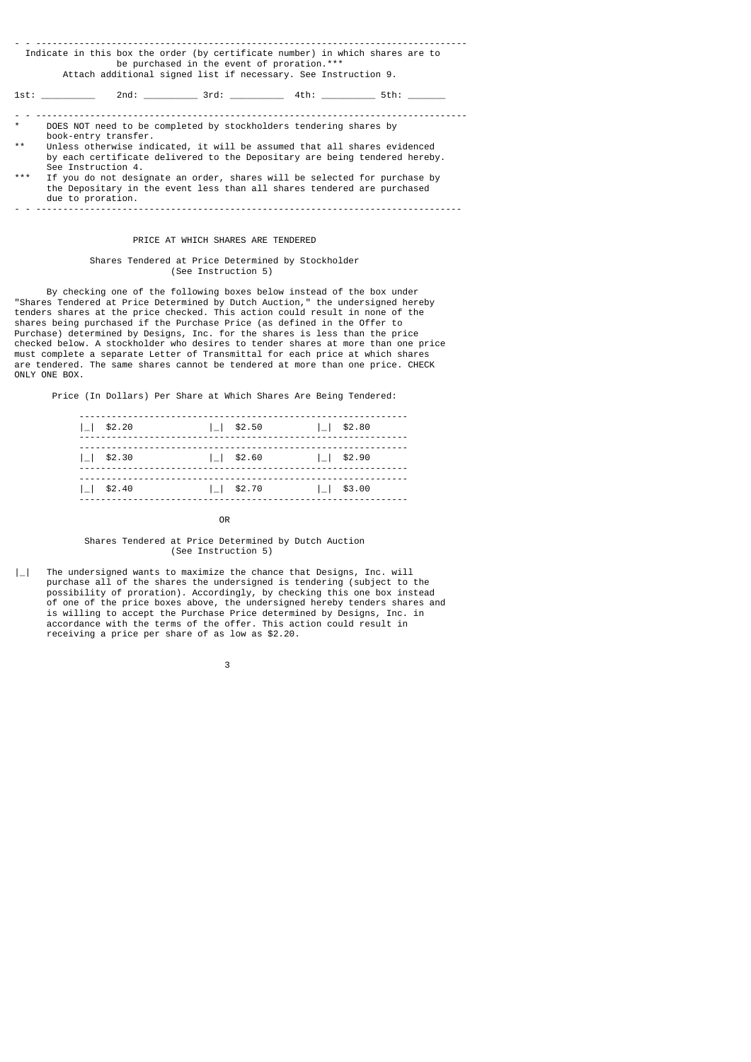|         | Indicate in this box the order (by certificate number) in which shares are to<br>be purchased in the event of proration.***<br>Attach additional signed list if necessary. See Instruction 9. |
|---------|-----------------------------------------------------------------------------------------------------------------------------------------------------------------------------------------------|
|         | 1st: 2nd: 3rd: 4th: 5th:                                                                                                                                                                      |
| $\star$ | DOES NOT need to be completed by stockholders tendering shares by<br>book-entry transfer.                                                                                                     |
| $* *$   | Unless otherwise indicated, it will be assumed that all shares evidenced<br>by each certificate delivered to the Depositary are being tendered hereby.<br>See Instruction 4.                  |
| ***     | If you do not designate an order, shares will be selected for purchase by                                                                                                                     |

 the Depositary in the event less than all shares tendered are purchased due to proration. - - -------------------------------------------------------------------------------

# PRICE AT WHICH SHARES ARE TENDERED

## Shares Tendered at Price Determined by Stockholder (See Instruction 5)

 By checking one of the following boxes below instead of the box under "Shares Tendered at Price Determined by Dutch Auction," the undersigned hereby tenders shares at the price checked. This action could result in none of the shares being purchased if the Purchase Price (as defined in the Offer to Purchase) determined by Designs, Inc. for the shares is less than the price checked below. A stockholder who desires to tender shares at more than one price must complete a separate Letter of Transmittal for each price at which shares are tendered. The same shares cannot be tendered at more than one price. CHECK ONLY ONE BOX.

Price (In Dollars) Per Share at Which Shares Are Being Tendered:

| $ $   \$2.20     | $ $   \$2.50    | $ $   \$2.80 |
|------------------|-----------------|--------------|
| $11$ \$2.30      | $1 \mid$ \$2.60 | $11$ \$2.90  |
| $1 \mid $ \$2.40 | $ $   \$2.70    | $11$ \$3.00  |

**OR OR** 

## Shares Tendered at Price Determined by Dutch Auction (See Instruction 5)

|\_| The undersigned wants to maximize the chance that Designs, Inc. will purchase all of the shares the undersigned is tendering (subject to the possibility of proration). Accordingly, by checking this one box instead of one of the price boxes above, the undersigned hereby tenders shares and is willing to accept the Purchase Price determined by Designs, Inc. in accordance with the terms of the offer. This action could result in receiving a price per share of as low as \$2.20.

 $\sim$  3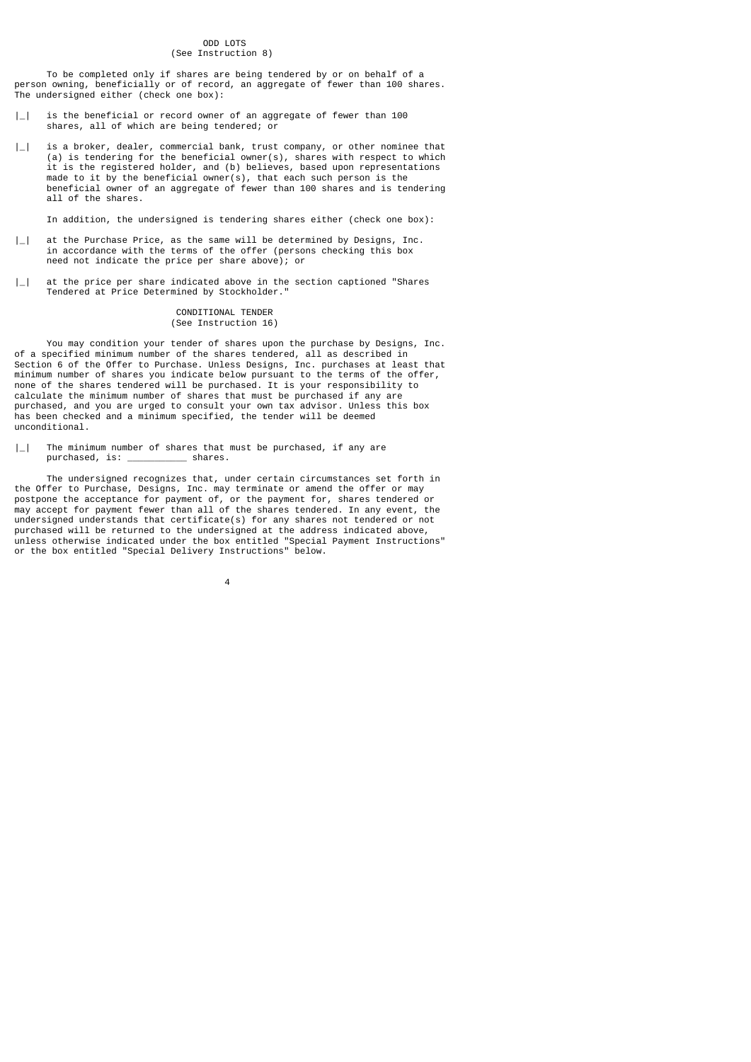# ODD LOTS (See Instruction 8)

 To be completed only if shares are being tendered by or on behalf of a person owning, beneficially or of record, an aggregate of fewer than 100 shares. The undersigned either (check one box):

- |\_| is the beneficial or record owner of an aggregate of fewer than 100 shares, all of which are being tendered; or
- $|\_$  is a broker, dealer, commercial bank, trust company, or other nominee that (a) is tendering for the beneficial owner(s), shares with respect to which it is the registered holder, and (b) believes, based upon representations made to it by the beneficial owner(s), that each such person is the beneficial owner of an aggregate of fewer than 100 shares and is tendering all of the shares.

In addition, the undersigned is tendering shares either (check one box):

- |\_| at the Purchase Price, as the same will be determined by Designs, Inc. in accordance with the terms of the offer (persons checking this box need not indicate the price per share above); or
- | | at the price per share indicated above in the section captioned "Shares" Tendered at Price Determined by Stockholder."

### CONDITIONAL TENDER (See Instruction 16)

 You may condition your tender of shares upon the purchase by Designs, Inc. of a specified minimum number of the shares tendered, all as described in Section 6 of the Offer to Purchase. Unless Designs, Inc. purchases at least that minimum number of shares you indicate below pursuant to the terms of the offer, none of the shares tendered will be purchased. It is your responsibility to calculate the minimum number of shares that must be purchased if any are purchased, and you are urged to consult your own tax advisor. Unless this box has been checked and a minimum specified, the tender will be deemed unconditional.

| | The minimum number of shares that must be purchased, if any are purchased, is: \_\_\_\_\_\_\_\_\_\_\_ shares.

4

The undersigned recognizes that, under certain circumstances set forth in the Offer to Purchase, Designs, Inc. may terminate or amend the offer or may postpone the acceptance for payment of, or the payment for, shares tendered or may accept for payment fewer than all of the shares tendered. In any event, the undersigned understands that certificate(s) for any shares not tendered or not purchased will be returned to the undersigned at the address indicated above, unless otherwise indicated under the box entitled "Special Payment Instructions" or the box entitled "Special Delivery Instructions" below.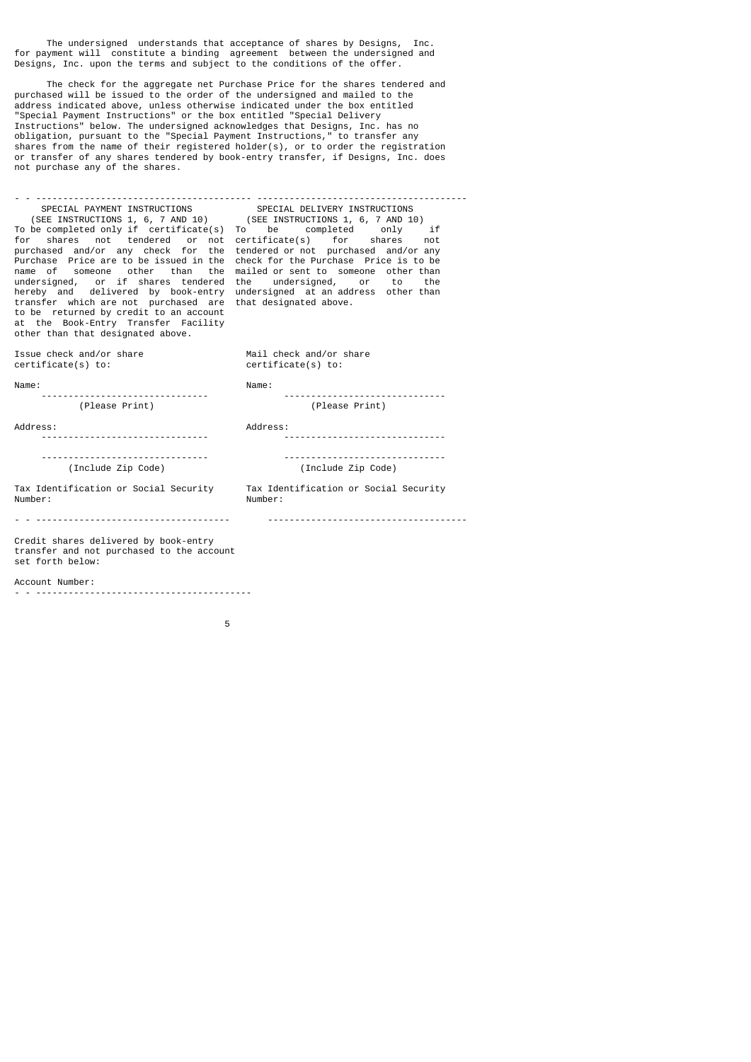The undersigned understands that acceptance of shares by Designs, Inc. for payment will constitute a binding agreement between the undersigned and Designs, Inc. upon the terms and subject to the conditions of the offer.

 The check for the aggregate net Purchase Price for the shares tendered and purchased will be issued to the order of the undersigned and mailed to the address indicated above, unless otherwise indicated under the box entitled "Special Payment Instructions" or the box entitled "Special Delivery Instructions" below. The undersigned acknowledges that Designs, Inc. has no obligation, pursuant to the "Special Payment Instructions," to transfer any shares from the name of their registered holder(s), or to order the registration or transfer of any shares tendered by book-entry transfer, if Designs, Inc. does not purchase any of the shares.

- - ---------------------------------------- --------------------------------------- SPECIAL PAYMENT INSTRUCTIONS SPECIAL DELIVERY INSTRUCTIONS (SEE INSTRUCTIONS 1, 6, 7 AND 10) (SEE INSTRUCTIONS 1, 6, 7 AND 10) To be completed only if certificate(s) To be completed only if for shares not tendered or not certificate(s) for shares not purchased and/or any check for the tendered or not purchased and/or any Purchase Price are to be issued in the check for the Purchase Price is to be name of someone other than the mailed or sent to someone other than undersigned, or if shares tendered the undersigned, or to the hereby and delivered by book-entry undersigned at an address other than transfer which are not purchased are that designated above. to be returned by credit to an account at the Book-Entry Transfer Facility other than that designated above. Issue check and/or share Mail check and/or share<br>certificate(s) to:  $\overline{\phantom{0}}$  certificate(s) to:  $c$ ertificate $(s)$  to:

Number:

Name: Name:

------------------------------- ------------------------------

(Please Print) (Please Print)

Address: Address:

------------------------------- ------------------------------

 ------------------------------- ------------------------------ (Include Zip Code) (Include Zip Code)

Tax Identification or Social Security Tax Identification or Social Security<br>Number: Number:

- - ------------------------------------ -------------------------------------

Credit shares delivered by book-entry transfer and not purchased to the account set forth below:

Account Number:

- - ----------------------------------------

the contract of the contract of the contract of the contract of the contract of the contract of the contract o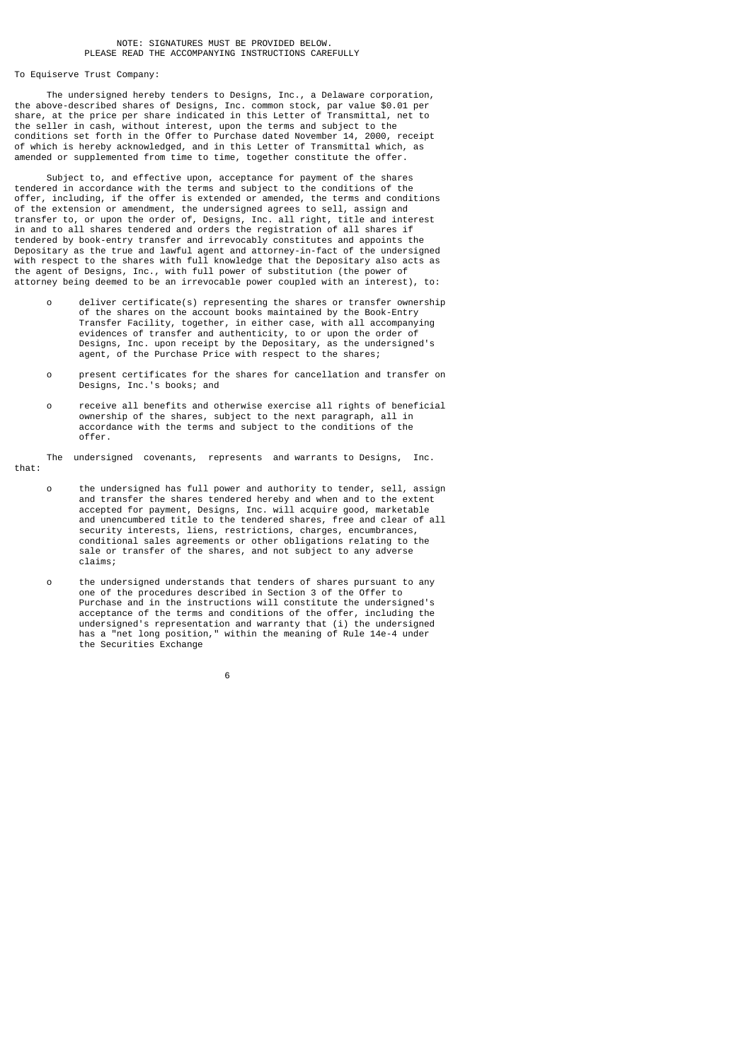To Equiserve Trust Company:

 The undersigned hereby tenders to Designs, Inc., a Delaware corporation, the above-described shares of Designs, Inc. common stock, par value \$0.01 per share, at the price per share indicated in this Letter of Transmittal, net to the seller in cash, without interest, upon the terms and subject to the conditions set forth in the Offer to Purchase dated November 14, 2000, receipt of which is hereby acknowledged, and in this Letter of Transmittal which, as amended or supplemented from time to time, together constitute the offer.

 Subject to, and effective upon, acceptance for payment of the shares tendered in accordance with the terms and subject to the conditions of the offer, including, if the offer is extended or amended, the terms and conditions of the extension or amendment, the undersigned agrees to sell, assign and transfer to, or upon the order of, Designs, Inc. all right, title and interest in and to all shares tendered and orders the registration of all shares if tendered by book-entry transfer and irrevocably constitutes and appoints the Depositary as the true and lawful agent and attorney-in-fact of the undersigned with respect to the shares with full knowledge that the Depositary also acts as the agent of Designs, Inc., with full power of substitution (the power of attorney being deemed to be an irrevocable power coupled with an interest), to:

- o deliver certificate(s) representing the shares or transfer ownership of the shares on the account books maintained by the Book-Entry Transfer Facility, together, in either case, with all accompanying evidences of transfer and authenticity, to or upon the order of Designs, Inc. upon receipt by the Depositary, as the undersigned's agent, of the Purchase Price with respect to the shares;
	- o present certificates for the shares for cancellation and transfer on Designs, Inc.'s books; and
- o receive all benefits and otherwise exercise all rights of beneficial ownership of the shares, subject to the next paragraph, all in accordance with the terms and subject to the conditions of the offer.

The undersigned covenants, represents and warrants to Designs, Inc.

that:

- o the undersigned has full power and authority to tender, sell, assign and transfer the shares tendered hereby and when and to the extent accepted for payment, Designs, Inc. will acquire good, marketable and unencumbered title to the tendered shares, free and clear of all security interests, liens, restrictions, charges, encumbrances, conditional sales agreements or other obligations relating to the sale or transfer of the shares, and not subject to any adverse claims;
- o the undersigned understands that tenders of shares pursuant to any one of the procedures described in Section 3 of the Offer to Purchase and in the instructions will constitute the undersigned's acceptance of the terms and conditions of the offer, including the undersigned's representation and warranty that (i) the undersigned has a "net long position," within the meaning of Rule 14e-4 under the Securities Exchange

 $\sim$  6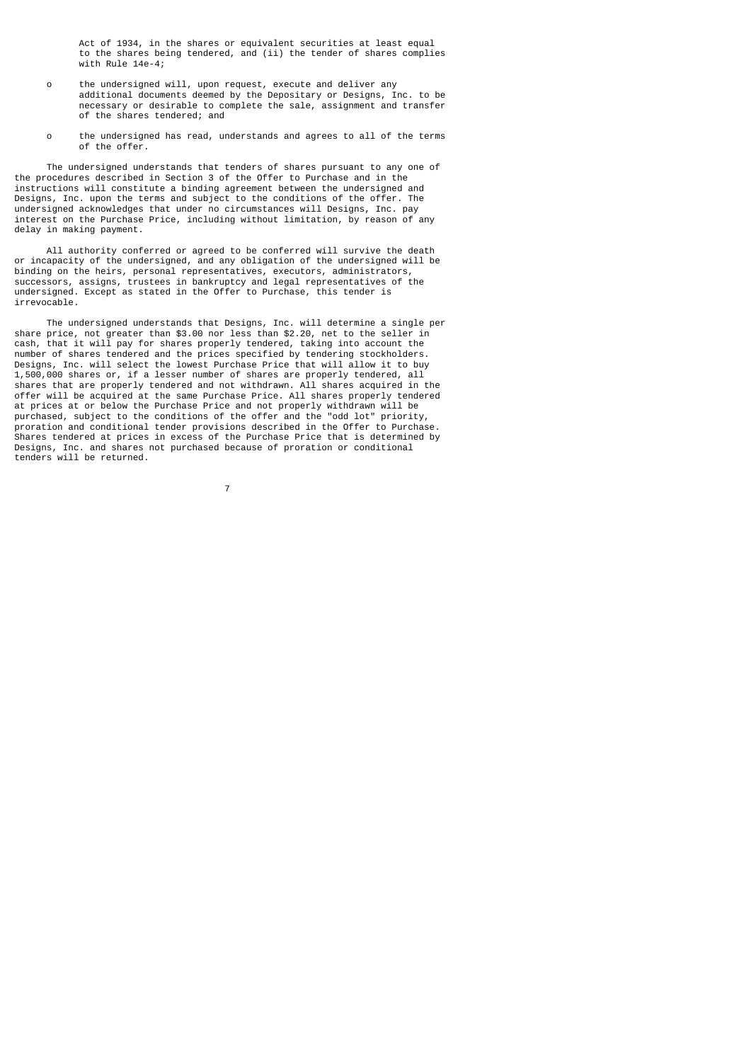Act of 1934, in the shares or equivalent securities at least equal to the shares being tendered, and (ii) the tender of shares complies with Rule 14e-4;

- o the undersigned will, upon request, execute and deliver any additional documents deemed by the Depositary or Designs, Inc. to be necessary or desirable to complete the sale, assignment and transfer of the shares tendered; and
- o the undersigned has read, understands and agrees to all of the terms of the offer.

 The undersigned understands that tenders of shares pursuant to any one of the procedures described in Section 3 of the Offer to Purchase and in the instructions will constitute a binding agreement between the undersigned and Designs, Inc. upon the terms and subject to the conditions of the offer. The undersigned acknowledges that under no circumstances will Designs, Inc. pay interest on the Purchase Price, including without limitation, by reason of any delay in making payment.

 All authority conferred or agreed to be conferred will survive the death or incapacity of the undersigned, and any obligation of the undersigned will be binding on the heirs, personal representatives, executors, administrators, successors, assigns, trustees in bankruptcy and legal representatives of the undersigned. Except as stated in the Offer to Purchase, this tender is irrevocable.

 The undersigned understands that Designs, Inc. will determine a single per share price, not greater than \$3.00 nor less than \$2.20, net to the seller in cash, that it will pay for shares properly tendered, taking into account the number of shares tendered and the prices specified by tendering stockholders. Designs, Inc. will select the lowest Purchase Price that will allow it to buy 1,500,000 shares or, if a lesser number of shares are properly tendered, all shares that are properly tendered and not withdrawn. All shares acquired in the offer will be acquired at the same Purchase Price. All shares properly tendered at prices at or below the Purchase Price and not properly withdrawn will be purchased, subject to the conditions of the offer and the "odd lot" priority, proration and conditional tender provisions described in the Offer to Purchase. Shares tendered at prices in excess of the Purchase Price that is determined by Designs, Inc. and shares not purchased because of proration or conditional tenders will be returned.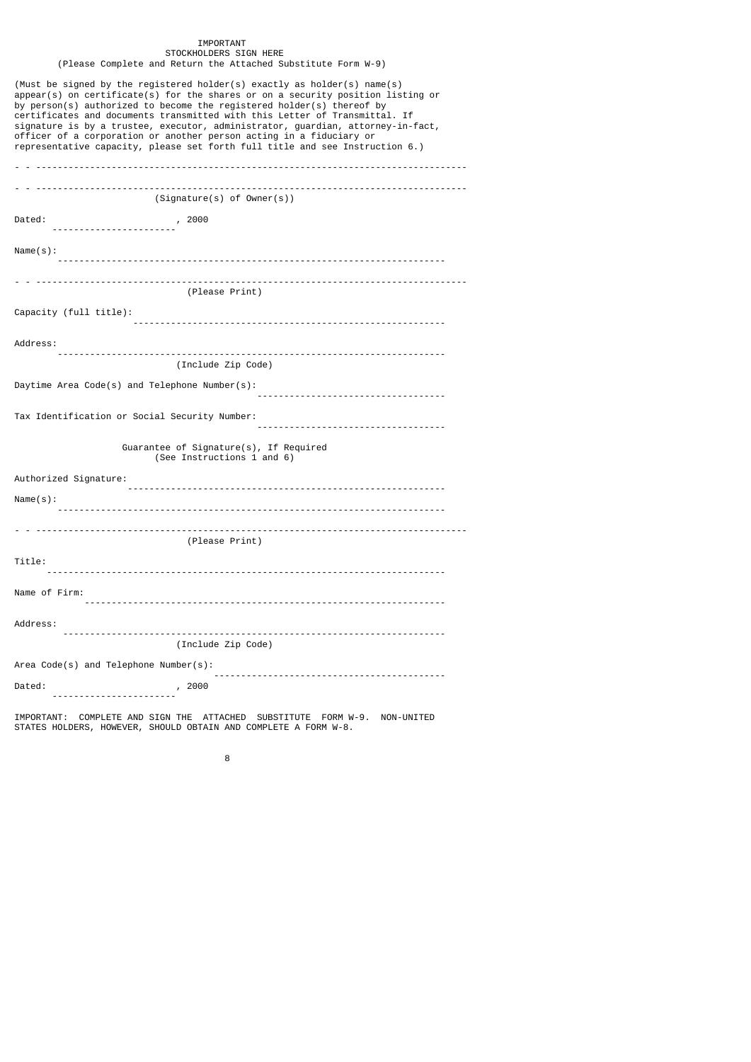#### IMPORTANT STOCKHOLDERS SIGN HERE (Please Complete and Return the Attached Substitute Form W-9)

| (Must be signed by the registered holder(s) exactly as holder(s) name(s)<br>$appear(s)$ on certificate(s) for the shares or on a security position listing or<br>by person(s) authorized to become the registered holder(s) thereof by<br>certificates and documents transmitted with this Letter of Transmittal. If<br>signature is by a trustee, executor, administrator, guardian, attorney-in-fact,<br>officer of a corporation or another person acting in a fiduciary or<br>representative capacity, please set forth full title and see Instruction 6.) |
|----------------------------------------------------------------------------------------------------------------------------------------------------------------------------------------------------------------------------------------------------------------------------------------------------------------------------------------------------------------------------------------------------------------------------------------------------------------------------------------------------------------------------------------------------------------|
|                                                                                                                                                                                                                                                                                                                                                                                                                                                                                                                                                                |
| (Signature(s) of owner(s))                                                                                                                                                                                                                                                                                                                                                                                                                                                                                                                                     |
| Dated:                                                                                                                                                                                                                                                                                                                                                                                                                                                                                                                                                         |
|                                                                                                                                                                                                                                                                                                                                                                                                                                                                                                                                                                |
| Name(s):                                                                                                                                                                                                                                                                                                                                                                                                                                                                                                                                                       |
| (Please Print)                                                                                                                                                                                                                                                                                                                                                                                                                                                                                                                                                 |
|                                                                                                                                                                                                                                                                                                                                                                                                                                                                                                                                                                |
| Capacity (full title):                                                                                                                                                                                                                                                                                                                                                                                                                                                                                                                                         |
| Address:                                                                                                                                                                                                                                                                                                                                                                                                                                                                                                                                                       |
| (Include Zip Code)                                                                                                                                                                                                                                                                                                                                                                                                                                                                                                                                             |
| Daytime Area Code(s) and Telephone Number(s):                                                                                                                                                                                                                                                                                                                                                                                                                                                                                                                  |
| Tax Identification or Social Security Number:                                                                                                                                                                                                                                                                                                                                                                                                                                                                                                                  |
| Guarantee of Signature(s), If Required<br>(See Instructions 1 and 6)                                                                                                                                                                                                                                                                                                                                                                                                                                                                                           |
| Authorized Signature:                                                                                                                                                                                                                                                                                                                                                                                                                                                                                                                                          |
| Name(s):                                                                                                                                                                                                                                                                                                                                                                                                                                                                                                                                                       |
|                                                                                                                                                                                                                                                                                                                                                                                                                                                                                                                                                                |
| (Please Print)                                                                                                                                                                                                                                                                                                                                                                                                                                                                                                                                                 |
| Title:                                                                                                                                                                                                                                                                                                                                                                                                                                                                                                                                                         |
| Name of Firm:                                                                                                                                                                                                                                                                                                                                                                                                                                                                                                                                                  |
|                                                                                                                                                                                                                                                                                                                                                                                                                                                                                                                                                                |
| Address:                                                                                                                                                                                                                                                                                                                                                                                                                                                                                                                                                       |
| (Include Zip Code)                                                                                                                                                                                                                                                                                                                                                                                                                                                                                                                                             |
| Area Code(s) and Telephone Number(s):                                                                                                                                                                                                                                                                                                                                                                                                                                                                                                                          |
| Dated:<br>, 2000<br>.                                                                                                                                                                                                                                                                                                                                                                                                                                                                                                                                          |
| IMPORTANT: COMPLETE AND SIGN THE ATTACHED SUBSTITUTE FORM W-9. NON-UNITED<br>STATES HOLDERS, HOWEVER, SHOULD OBTAIN AND COMPLETE A FORM W-8.                                                                                                                                                                                                                                                                                                                                                                                                                   |

en andere de la provincia de la provincia de la provincia de la provincia de la provincia de la provincia del<br>Referències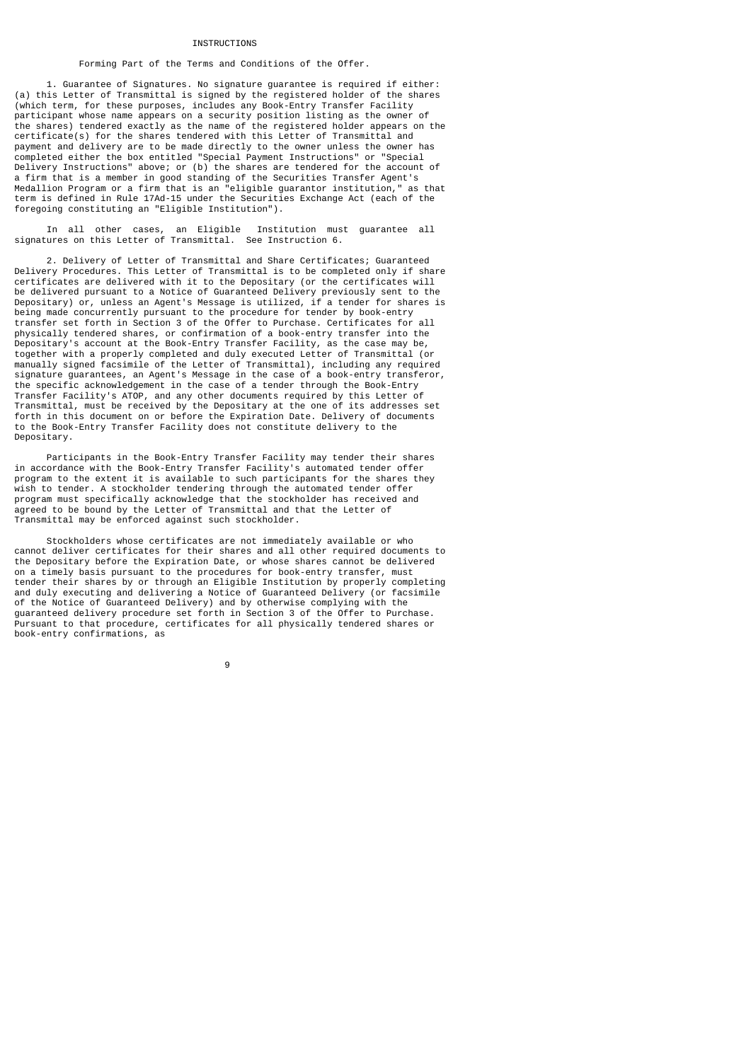# **TNSTRUCTTONS**

# Forming Part of the Terms and Conditions of the Offer.

 1. Guarantee of Signatures. No signature guarantee is required if either: (a) this Letter of Transmittal is signed by the registered holder of the shares (which term, for these purposes, includes any Book-Entry Transfer Facility participant whose name appears on a security position listing as the owner of the shares) tendered exactly as the name of the registered holder appears on the certificate(s) for the shares tendered with this Letter of Transmittal and payment and delivery are to be made directly to the owner unless the owner has completed either the box entitled "Special Payment Instructions" or "Special Delivery Instructions" above; or (b) the shares are tendered for the account of a firm that is a member in good standing of the Securities Transfer Agent's Medallion Program or a firm that is an "eligible guarantor institution," as that term is defined in Rule 17Ad-15 under the Securities Exchange Act (each of the foregoing constituting an "Eligible Institution").

 In all other cases, an Eligible Institution must guarantee all signatures on this Letter of Transmittal. See Instruction 6.

 2. Delivery of Letter of Transmittal and Share Certificates; Guaranteed Delivery Procedures. This Letter of Transmittal is to be completed only if share certificates are delivered with it to the Depositary (or the certificates will be delivered pursuant to a Notice of Guaranteed Delivery previously sent to the Depositary) or, unless an Agent's Message is utilized, if a tender for shares is being made concurrently pursuant to the procedure for tender by book-entry transfer set forth in Section 3 of the Offer to Purchase. Certificates for all physically tendered shares, or confirmation of a book-entry transfer into the Depositary's account at the Book-Entry Transfer Facility, as the case may be, together with a properly completed and duly executed Letter of Transmittal (or manually signed facsimile of the Letter of Transmittal), including any required signature guarantees, an Agent's Message in the case of a book-entry transferor, the specific acknowledgement in the case of a tender through the Book-Entry Transfer Facility's ATOP, and any other documents required by this Letter of Transmittal, must be received by the Depositary at the one of its addresses set forth in this document on or before the Expiration Date. Delivery of documents to the Book-Entry Transfer Facility does not constitute delivery to the Depositary.

 Participants in the Book-Entry Transfer Facility may tender their shares in accordance with the Book-Entry Transfer Facility's automated tender offer program to the extent it is available to such participants for the shares they wish to tender. A stockholder tendering through the automated tender offer program must specifically acknowledge that the stockholder has received and agreed to be bound by the Letter of Transmittal and that the Letter of Transmittal may be enforced against such stockholder.

 Stockholders whose certificates are not immediately available or who cannot deliver certificates for their shares and all other required documents to the Depositary before the Expiration Date, or whose shares cannot be delivered on a timely basis pursuant to the procedures for book-entry transfer, must tender their shares by or through an Eligible Institution by properly completing and duly executing and delivering a Notice of Guaranteed Delivery (or facsimile of the Notice of Guaranteed Delivery) and by otherwise complying with the guaranteed delivery procedure set forth in Section 3 of the Offer to Purchase. Pursuant to that procedure, certificates for all physically tendered shares or book-entry confirmations, as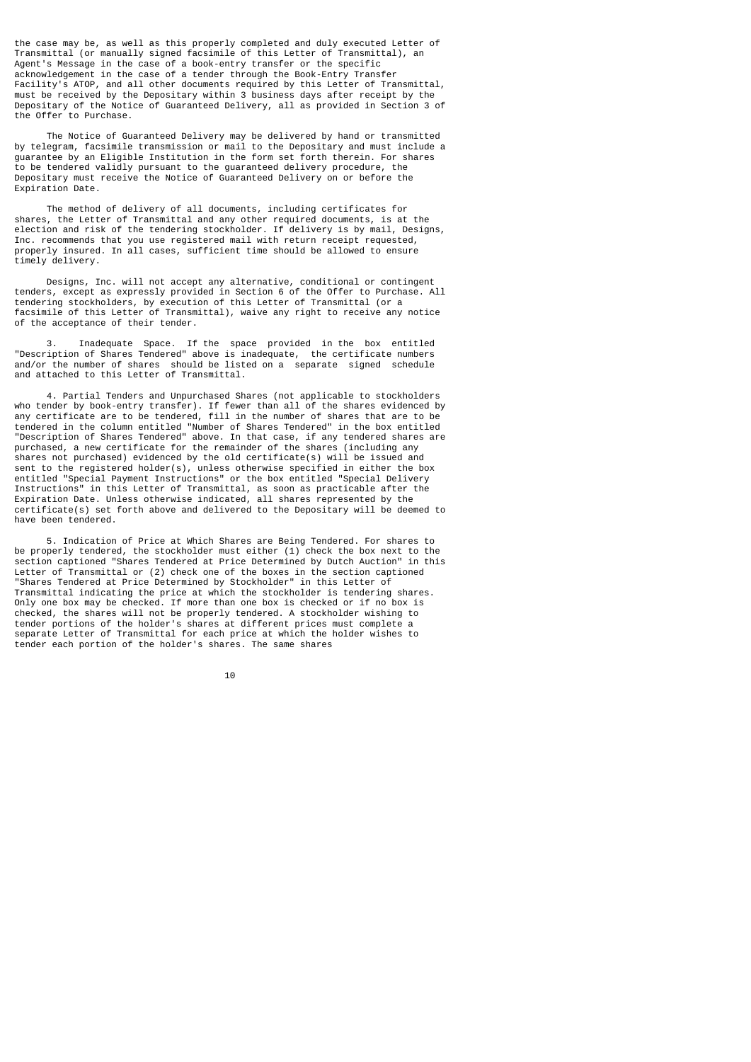the case may be, as well as this properly completed and duly executed Letter of Transmittal (or manually signed facsimile of this Letter of Transmittal), an Agent's Message in the case of a book-entry transfer or the specific acknowledgement in the case of a tender through the Book-Entry Transfer Facility's ATOP, and all other documents required by this Letter of Transmittal, must be received by the Depositary within 3 business days after receipt by the Depositary of the Notice of Guaranteed Delivery, all as provided in Section 3 of the Offer to Purchase.

 The Notice of Guaranteed Delivery may be delivered by hand or transmitted by telegram, facsimile transmission or mail to the Depositary and must include a guarantee by an Eligible Institution in the form set forth therein. For shares to be tendered validly pursuant to the guaranteed delivery procedure, the Depositary must receive the Notice of Guaranteed Delivery on or before the Expiration Date.

 The method of delivery of all documents, including certificates for shares, the Letter of Transmittal and any other required documents, is at the election and risk of the tendering stockholder. If delivery is by mail, Designs, Inc. recommends that you use registered mail with return receipt requested, properly insured. In all cases, sufficient time should be allowed to ensure timely delivery.

 Designs, Inc. will not accept any alternative, conditional or contingent tenders, except as expressly provided in Section 6 of the Offer to Purchase. All tendering stockholders, by execution of this Letter of Transmittal (or a facsimile of this Letter of Transmittal), waive any right to receive any notice of the acceptance of their tender.

 3. Inadequate Space. If the space provided in the box entitled "Description of Shares Tendered" above is inadequate, the certificate numbers and/or the number of shares should be listed on a separate signed schedule and attached to this Letter of Transmittal.

 4. Partial Tenders and Unpurchased Shares (not applicable to stockholders who tender by book-entry transfer). If fewer than all of the shares evidenced by any certificate are to be tendered, fill in the number of shares that are to be tendered in the column entitled "Number of Shares Tendered" in the box entitled "Description of Shares Tendered" above. In that case, if any tendered shares are purchased, a new certificate for the remainder of the shares (including any shares not purchased) evidenced by the old certificate(s) will be issued and sent to the registered holder(s), unless otherwise specified in either the box entitled "Special Payment Instructions" or the box entitled "Special Delivery Instructions" in this Letter of Transmittal, as soon as practicable after the Expiration Date. Unless otherwise indicated, all shares represented by the certificate(s) set forth above and delivered to the Depositary will be deemed to have been tendered.

 5. Indication of Price at Which Shares are Being Tendered. For shares to be properly tendered, the stockholder must either (1) check the box next to the section captioned "Shares Tendered at Price Determined by Dutch Auction" in this Letter of Transmittal or (2) check one of the boxes in the section captioned "Shares Tendered at Price Determined by Stockholder" in this Letter of Transmittal indicating the price at which the stockholder is tendering shares. Only one box may be checked. If more than one box is checked or if no box is checked, the shares will not be properly tendered. A stockholder wishing to tender portions of the holder's shares at different prices must complete a separate Letter of Transmittal for each price at which the holder wishes to tender each portion of the holder's shares. The same shares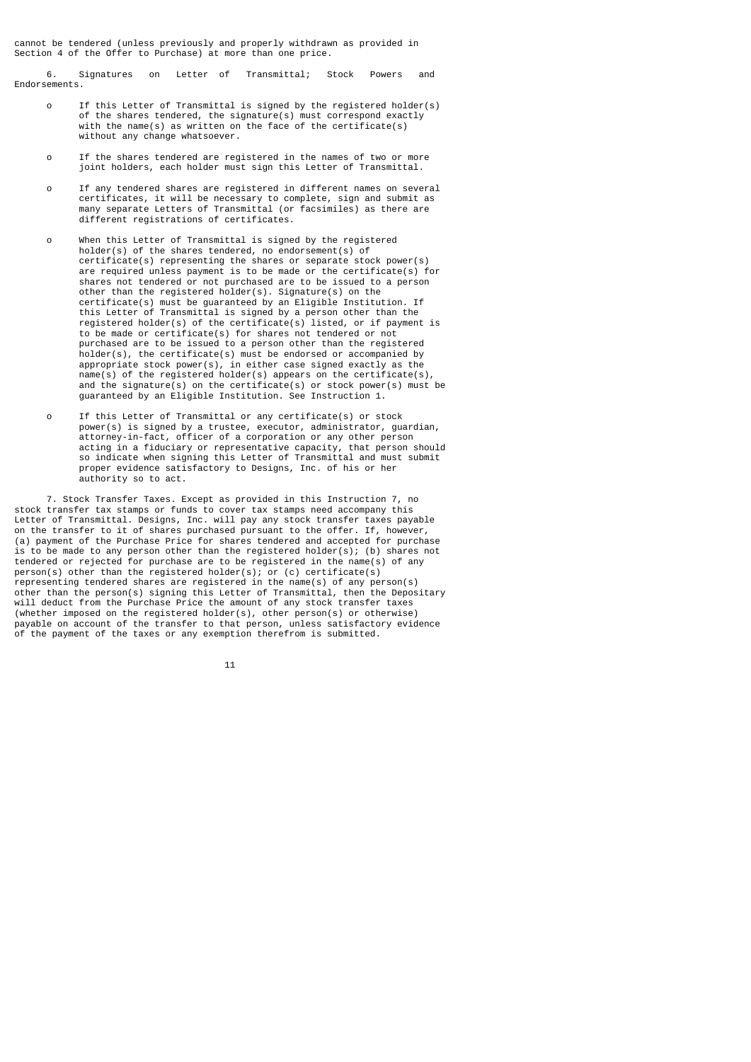cannot be tendered (unless previously and properly withdrawn as provided in Section 4 of the Offer to Purchase) at more than one price.

 6. Signatures on Letter of Transmittal; Stock Powers and Endorsements.

- o If this Letter of Transmittal is signed by the registered holder(s) of the shares tendered, the signature(s) must correspond exactly with the name(s) as written on the face of the certificate(s) without any change whatsoever.
- o If the shares tendered are registered in the names of two or more joint holders, each holder must sign this Letter of Transmittal.
- o If any tendered shares are registered in different names on several certificates, it will be necessary to complete, sign and submit as many separate Letters of Transmittal (or facsimiles) as there are different registrations of certificates.
- o When this Letter of Transmittal is signed by the registered holder(s) of the shares tendered, no endorsement(s) of certificate(s) representing the shares or separate stock power(s) are required unless payment is to be made or the certificate(s) for shares not tendered or not purchased are to be issued to a person other than the registered holder(s). Signature(s) on the certificate(s) must be guaranteed by an Eligible Institution. If this Letter of Transmittal is signed by a person other than the registered holder(s) of the certificate(s) listed, or if payment is to be made or certificate(s) for shares not tendered or not purchased are to be issued to a person other than the registered holder(s), the certificate(s) must be endorsed or accompanied by appropriate stock power(s), in either case signed exactly as the name(s) of the registered holder(s) appears on the certificate(s), and the signature(s) on the certificate(s) or stock power(s) must be guaranteed by an Eligible Institution. See Instruction 1.
- o If this Letter of Transmittal or any certificate(s) or stock power(s) is signed by a trustee, executor, administrator, guardian, attorney-in-fact, officer of a corporation or any other person acting in a fiduciary or representative capacity, that person should so indicate when signing this Letter of Transmittal and must submit proper evidence satisfactory to Designs, Inc. of his or her authority so to act.

 7. Stock Transfer Taxes. Except as provided in this Instruction 7, no stock transfer tax stamps or funds to cover tax stamps need accompany this Letter of Transmittal. Designs, Inc. will pay any stock transfer taxes payable on the transfer to it of shares purchased pursuant to the offer. If, however, (a) payment of the Purchase Price for shares tendered and accepted for purchase is to be made to any person other than the registered holder(s); (b) shares not tendered or rejected for purchase are to be registered in the name(s) of any person(s) other than the registered holder(s); or (c) certificate(s) representing tendered shares are registered in the name(s) of any person(s) other than the person(s) signing this Letter of Transmittal, then the Depositary will deduct from the Purchase Price the amount of any stock transfer taxes (whether imposed on the registered holder(s), other person(s) or otherwise) payable on account of the transfer to that person, unless satisfactory evidence of the payment of the taxes or any exemption therefrom is submitted.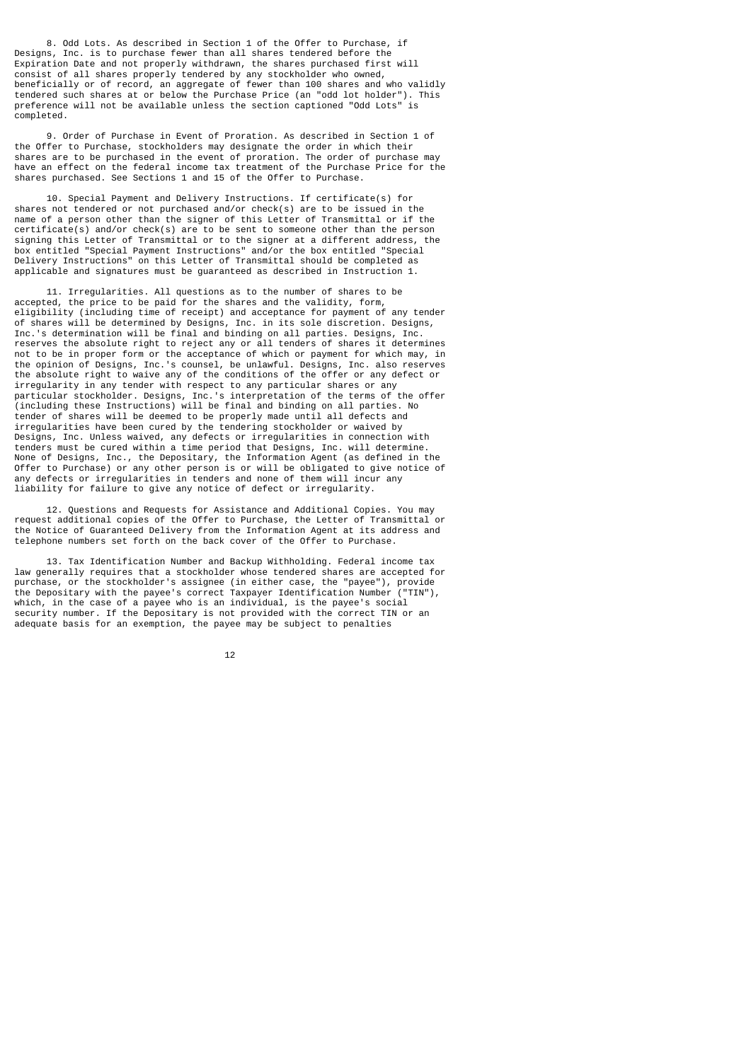8. Odd Lots. As described in Section 1 of the Offer to Purchase, if Designs, Inc. is to purchase fewer than all shares tendered before the Expiration Date and not properly withdrawn, the shares purchased first will consist of all shares properly tendered by any stockholder who owned, beneficially or of record, an aggregate of fewer than 100 shares and who validly tendered such shares at or below the Purchase Price (an "odd lot holder"). This preference will not be available unless the section captioned "Odd Lots" is completed.

 9. Order of Purchase in Event of Proration. As described in Section 1 of the Offer to Purchase, stockholders may designate the order in which their shares are to be purchased in the event of proration. The order of purchase may have an effect on the federal income tax treatment of the Purchase Price for the shares purchased. See Sections 1 and 15 of the Offer to Purchase.

 10. Special Payment and Delivery Instructions. If certificate(s) for shares not tendered or not purchased and/or check(s) are to be issued in the name of a person other than the signer of this Letter of Transmittal or if the certificate(s) and/or check(s) are to be sent to someone other than the person signing this Letter of Transmittal or to the signer at a different address, the box entitled "Special Payment Instructions" and/or the box entitled "Special Delivery Instructions" on this Letter of Transmittal should be completed as applicable and signatures must be guaranteed as described in Instruction 1.

 11. Irregularities. All questions as to the number of shares to be accepted, the price to be paid for the shares and the validity, form, eligibility (including time of receipt) and acceptance for payment of any tender of shares will be determined by Designs, Inc. in its sole discretion. Designs, Inc.'s determination will be final and binding on all parties. Designs, Inc. reserves the absolute right to reject any or all tenders of shares it determines not to be in proper form or the acceptance of which or payment for which may, in the opinion of Designs, Inc.'s counsel, be unlawful. Designs, Inc. also reserves the absolute right to waive any of the conditions of the offer or any defect or irregularity in any tender with respect to any particular shares or any particular stockholder. Designs, Inc.'s interpretation of the terms of the offer (including these Instructions) will be final and binding on all parties. No tender of shares will be deemed to be properly made until all defects and irregularities have been cured by the tendering stockholder or waived by Designs, Inc. Unless waived, any defects or irregularities in connection with tenders must be cured within a time period that Designs, Inc. will determine. None of Designs, Inc., the Depositary, the Information Agent (as defined in the Offer to Purchase) or any other person is or will be obligated to give notice of any defects or irregularities in tenders and none of them will incur any liability for failure to give any notice of defect or irregularity.

 12. Questions and Requests for Assistance and Additional Copies. You may request additional copies of the Offer to Purchase, the Letter of Transmittal or the Notice of Guaranteed Delivery from the Information Agent at its address and telephone numbers set forth on the back cover of the Offer to Purchase.

 13. Tax Identification Number and Backup Withholding. Federal income tax law generally requires that a stockholder whose tendered shares are accepted for purchase, or the stockholder's assignee (in either case, the "payee"), provide the Depositary with the payee's correct Taxpayer Identification Number ("TIN"), which, in the case of a payee who is an individual, is the payee's social security number. If the Depositary is not provided with the correct TIN or an adequate basis for an exemption, the payee may be subject to penalties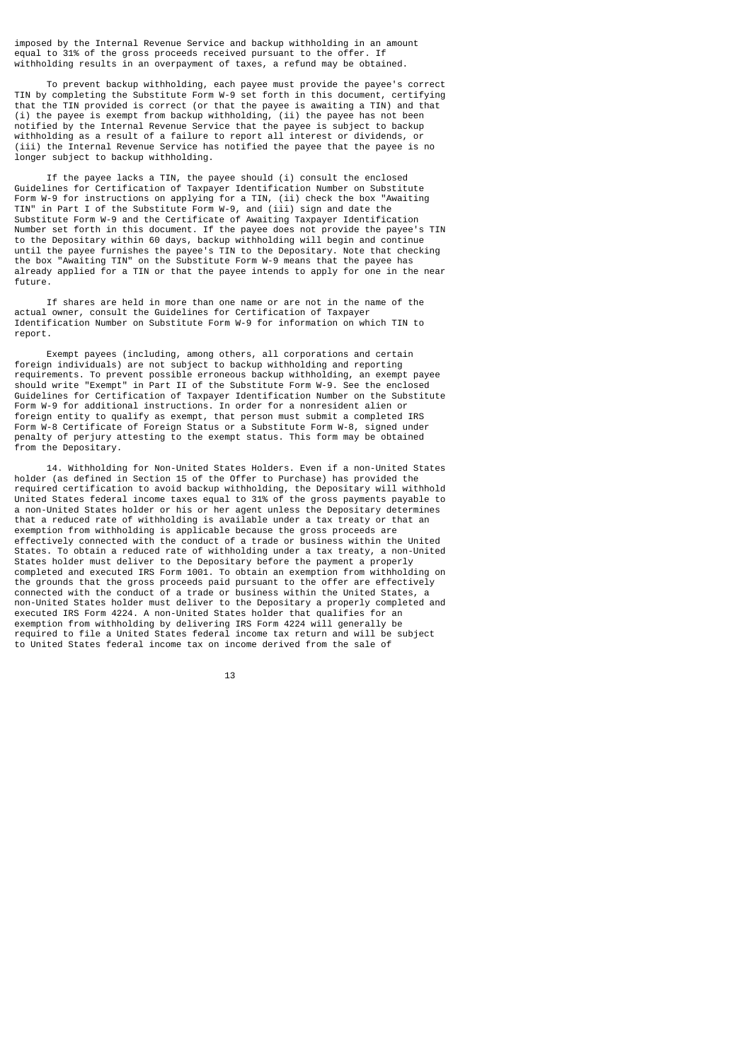imposed by the Internal Revenue Service and backup withholding in an amount equal to 31% of the gross proceeds received pursuant to the offer. If withholding results in an overpayment of taxes, a refund may be obtained.

 To prevent backup withholding, each payee must provide the payee's correct TIN by completing the Substitute Form W-9 set forth in this document, certifying that the TIN provided is correct (or that the payee is awaiting a TIN) and that (i) the payee is exempt from backup withholding, (ii) the payee has not been notified by the Internal Revenue Service that the payee is subject to backup withholding as a result of a failure to report all interest or dividends, or (iii) the Internal Revenue Service has notified the payee that the payee is no longer subject to backup withholding.

 If the payee lacks a TIN, the payee should (i) consult the enclosed Guidelines for Certification of Taxpayer Identification Number on Substitute Form W-9 for instructions on applying for a TIN, (ii) check the box "Awaiting TIN" in Part I of the Substitute Form W-9, and (iii) sign and date the Substitute Form W-9 and the Certificate of Awaiting Taxpayer Identification Number set forth in this document. If the payee does not provide the payee's TIN to the Depositary within 60 days, backup withholding will begin and continue until the payee furnishes the payee's TIN to the Depositary. Note that checking the box "Awaiting TIN" on the Substitute Form W-9 means that the payee has already applied for a TIN or that the payee intends to apply for one in the near future.

 If shares are held in more than one name or are not in the name of the actual owner, consult the Guidelines for Certification of Taxpayer Identification Number on Substitute Form W-9 for information on which TIN to report.

 Exempt payees (including, among others, all corporations and certain foreign individuals) are not subject to backup withholding and reporting requirements. To prevent possible erroneous backup withholding, an exempt payee should write "Exempt" in Part II of the Substitute Form W-9. See the enclosed Guidelines for Certification of Taxpayer Identification Number on the Substitute Form W-9 for additional instructions. In order for a nonresident alien or foreign entity to qualify as exempt, that person must submit a completed IRS Form W-8 Certificate of Foreign Status or a Substitute Form W-8, signed under penalty of perjury attesting to the exempt status. This form may be obtained from the Depositary.

 14. Withholding for Non-United States Holders. Even if a non-United States holder (as defined in Section 15 of the Offer to Purchase) has provided the required certification to avoid backup withholding, the Depositary will withhold United States federal income taxes equal to 31% of the gross payments payable to a non-United States holder or his or her agent unless the Depositary determines that a reduced rate of withholding is available under a tax treaty or that an exemption from withholding is applicable because the gross proceeds are effectively connected with the conduct of a trade or business within the United States. To obtain a reduced rate of withholding under a tax treaty, a non-United States holder must deliver to the Depositary before the payment a properly completed and executed IRS Form 1001. To obtain an exemption from withholding on the grounds that the gross proceeds paid pursuant to the offer are effectively connected with the conduct of a trade or business within the United States, a non-United States holder must deliver to the Depositary a properly completed and executed IRS Form 4224. A non-United States holder that qualifies for an exemption from withholding by delivering IRS Form 4224 will generally be required to file a United States federal income tax return and will be subject to United States federal income tax on income derived from the sale of

13 and 13 and 13 and 13 and 13 and 13 and 13 and 13 and 13 and 13 and 13 and 13 and 13 and 13 and 13 and 13 an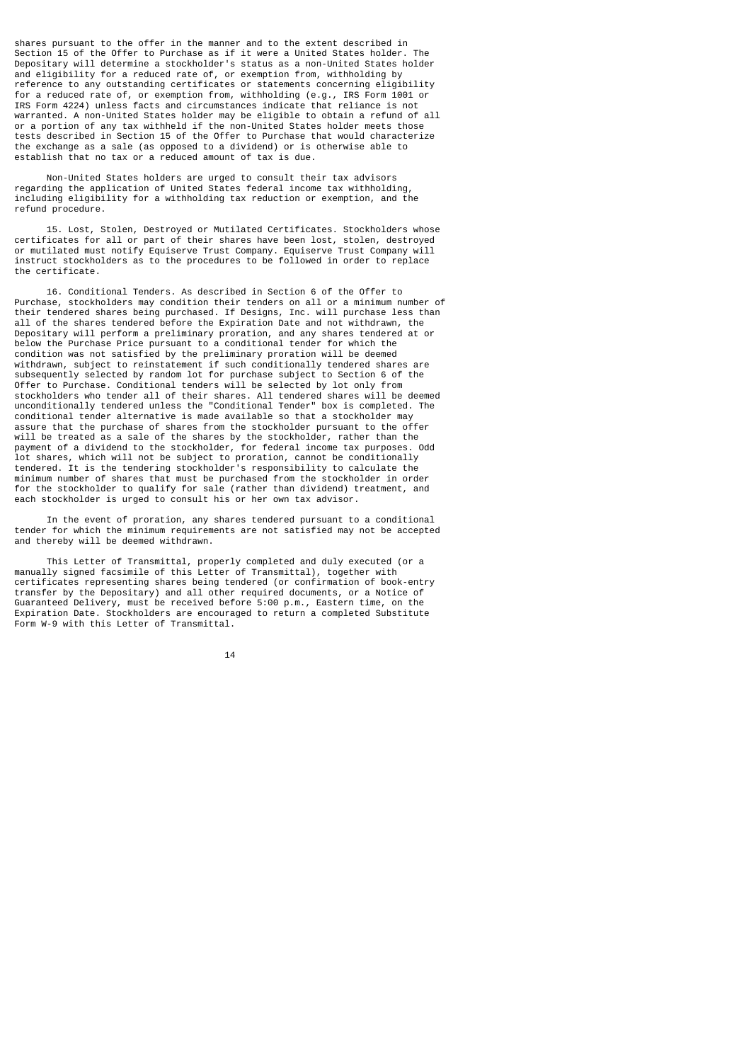shares pursuant to the offer in the manner and to the extent described in Section 15 of the Offer to Purchase as if it were a United States holder. The Depositary will determine a stockholder's status as a non-United States holder and eligibility for a reduced rate of, or exemption from, withholding by reference to any outstanding certificates or statements concerning eligibility for a reduced rate of, or exemption from, withholding (e.g., IRS Form 1001 or IRS Form 4224) unless facts and circumstances indicate that reliance is not warranted. A non-United States holder may be eligible to obtain a refund of all or a portion of any tax withheld if the non-United States holder meets those tests described in Section 15 of the Offer to Purchase that would characterize the exchange as a sale (as opposed to a dividend) or is otherwise able to establish that no tax or a reduced amount of tax is due.

 Non-United States holders are urged to consult their tax advisors regarding the application of United States federal income tax withholding, including eligibility for a withholding tax reduction or exemption, and the refund procedure.

 15. Lost, Stolen, Destroyed or Mutilated Certificates. Stockholders whose certificates for all or part of their shares have been lost, stolen, destroyed or mutilated must notify Equiserve Trust Company. Equiserve Trust Company will instruct stockholders as to the procedures to be followed in order to replace the certificate.

 16. Conditional Tenders. As described in Section 6 of the Offer to Purchase, stockholders may condition their tenders on all or a minimum number of their tendered shares being purchased. If Designs, Inc. will purchase less than all of the shares tendered before the Expiration Date and not withdrawn, the Depositary will perform a preliminary proration, and any shares tendered at or below the Purchase Price pursuant to a conditional tender for which the condition was not satisfied by the preliminary proration will be deemed withdrawn, subject to reinstatement if such conditionally tendered shares are subsequently selected by random lot for purchase subject to Section 6 of the Offer to Purchase. Conditional tenders will be selected by lot only from stockholders who tender all of their shares. All tendered shares will be deemed unconditionally tendered unless the "Conditional Tender" box is completed. The conditional tender alternative is made available so that a stockholder may assure that the purchase of shares from the stockholder pursuant to the offer will be treated as a sale of the shares by the stockholder, rather than the payment of a dividend to the stockholder, for federal income tax purposes. Odd lot shares, which will not be subject to proration, cannot be conditionally tendered. It is the tendering stockholder's responsibility to calculate the minimum number of shares that must be purchased from the stockholder in order for the stockholder to qualify for sale (rather than dividend) treatment, and each stockholder is urged to consult his or her own tax advisor.

 In the event of proration, any shares tendered pursuant to a conditional tender for which the minimum requirements are not satisfied may not be accepted and thereby will be deemed withdrawn.

 This Letter of Transmittal, properly completed and duly executed (or a manually signed facsimile of this Letter of Transmittal), together with certificates representing shares being tendered (or confirmation of book-entry transfer by the Depositary) and all other required documents, or a Notice of Guaranteed Delivery, must be received before 5:00 p.m., Eastern time, on the Expiration Date. Stockholders are encouraged to return a completed Substitute Form W-9 with this Letter of Transmittal.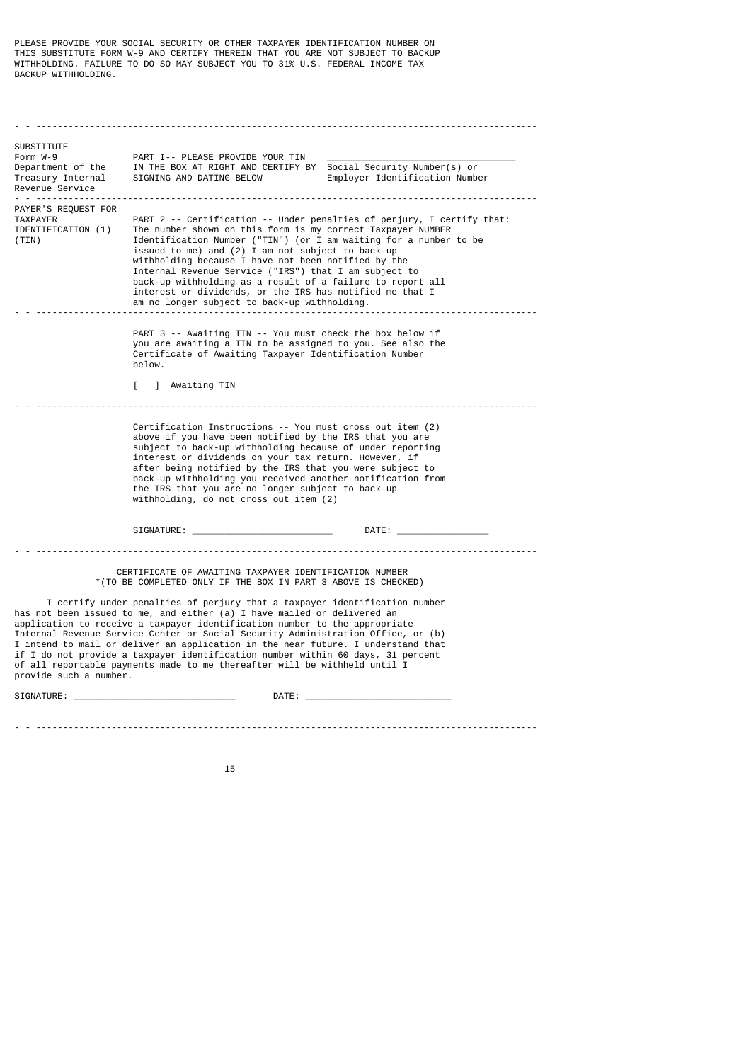PLEASE PROVIDE YOUR SOCIAL SECURITY OR OTHER TAXPAYER IDENTIFICATION NUMBER ON THIS SUBSTITUTE FORM W-9 AND CERTIFY THEREIN THAT YOU ARE NOT SUBJECT TO BACKUP WITHHOLDING. FAILURE TO DO SO MAY SUBJECT YOU TO 31% U.S. FEDERAL INCOME TAX BACKUP WITHHOLDING.

- - --------------------------------------------------------------------------------------------- SUBSTITUTE Form W-9 PART I-- PLEASE PROVIDE YOUR TIN Department of the  $\blacksquare$  IN THE BOX AT RIGHT AND CERTIFY E Department of the IN THE BOX AT RIGHT AND CERTIFY BY Social Security Number(s) or<br>Treasury Internal SIGNING AND DATING BELOW Employer Identification Numb  $Emplover$  Identification Number Revenue Service<br>= = = ================== - - --------------------------------------------------------------------------------------------- PAYER'S REQUEST FOR TAXPAYER  $\overline{ }$  PART 2 -- Certification -- Under penalties of perjury, I certify that:<br>IDENTIFICATION (1) The number shown on this form is my correct Taxpayer NUMBER IDENTIFICATION (1) The number shown on this form is my correct Taxpayer NUMBER<br>(TIN) Identification Number ("TIN") (or I am waiting for a number Identification Number ("TIN") (or  $I$  am waiting for a number to be issued to me) and (2) I am not subject to back-up withholding because I have not been notified by the Internal Revenue Service ("IRS") that I am subject to back-up withholding as a result of a failure to report all interest or dividends, or the IRS has notified me that I am no longer subject to back-up withholding. - - --------------------------------------------------------------------------------------------- PART 3 -- Awaiting TIN -- You must check the box below if you are awaiting a TIN to be assigned to you. See also the Certificate of Awaiting Taxpayer Identification Number below. [ ] Awaiting TIN - - --------------------------------------------------------------------------------------------- Certification Instructions -- You must cross out item (2) above if you have been notified by the IRS that you are subject to back-up withholding because of under reporting interest or dividends on your tax return. However, if after being notified by the IRS that you were subject to back-up withholding you received another notification from the IRS that you are no longer subject to back-up withholding, do not cross out item (2) SIGNATURE: \_\_\_\_\_\_\_\_\_\_\_\_\_\_\_\_\_\_\_\_\_\_\_\_\_\_ DATE: \_\_\_\_\_\_\_\_\_\_\_\_\_\_\_\_\_ - - --------------------------------------------------------------------------------------------- CERTIFICATE OF AWAITING TAXPAYER IDENTIFICATION NUMBER \*(TO BE COMPLETED ONLY IF THE BOX IN PART 3 ABOVE IS CHECKED) I certify under penalties of perjury that a taxpayer identification number has not been issued to me, and either (a) I have mailed or delivered an application to receive a taxpayer identification number to the appropriate Internal Revenue Service Center or Social Security Administration Office, or (b) I intend to mail or deliver an application in the near future. I understand that if I do not provide a taxpayer identification number within 60 days, 31 percent of all reportable payments made to me thereafter will be withheld until I provide such a number.

SIGNATURE: \_\_\_\_\_\_\_\_\_\_\_\_\_\_\_\_\_\_\_\_\_\_\_\_\_\_\_\_\_\_ DATE: \_\_\_\_\_\_\_\_\_\_\_\_\_\_\_\_\_\_\_\_\_\_\_\_\_\_\_

- - ---------------------------------------------------------------------------------------------

15 and 15 and 15 and 15 and 15 and 15 and 15 and 15 and 15 and 15 and 15 and 15 and 15 and 15 and 15 and 15 an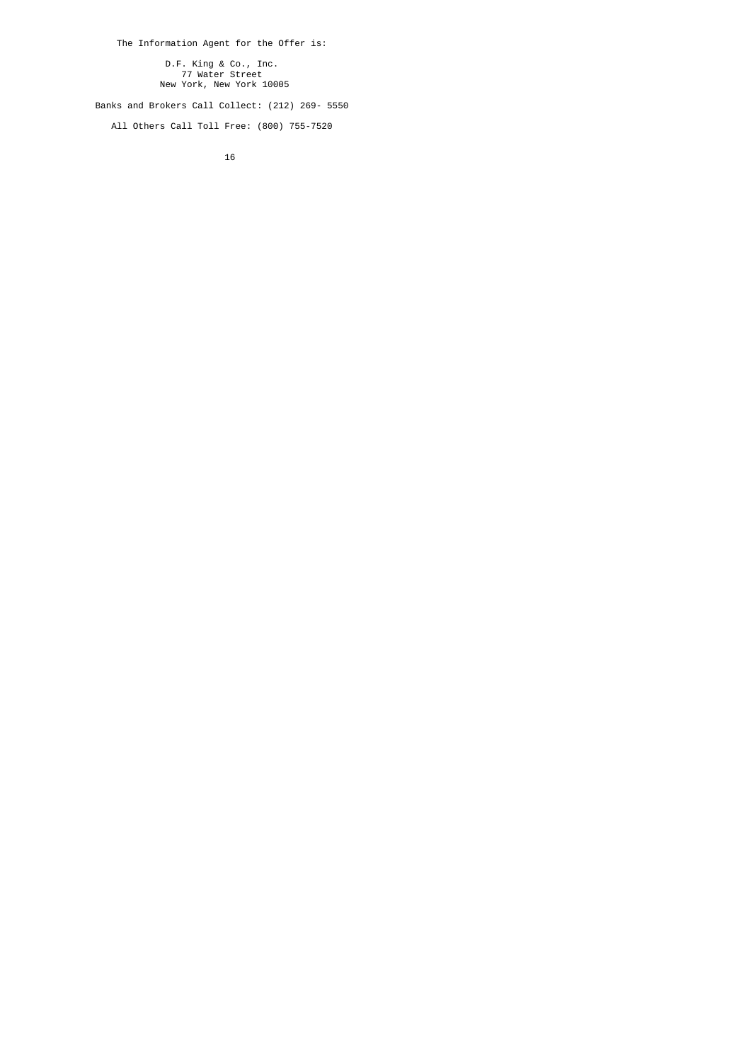The Information Agent for the Offer is:

 D.F. King & Co., Inc. 77 Water Street New York, New York 10005

Banks and Brokers Call Collect: (212) 269- 5550

All Others Call Toll Free: (800) 755-7520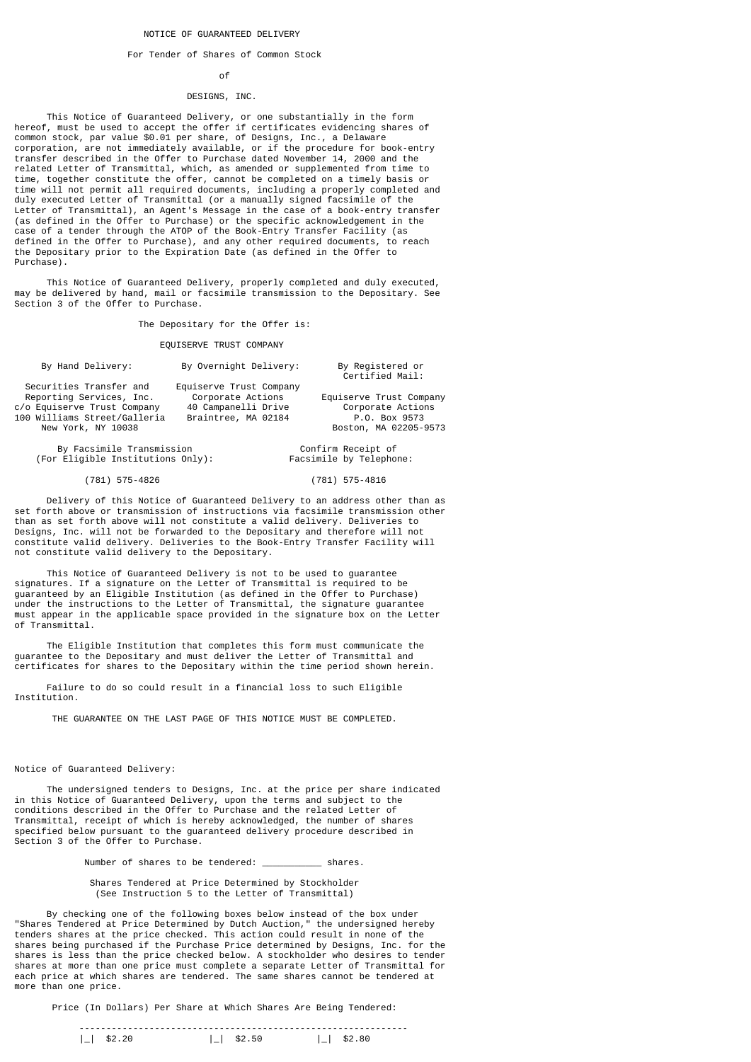## NOTICE OF GUARANTEED DELIVERY

#### For Tender of Shares of Common Stock

# of the contract of the contract of the contract of the contract of the contract of the contract of the contract of the contract of the contract of the contract of the contract of the contract of the contract of the contrac

## DESIGNS, INC.

 This Notice of Guaranteed Delivery, or one substantially in the form hereof, must be used to accept the offer if certificates evidencing shares of common stock, par value \$0.01 per share, of Designs, Inc., a Delaware corporation, are not immediately available, or if the procedure for book-entry transfer described in the Offer to Purchase dated November 14, 2000 and the related Letter of Transmittal, which, as amended or supplemented from time to time, together constitute the offer, cannot be completed on a timely basis or time will not permit all required documents, including a properly completed and duly executed Letter of Transmittal (or a manually signed facsimile of the Letter of Transmittal), an Agent's Message in the case of a book-entry transfer (as defined in the Offer to Purchase) or the specific acknowledgement in the case of a tender through the ATOP of the Book-Entry Transfer Facility (as defined in the Offer to Purchase), and any other required documents, to reach the Depositary prior to the Expiration Date (as defined in the Offer to Purchase).

 This Notice of Guaranteed Delivery, properly completed and duly executed, may be delivered by hand, mail or facsimile transmission to the Depositary. See Section 3 of the Offer to Purchase.

The Depositary for the Offer is:

## EQUISERVE TRUST COMPANY

| By Hand Delivery:            | By Overnight Delivery:  | By Registered or<br>Certified Mail: |
|------------------------------|-------------------------|-------------------------------------|
| Securities Transfer and      | Equiserve Trust Company |                                     |
| Reporting Services, Inc.     | Corporate Actions       | Equiserve Trust Company             |
| c/o Equiserve Trust Company  | 40 Campanelli Drive     | Corporate Actions                   |
| 100 Williams Street/Galleria | Braintree, MA 02184     | P.O. Box 9573                       |
| New York, NY 10038           |                         | Boston, MA 02205-9573               |
| By Facsimile Transmission    |                         | Confirm Receipt of                  |

(For Eligible Institutions Only): Facsimile by Telephone:

#### (781) 575-4826 (781) 575-4816

 Delivery of this Notice of Guaranteed Delivery to an address other than as set forth above or transmission of instructions via facsimile transmission other than as set forth above will not constitute a valid delivery. Deliveries to Designs, Inc. will not be forwarded to the Depositary and therefore will not constitute valid delivery. Deliveries to the Book-Entry Transfer Facility will not constitute valid delivery to the Depositary.

 This Notice of Guaranteed Delivery is not to be used to guarantee signatures. If a signature on the Letter of Transmittal is required to be guaranteed by an Eligible Institution (as defined in the Offer to Purchase) under the instructions to the Letter of Transmittal, the signature guarantee must appear in the applicable space provided in the signature box on the Letter of Transmittal.

 The Eligible Institution that completes this form must communicate the guarantee to the Depositary and must deliver the Letter of Transmittal and certificates for shares to the Depositary within the time period shown herein.

 Failure to do so could result in a financial loss to such Eligible Institution.

THE GUARANTEE ON THE LAST PAGE OF THIS NOTICE MUST BE COMPLETED.

Notice of Guaranteed Delivery:

 The undersigned tenders to Designs, Inc. at the price per share indicated in this Notice of Guaranteed Delivery, upon the terms and subject to the conditions described in the Offer to Purchase and the related Letter of Transmittal, receipt of which is hereby acknowledged, the number of shares specified below pursuant to the guaranteed delivery procedure described in Section 3 of the Offer to Purchase.

Number of shares to be tendered: shares.

 Shares Tendered at Price Determined by Stockholder (See Instruction 5 to the Letter of Transmittal)

 By checking one of the following boxes below instead of the box under "Shares Tendered at Price Determined by Dutch Auction," the undersigned hereby tenders shares at the price checked. This action could result in none of the shares being purchased if the Purchase Price determined by Designs, Inc. for the shares is less than the price checked below. A stockholder who desires to tender shares at more than one price must complete a separate Letter of Transmittal for each price at which shares are tendered. The same shares cannot be tendered at more than one price.

Price (In Dollars) Per Share at Which Shares Are Being Tendered: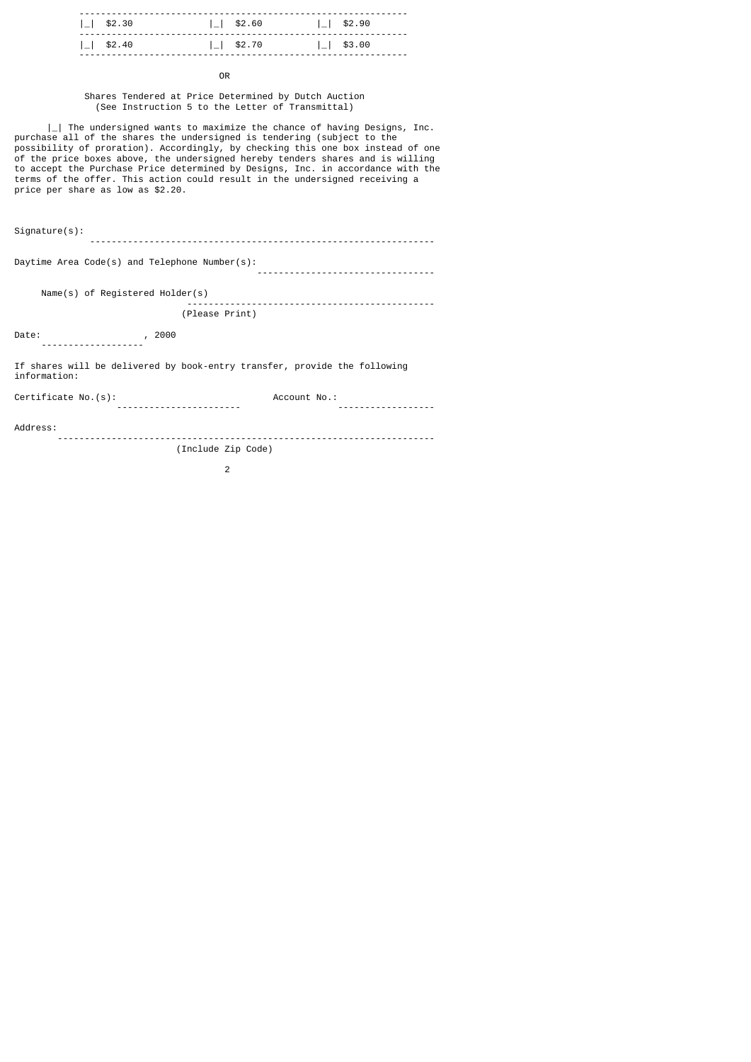| $ $   \$2.30     | $\lfloor$ \$2.60 | $ $   \$2.90           |
|------------------|------------------|------------------------|
| $\lfloor$ \$2.40 | $\lfloor$ \$2.70 | $\vert$ $\vert$ \$3.00 |

**OR OR** 

 Shares Tendered at Price Determined by Dutch Auction (See Instruction 5 to the Letter of Transmittal)

| | The undersigned wants to maximize the chance of having Designs, Inc. purchase all of the shares the undersigned is tendering (subject to the possibility of proration). Accordingly, by checking this one box instead of one of the price boxes above, the undersigned hereby tenders shares and is willing to accept the Purchase Price determined by Designs, Inc. in accordance with the terms of the offer. This action could result in the undersigned receiving a price per share as low as \$2.20.

Signature(s):

Daytime Area Code(s) and Telephone Number(s): ---------------------------------

----------------------------------------------------------------

 Name(s) of Registered Holder(s) ----------------------------------------------

(Please Print)

Date: , 2000

-------------------

If shares will be delivered by book-entry transfer, provide the following information:

Certificate No.(s): Account No.:

----------------------- ------------------

Address:

 ---------------------------------------------------------------------- (Include Zip Code)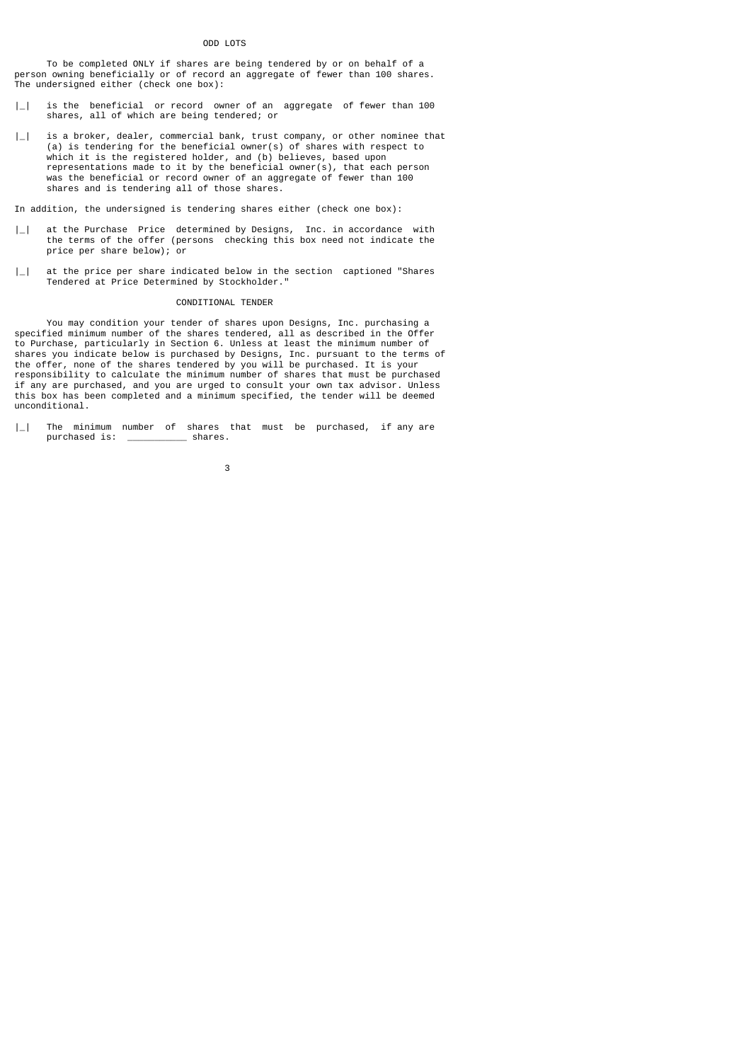# ODD LOTS

 To be completed ONLY if shares are being tendered by or on behalf of a person owning beneficially or of record an aggregate of fewer than 100 shares. The undersigned either (check one box):

- |\_| is the beneficial or record owner of an aggregate of fewer than 100 shares, all of which are being tendered; or
- $|\_$  is a broker, dealer, commercial bank, trust company, or other nominee that (a) is tendering for the beneficial owner(s) of shares with respect to which it is the registered holder, and (b) believes, based upon representations made to it by the beneficial owner(s), that each person was the beneficial or record owner of an aggregate of fewer than 100 shares and is tendering all of those shares.

In addition, the undersigned is tendering shares either (check one box):

- $|\_$  at the Purchase Price determined by Designs, Inc. in accordance with the terms of the offer (persons checking this box need not indicate the price per share below); or
- | | at the price per share indicated below in the section captioned "Shares" Tendered at Price Determined by Stockholder."

# CONDITIONAL TENDER

 You may condition your tender of shares upon Designs, Inc. purchasing a specified minimum number of the shares tendered, all as described in the Offer to Purchase, particularly in Section 6. Unless at least the minimum number of shares you indicate below is purchased by Designs, Inc. pursuant to the terms of the offer, none of the shares tendered by you will be purchased. It is your responsibility to calculate the minimum number of shares that must be purchased if any are purchased, and you are urged to consult your own tax advisor. Unless this box has been completed and a minimum specified, the tender will be deemed unconditional.

 $|$  The minimum number of shares that must be purchased, if any are purchased is: shares. purchased is: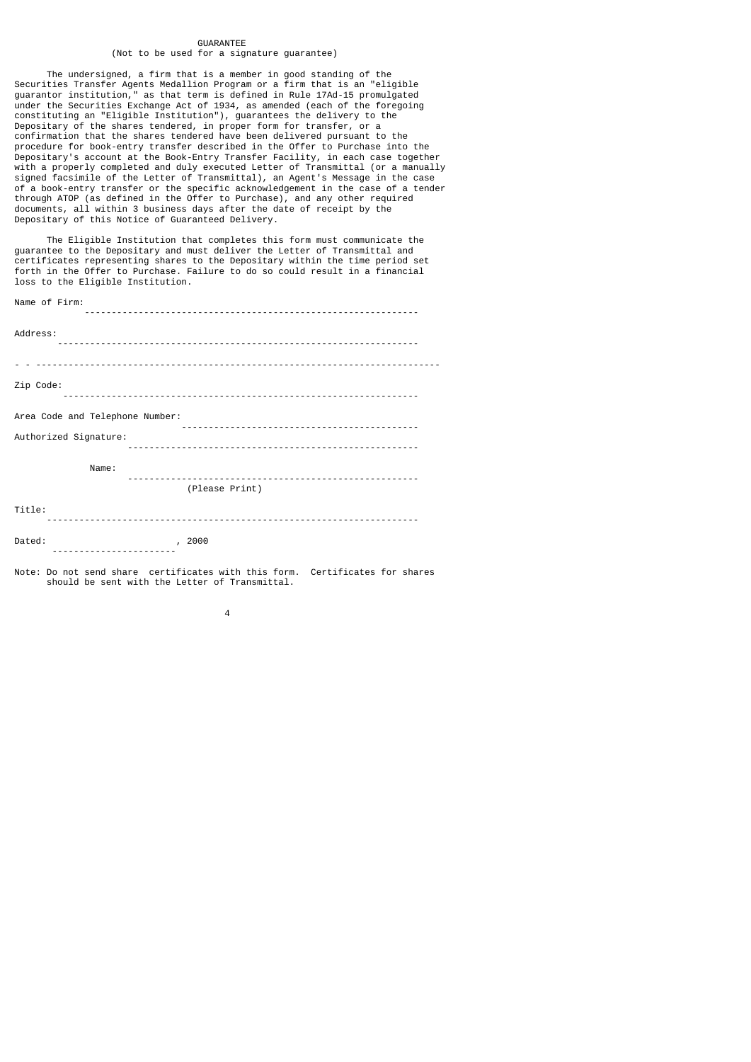# GUARANTEE

# (Not to be used for a signature guarantee)

 The undersigned, a firm that is a member in good standing of the Securities Transfer Agents Medallion Program or a firm that is an "eligible guarantor institution," as that term is defined in Rule 17Ad-15 promulgated under the Securities Exchange Act of 1934, as amended (each of the foregoing constituting an "Eligible Institution"), guarantees the delivery to the Depositary of the shares tendered, in proper form for transfer, or a confirmation that the shares tendered have been delivered pursuant to the procedure for book-entry transfer described in the Offer to Purchase into the Depositary's account at the Book-Entry Transfer Facility, in each case together with a properly completed and duly executed Letter of Transmittal (or a manually signed facsimile of the Letter of Transmittal), an Agent's Message in the case of a book-entry transfer or the specific acknowledgement in the case of a tender through ATOP (as defined in the Offer to Purchase), and any other required documents, all within 3 business days after the date of receipt by the Depositary of this Notice of Guaranteed Delivery.

 The Eligible Institution that completes this form must communicate the guarantee to the Depositary and must deliver the Letter of Transmittal and certificates representing shares to the Depositary within the time period set forth in the Offer to Purchase. Failure to do so could result in a financial loss to the Eligible Institution.

Name of Firm:

| Name $U_1$ Film.                |
|---------------------------------|
| Address:                        |
|                                 |
| Zip Code:                       |
| Area Code and Telephone Number: |
| Authorized Signature:           |
| Name:                           |
| (Please Print)                  |
| Title:                          |
| Dated:<br>2000<br>.             |

Note: Do not send share certificates with this form. Certificates for shares should be sent with the Letter of Transmittal.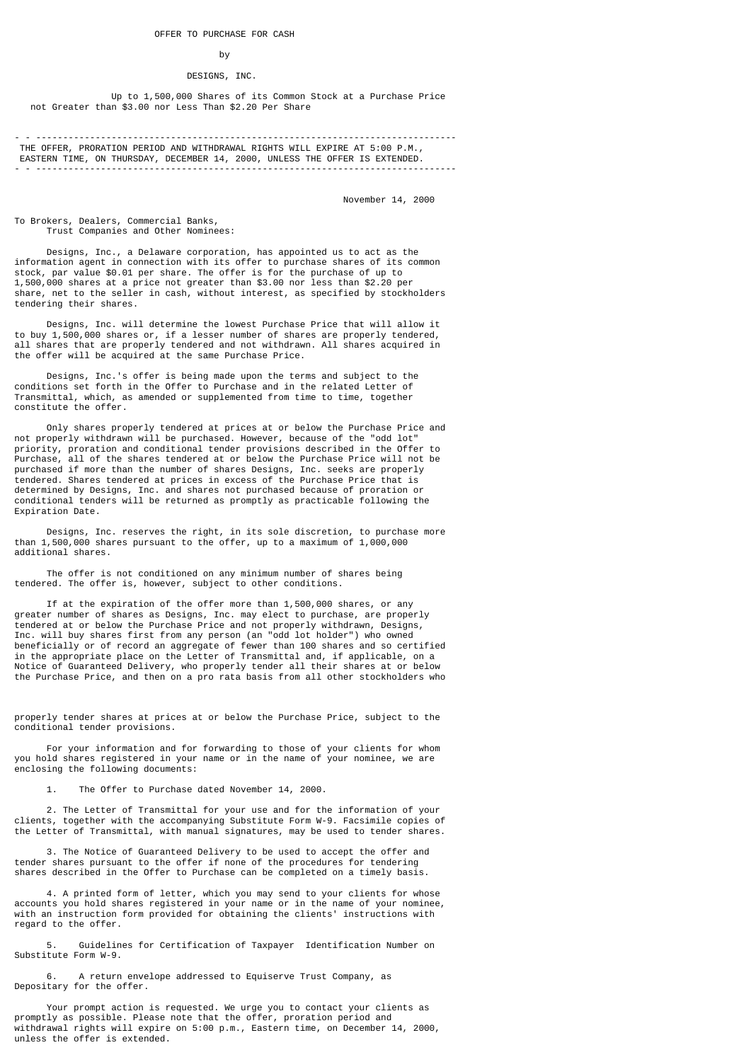# by

# DESIGNS, INC.

 Up to 1,500,000 Shares of its Common Stock at a Purchase Price not Greater than \$3.00 nor Less Than \$2.20 Per Share

 THE OFFER, PRORATION PERIOD AND WITHDRAWAL RIGHTS WILL EXPIRE AT 5:00 P.M., EASTERN TIME, ON THURSDAY, DECEMBER 14, 2000, UNLESS THE OFFER IS EXTENDED. - - ------------------------------------------------------------------------------

November 14, 2000

To Brokers, Dealers, Commercial Banks, Trust Companies and Other Nominees:

 Designs, Inc., a Delaware corporation, has appointed us to act as the information agent in connection with its offer to purchase shares of its common stock, par value \$0.01 per share. The offer is for the purchase of up to 1,500,000 shares at a price not greater than \$3.00 nor less than \$2.20 per share, net to the seller in cash, without interest, as specified by stockholders tendering their shares.

 Designs, Inc. will determine the lowest Purchase Price that will allow it to buy 1,500,000 shares or, if a lesser number of shares are properly tendered, all shares that are properly tendered and not withdrawn. All shares acquired in the offer will be acquired at the same Purchase Price.

 Designs, Inc.'s offer is being made upon the terms and subject to the conditions set forth in the Offer to Purchase and in the related Letter of Transmittal, which, as amended or supplemented from time to time, together constitute the offer.

 Only shares properly tendered at prices at or below the Purchase Price and not properly withdrawn will be purchased. However, because of the "odd lot" priority, proration and conditional tender provisions described in the Offer to Purchase, all of the shares tendered at or below the Purchase Price will not be purchased if more than the number of shares Designs, Inc. seeks are properly tendered. Shares tendered at prices in excess of the Purchase Price that is determined by Designs, Inc. and shares not purchased because of proration or conditional tenders will be returned as promptly as practicable following the Expiration Date.

 Designs, Inc. reserves the right, in its sole discretion, to purchase more than 1,500,000 shares pursuant to the offer, up to a maximum of 1,000,000 additional shares.

 The offer is not conditioned on any minimum number of shares being tendered. The offer is, however, subject to other conditions.

 If at the expiration of the offer more than 1,500,000 shares, or any greater number of shares as Designs, Inc. may elect to purchase, are properly tendered at or below the Purchase Price and not properly withdrawn, Designs, Inc. will buy shares first from any person (an "odd lot holder") who owned beneficially or of record an aggregate of fewer than 100 shares and so certified in the appropriate place on the Letter of Transmittal and, if applicable, on a Notice of Guaranteed Delivery, who properly tender all their shares at or below the Purchase Price, and then on a pro rata basis from all other stockholders who

properly tender shares at prices at or below the Purchase Price, subject to the conditional tender provisions.

 For your information and for forwarding to those of your clients for whom you hold shares registered in your name or in the name of your nominee, we are enclosing the following documents:

The Offer to Purchase dated November 14, 2000.

 2. The Letter of Transmittal for your use and for the information of your clients, together with the accompanying Substitute Form W-9. Facsimile copies of the Letter of Transmittal, with manual signatures, may be used to tender shares.

 3. The Notice of Guaranteed Delivery to be used to accept the offer and tender shares pursuant to the offer if none of the procedures for tendering shares described in the Offer to Purchase can be completed on a timely basis.

 4. A printed form of letter, which you may send to your clients for whose accounts you hold shares registered in your name or in the name of your nominee, with an instruction form provided for obtaining the clients' instructions with regard to the offer.

 5. Guidelines for Certification of Taxpayer Identification Number on Substitute Form W-9.

 6. A return envelope addressed to Equiserve Trust Company, as Depositary for the offer.

 Your prompt action is requested. We urge you to contact your clients as promptly as possible. Please note that the offer, proration period and withdrawal rights will expire on 5:00 p.m., Eastern time, on December 14, 2000, unless the offer is extended.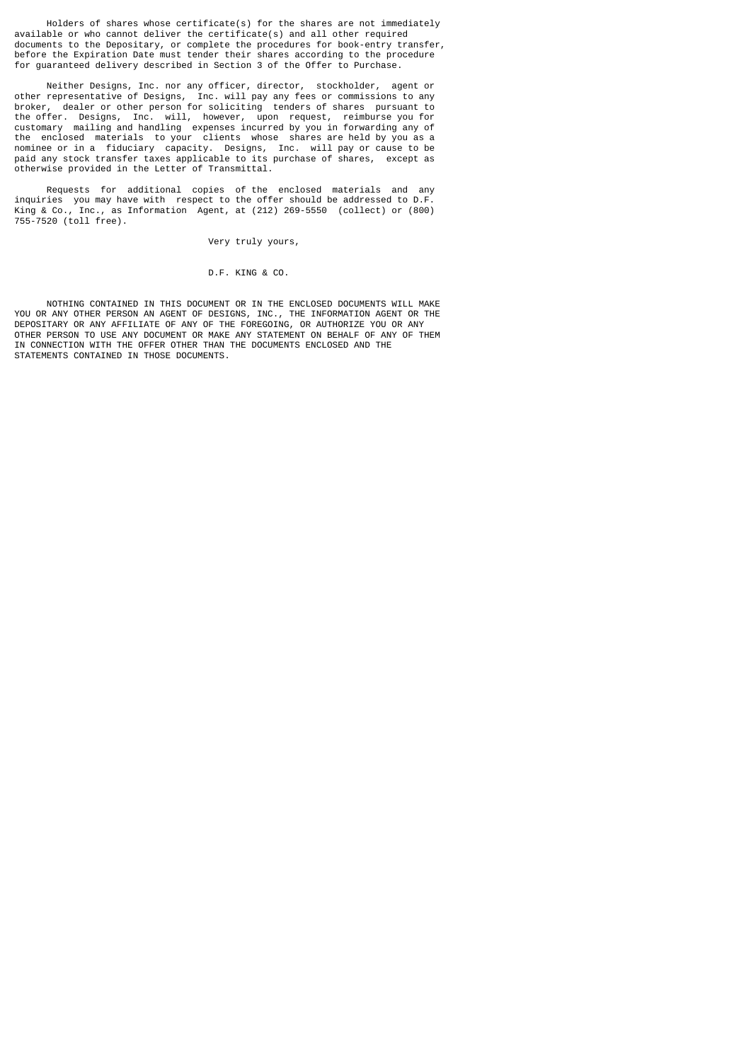Holders of shares whose certificate(s) for the shares are not immediately available or who cannot deliver the certificate(s) and all other required documents to the Depositary, or complete the procedures for book-entry transfer, before the Expiration Date must tender their shares according to the procedure for guaranteed delivery described in Section 3 of the Offer to Purchase.

 Neither Designs, Inc. nor any officer, director, stockholder, agent or other representative of Designs, Inc. will pay any fees or commissions to any broker, dealer or other person for soliciting tenders of shares pursuant to the offer. Designs, Inc. will, however, upon request, reimburse you for customary mailing and handling expenses incurred by you in forwarding any of the enclosed materials to your clients whose shares are held by you as a nominee or in a fiduciary capacity. Designs, Inc. will pay or cause to be paid any stock transfer taxes applicable to its purchase of shares, except as otherwise provided in the Letter of Transmittal.

 Requests for additional copies of the enclosed materials and any inquiries you may have with respect to the offer should be addressed to D.F. King & Co., Inc., as Information Agent, at (212) 269-5550 (collect) or (800) 755-7520 (toll free).

Very truly yours,

D.F. KING & CO.

 NOTHING CONTAINED IN THIS DOCUMENT OR IN THE ENCLOSED DOCUMENTS WILL MAKE YOU OR ANY OTHER PERSON AN AGENT OF DESIGNS, INC., THE INFORMATION AGENT OR THE DEPOSITARY OR ANY AFFILIATE OF ANY OF THE FOREGOING, OR AUTHORIZE YOU OR ANY OTHER PERSON TO USE ANY DOCUMENT OR MAKE ANY STATEMENT ON BEHALF OF ANY OF THEM IN CONNECTION WITH THE OFFER OTHER THAN THE DOCUMENTS ENCLOSED AND THE STATEMENTS CONTAINED IN THOSE DOCUMENTS.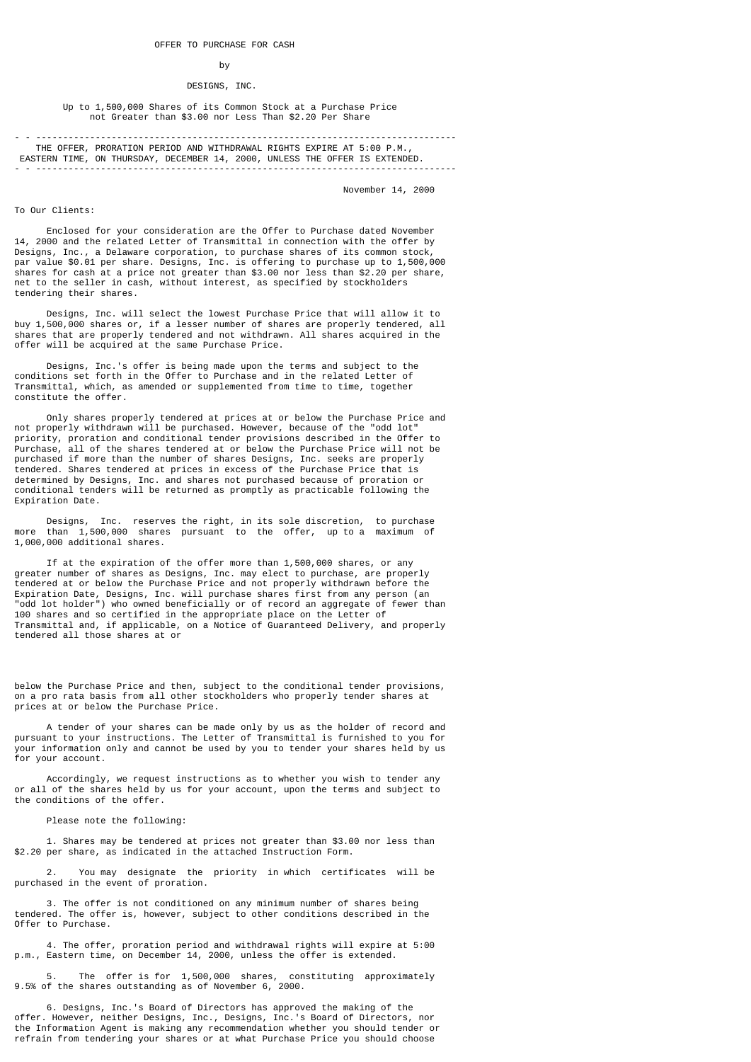#### by

# DESIGNS, INC.

# Up to 1,500,000 Shares of its Common Stock at a Purchase Price not Greater than \$3.00 nor Less Than \$2.20 Per Share

 THE OFFER, PRORATION PERIOD AND WITHDRAWAL RIGHTS EXPIRE AT 5:00 P.M., EASTERN TIME, ON THURSDAY, DECEMBER 14, 2000, UNLESS THE OFFER IS EXTENDED. - - ------------------------------------------------------------------------------

November 14, 2000

# To Our Clients:

 Enclosed for your consideration are the Offer to Purchase dated November 14, 2000 and the related Letter of Transmittal in connection with the offer by Designs, Inc., a Delaware corporation, to purchase shares of its common stock, par value \$0.01 per share. Designs, Inc. is offering to purchase up to 1,500,000 shares for cash at a price not greater than \$3.00 nor less than \$2.20 per share, net to the seller in cash, without interest, as specified by stockholders tendering their shares.

 Designs, Inc. will select the lowest Purchase Price that will allow it to buy 1,500,000 shares or, if a lesser number of shares are properly tendered, all shares that are properly tendered and not withdrawn. All shares acquired in the offer will be acquired at the same Purchase Price.

 Designs, Inc.'s offer is being made upon the terms and subject to the conditions set forth in the Offer to Purchase and in the related Letter of Transmittal, which, as amended or supplemented from time to time, together constitute the offer.

 Only shares properly tendered at prices at or below the Purchase Price and not properly withdrawn will be purchased. However, because of the "odd lot" priority, proration and conditional tender provisions described in the Offer to Purchase, all of the shares tendered at or below the Purchase Price will not be purchased if more than the number of shares Designs, Inc. seeks are properly tendered. Shares tendered at prices in excess of the Purchase Price that is determined by Designs, Inc. and shares not purchased because of proration or conditional tenders will be returned as promptly as practicable following the Expiration Date.

 Designs, Inc. reserves the right, in its sole discretion, to purchase more than 1,500,000 shares pursuant to the offer, up to a maximum of 1,000,000 additional shares.

 If at the expiration of the offer more than 1,500,000 shares, or any greater number of shares as Designs, Inc. may elect to purchase, are properly tendered at or below the Purchase Price and not properly withdrawn before the Expiration Date, Designs, Inc. will purchase shares first from any person (an "odd lot holder") who owned beneficially or of record an aggregate of fewer than 100 shares and so certified in the appropriate place on the Letter of Transmittal and, if applicable, on a Notice of Guaranteed Delivery, and properly tendered all those shares at or

below the Purchase Price and then, subject to the conditional tender provisions, on a pro rata basis from all other stockholders who properly tender shares at prices at or below the Purchase Price.

 A tender of your shares can be made only by us as the holder of record and pursuant to your instructions. The Letter of Transmittal is furnished to you for your information only and cannot be used by you to tender your shares held by us for your account.

 Accordingly, we request instructions as to whether you wish to tender any or all of the shares held by us for your account, upon the terms and subject to the conditions of the offer.

Please note the following:

 1. Shares may be tendered at prices not greater than \$3.00 nor less than \$2.20 per share, as indicated in the attached Instruction Form.

 2. You may designate the priority in which certificates will be purchased in the event of proration.

 3. The offer is not conditioned on any minimum number of shares being tendered. The offer is, however, subject to other conditions described in the Offer to Purchase.

 4. The offer, proration period and withdrawal rights will expire at 5:00 p.m., Eastern time, on December 14, 2000, unless the offer is extended.

 5. The offer is for 1,500,000 shares, constituting approximately 9.5% of the shares outstanding as of November 6, 2000.

 6. Designs, Inc.'s Board of Directors has approved the making of the offer. However, neither Designs, Inc., Designs, Inc.'s Board of Directors, nor the Information Agent is making any recommendation whether you should tender or refrain from tendering your shares or at what Purchase Price you should choose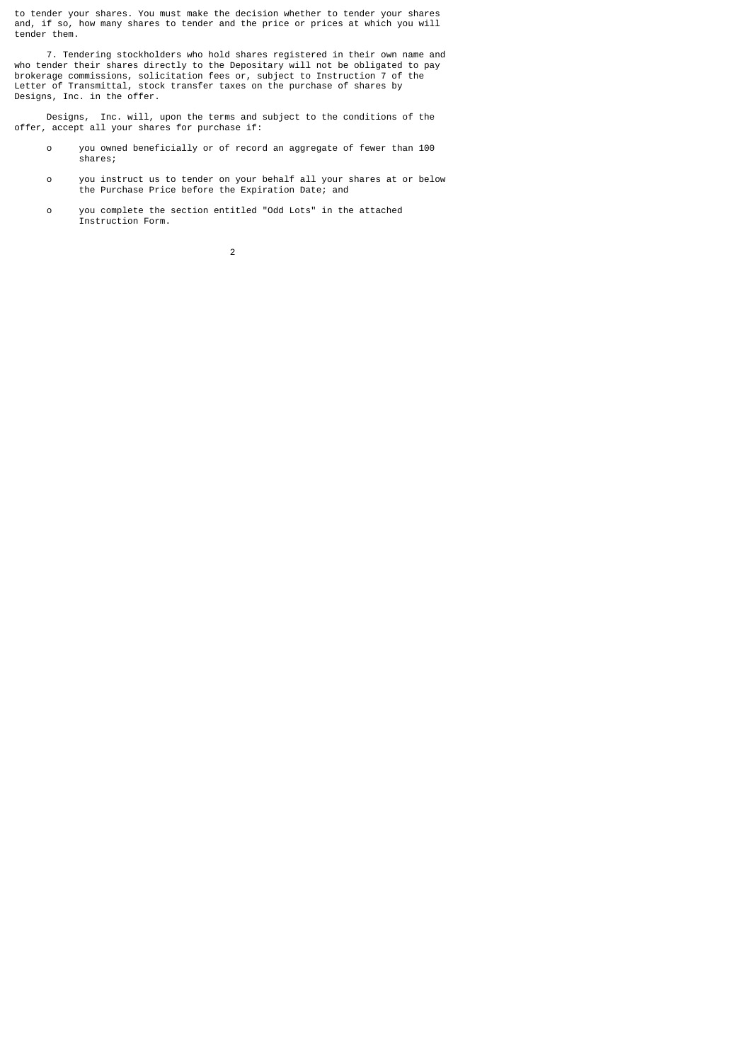to tender your shares. You must make the decision whether to tender your shares and, if so, how many shares to tender and the price or prices at which you will tender them.

 7. Tendering stockholders who hold shares registered in their own name and who tender their shares directly to the Depositary will not be obligated to pay brokerage commissions, solicitation fees or, subject to Instruction 7 of the Letter of Transmittal, stock transfer taxes on the purchase of shares by Designs, Inc. in the offer.

 Designs, Inc. will, upon the terms and subject to the conditions of the offer, accept all your shares for purchase if:

- o you owned beneficially or of record an aggregate of fewer than 100 shares;
- o you instruct us to tender on your behalf all your shares at or below the Purchase Price before the Expiration Date; and
- o you complete the section entitled "Odd Lots" in the attached Instruction Form.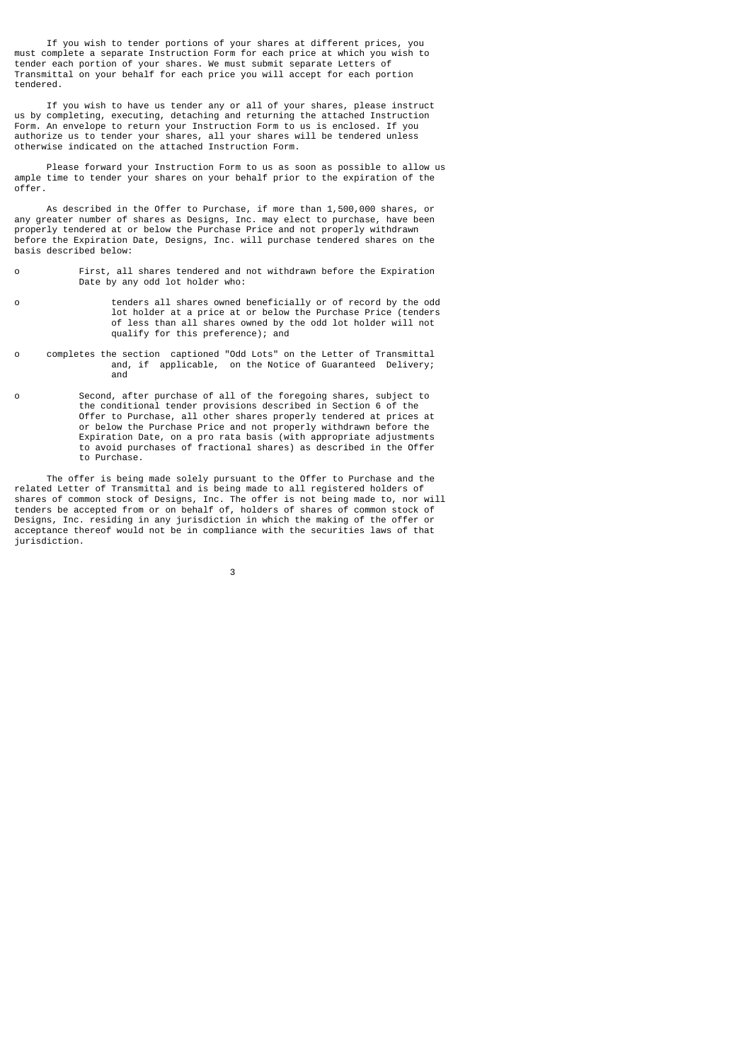If you wish to tender portions of your shares at different prices, you must complete a separate Instruction Form for each price at which you wish to tender each portion of your shares. We must submit separate Letters of Transmittal on your behalf for each price you will accept for each portion tendered.

 If you wish to have us tender any or all of your shares, please instruct us by completing, executing, detaching and returning the attached Instruction Form. An envelope to return your Instruction Form to us is enclosed. If you authorize us to tender your shares, all your shares will be tendered unless otherwise indicated on the attached Instruction Form.

 Please forward your Instruction Form to us as soon as possible to allow us ample time to tender your shares on your behalf prior to the expiration of the offer.

 As described in the Offer to Purchase, if more than 1,500,000 shares, or any greater number of shares as Designs, Inc. may elect to purchase, have been properly tendered at or below the Purchase Price and not properly withdrawn before the Expiration Date, Designs, Inc. will purchase tendered shares on the basis described below:

- o First, all shares tendered and not withdrawn before the Expiration Date by any odd lot holder who:
- o tenders all shares owned beneficially or of record by the odd lot holder at a price at or below the Purchase Price (tenders of less than all shares owned by the odd lot holder will not qualify for this preference); and
- o completes the section captioned "Odd Lots" on the Letter of Transmittal and, if applicable, on the Notice of Guaranteed Delivery; and
- o Second, after purchase of all of the foregoing shares, subject to the conditional tender provisions described in Section 6 of the Offer to Purchase, all other shares properly tendered at prices at or below the Purchase Price and not properly withdrawn before the Expiration Date, on a pro rata basis (with appropriate adjustments to avoid purchases of fractional shares) as described in the Offer to Purchase.

 The offer is being made solely pursuant to the Offer to Purchase and the related Letter of Transmittal and is being made to all registered holders of shares of common stock of Designs, Inc. The offer is not being made to, nor will tenders be accepted from or on behalf of, holders of shares of common stock of Designs, Inc. residing in any jurisdiction in which the making of the offer or acceptance thereof would not be in compliance with the securities laws of that jurisdiction.

 $\sim$  3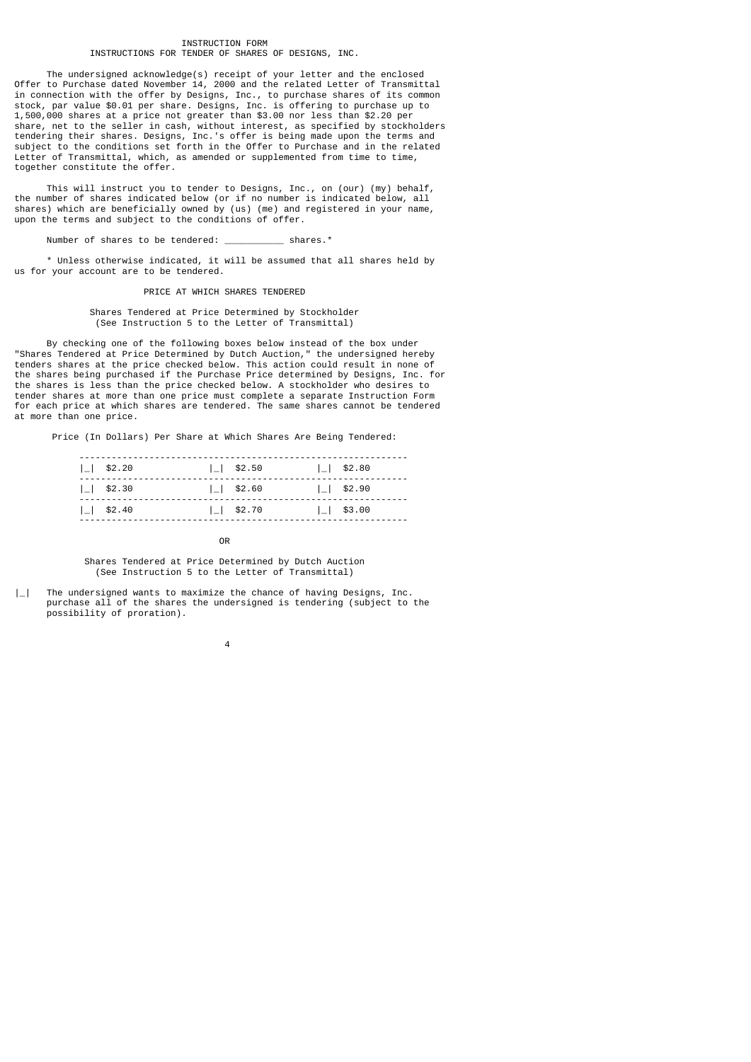# INSTRUCTION FORM INSTRUCTIONS FOR TENDER OF SHARES OF DESIGNS, INC.

 The undersigned acknowledge(s) receipt of your letter and the enclosed Offer to Purchase dated November 14, 2000 and the related Letter of Transmittal in connection with the offer by Designs, Inc., to purchase shares of its common stock, par value \$0.01 per share. Designs, Inc. is offering to purchase up to 1,500,000 shares at a price not greater than \$3.00 nor less than \$2.20 per share, net to the seller in cash, without interest, as specified by stockholders tendering their shares. Designs, Inc.'s offer is being made upon the terms and subject to the conditions set forth in the Offer to Purchase and in the related Letter of Transmittal, which, as amended or supplemented from time to time, together constitute the offer.

 This will instruct you to tender to Designs, Inc., on (our) (my) behalf, the number of shares indicated below (or if no number is indicated below, all shares) which are beneficially owned by (us) (me) and registered in your name, upon the terms and subject to the conditions of offer.

Number of shares to be tendered: \_\_\_\_\_\_\_\_\_\_\_ shares.\*

 \* Unless otherwise indicated, it will be assumed that all shares held by us for your account are to be tendered.

PRICE AT WHICH SHARES TENDERED

 Shares Tendered at Price Determined by Stockholder (See Instruction 5 to the Letter of Transmittal)

 By checking one of the following boxes below instead of the box under "Shares Tendered at Price Determined by Dutch Auction," the undersigned hereby tenders shares at the price checked below. This action could result in none of the shares being purchased if the Purchase Price determined by Designs, Inc. for the shares is less than the price checked below. A stockholder who desires to tender shares at more than one price must complete a separate Instruction Form for each price at which shares are tendered. The same shares cannot be tendered at more than one price.

Price (In Dollars) Per Share at Which Shares Are Being Tendered:

| $1 \mid$ \$2.20  | $11$ \$2.50     | $1 \mid$ \$2.80 |
|------------------|-----------------|-----------------|
| $1 \mid$ \$2.30  | $ $   \$2.60    | $11$ \$2.90     |
| $1 \mid $ \$2.40 | $1 \mid$ \$2.70 | $11$ \$3.00     |

**OR OR** 

 Shares Tendered at Price Determined by Dutch Auction (See Instruction 5 to the Letter of Transmittal)

|\_| The undersigned wants to maximize the chance of having Designs, Inc. purchase all of the shares the undersigned is tendering (subject to the possibility of proration).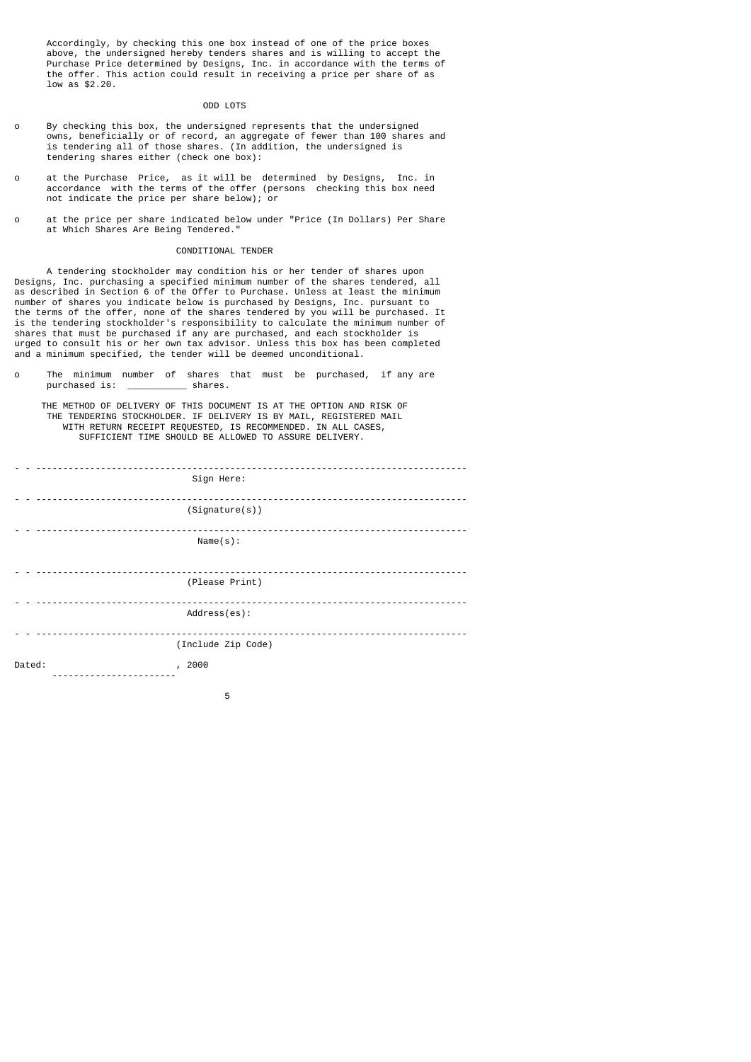Accordingly, by checking this one box instead of one of the price boxes above, the undersigned hereby tenders shares and is willing to accept the Purchase Price determined by Designs, Inc. in accordance with the terms of the offer. This action could result in receiving a price per share of as low as \$2.20.

### ODD LOTS

- o By checking this box, the undersigned represents that the undersigned owns, beneficially or of record, an aggregate of fewer than 100 shares and is tendering all of those shares. (In addition, the undersigned is tendering shares either (check one box):
- o at the Purchase Price, as it will be determined by Designs, Inc. in accordance with the terms of the offer (persons checking this box need not indicate the price per share below); or
- o at the price per share indicated below under "Price (In Dollars) Per Share at Which Shares Are Being Tendered."

### CONDITIONAL TENDER

 A tendering stockholder may condition his or her tender of shares upon Designs, Inc. purchasing a specified minimum number of the shares tendered, all as described in Section 6 of the Offer to Purchase. Unless at least the minimum number of shares you indicate below is purchased by Designs, Inc. pursuant to the terms of the offer, none of the shares tendered by you will be purchased. It is the tendering stockholder's responsibility to calculate the minimum number of shares that must be purchased if any are purchased, and each stockholder is urged to consult his or her own tax advisor. Unless this box has been completed and a minimum specified, the tender will be deemed unconditional.

o The minimum number of shares that must be purchased, if any are purchased is:

 THE METHOD OF DELIVERY OF THIS DOCUMENT IS AT THE OPTION AND RISK OF THE TENDERING STOCKHOLDER. IF DELIVERY IS BY MAIL, REGISTERED MAIL WITH RETURN RECEIPT REQUESTED, IS RECOMMENDED. IN ALL CASES, SUFFICIENT TIME SHOULD BE ALLOWED TO ASSURE DELIVERY.

|        | Sign Here:         |
|--------|--------------------|
|        | (Signature(s))     |
|        | Name(s):           |
|        | (Please Print)     |
|        | Address(es):       |
|        | (Include Zip Code) |
| Dated: | , 2000             |

the contract of the contract of the contract of the contract of the contract of the contract of the contract o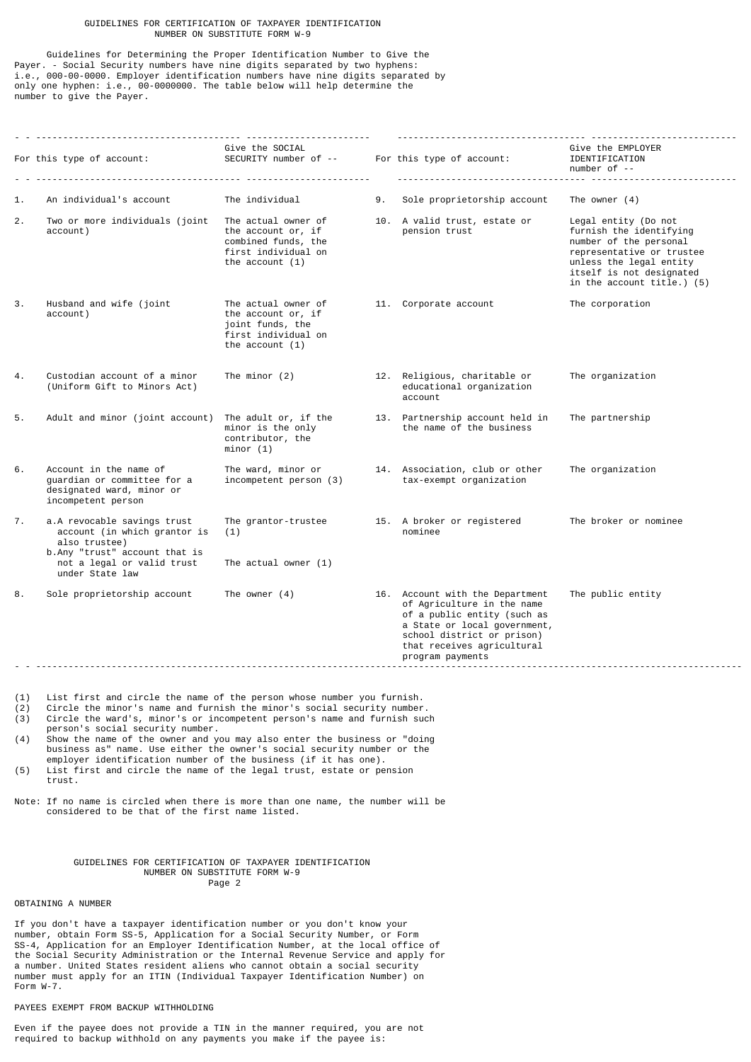# GUIDELINES FOR CERTIFICATION OF TAXPAYER IDENTIFICATION NUMBER ON SUBSTITUTE FORM W-9

 Guidelines for Determining the Proper Identification Number to Give the Payer. - Social Security numbers have nine digits separated by two hyphens: i.e., 000-00-0000. Employer identification numbers have nine digits separated by only one hyphen: i.e., 00-0000000. The table below will help determine the number to give the Payer.

| 1.<br>2.<br>3.                                | An individual's account<br>Two or more individuals (joint<br>account)<br>Husband and wife (joint<br>account)  | The individual<br>The actual owner of<br>the account or, if<br>combined funds, the<br>first individual on<br>the account $(1)$ | 9. | Sole proprietorship account<br>10. A valid trust, estate or<br>pension trust                                                                                                                                 | The owner $(4)$<br>Legal entity (Do not<br>furnish the identifying<br>number of the personal<br>representative or trustee<br>unless the legal entity |
|-----------------------------------------------|---------------------------------------------------------------------------------------------------------------|--------------------------------------------------------------------------------------------------------------------------------|----|--------------------------------------------------------------------------------------------------------------------------------------------------------------------------------------------------------------|------------------------------------------------------------------------------------------------------------------------------------------------------|
|                                               |                                                                                                               |                                                                                                                                |    |                                                                                                                                                                                                              |                                                                                                                                                      |
|                                               |                                                                                                               |                                                                                                                                |    |                                                                                                                                                                                                              | itself is not designated<br>in the account title.) (5)                                                                                               |
|                                               |                                                                                                               | The actual owner of<br>the account or, if<br>joint funds, the<br>first individual on<br>the account $(1)$                      |    | 11. Corporate account                                                                                                                                                                                        | The corporation                                                                                                                                      |
| 4.                                            | Custodian account of a minor<br>(Uniform Gift to Minors Act)                                                  | The minor $(2)$                                                                                                                |    | 12. Religious, charitable or<br>educational organization<br>account                                                                                                                                          | The organization                                                                                                                                     |
| 5.                                            | Adult and minor (joint account)                                                                               | The adult or, if the<br>minor is the only<br>contributor, the<br>minor (1)                                                     |    | 13. Partnership account held in<br>the name of the business                                                                                                                                                  | The partnership                                                                                                                                      |
| 6.                                            | Account in the name of<br>guardian or committee for a<br>designated ward, minor or<br>incompetent person      | The ward, minor or<br>incompetent person (3)                                                                                   |    | 14. Association, club or other<br>tax-exempt organization                                                                                                                                                    | The organization                                                                                                                                     |
| 7.                                            | a.A revocable savings trust<br>account (in which grantor is<br>also trustee)<br>b.Any "trust" account that is | The grantor-trustee<br>(1)                                                                                                     |    | 15. A broker or registered<br>nominee                                                                                                                                                                        | The broker or nominee                                                                                                                                |
| not a legal or valid trust<br>under State law | The actual owner $(1)$                                                                                        |                                                                                                                                |    |                                                                                                                                                                                                              |                                                                                                                                                      |
| 8.                                            | Sole proprietorship account                                                                                   | The owner $(4)$<br>____________________________________                                                                        |    | 16. Account with the Department<br>of Agriculture in the name<br>of a public entity (such as<br>a State or local government,<br>school district or prison)<br>that receives agricultural<br>program payments | The public entity                                                                                                                                    |

(1) List first and circle the name of the person whose number you furnish.<br>(2) Circle the minor's name and furnish the minor's social security number

 $(2)$  Circle the minor's name and furnish the minor's social security number.<br>(3) Circle the ward's, minor's or incompetent person's name and furnish suc

Circle the ward's, minor's or incompetent person's name and furnish such

person's social security number.<br>(4) Show the name of the owner and y

Show the name of the owner and you may also enter the business or "doing business as" name. Use either the owner's social security number or the employer identification number of the business (if it has one).<br>(5) List first and circle the name of the legal trust, estate or pe List first and circle the name of the legal trust, estate or pension trust.

Note: If no name is circled when there is more than one name, the number will be considered to be that of the first name listed.

> GUIDELINES FOR CERTIFICATION OF TAXPAYER IDENTIFICATION NUMBER ON SUBSTITUTE FORM W-9 Page 2

# OBTAINING A NUMBER

If you don't have a taxpayer identification number or you don't know your number, obtain Form SS-5, Application for a Social Security Number, or Form SS-4, Application for an Employer Identification Number, at the local office of the Social Security Administration or the Internal Revenue Service and apply for a number. United States resident aliens who cannot obtain a social security number must apply for an ITIN (Individual Taxpayer Identification Number) on Form W-7.

# PAYEES EXEMPT FROM BACKUP WITHHOLDING

Even if the payee does not provide a TIN in the manner required, you are not required to backup withhold on any payments you make if the payee is: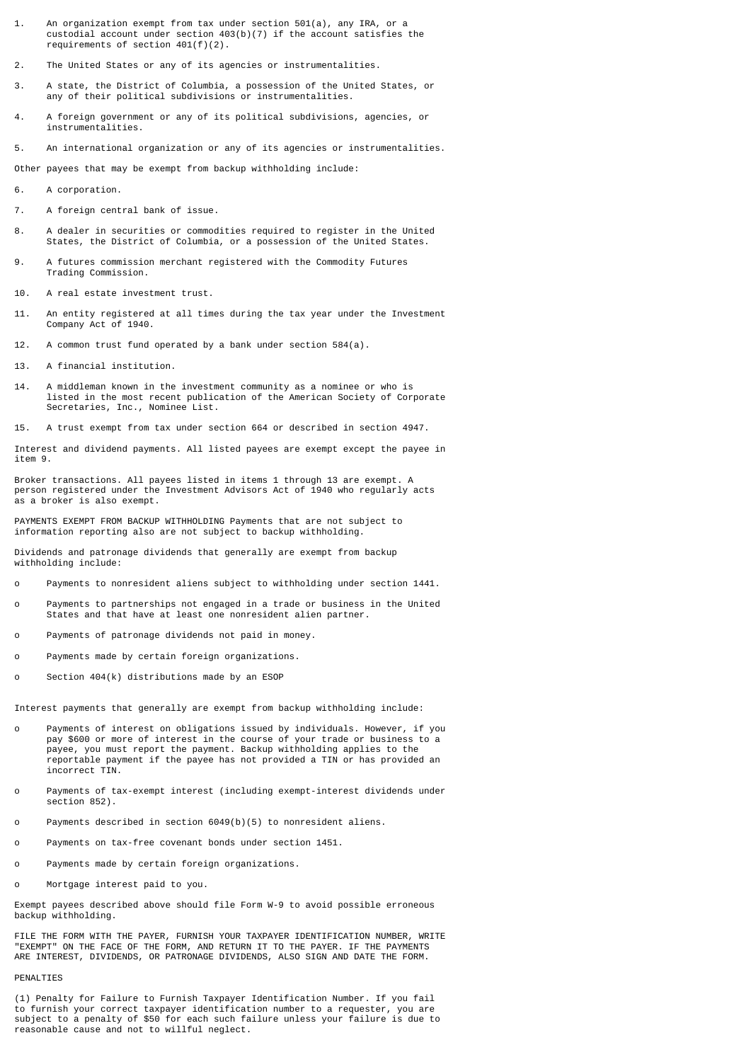- 1. An organization exempt from tax under section 501(a), any IRA, or a custodial account under section 403(b)(7) if the account satisfies the requirements of section 401(f)(2).
- 2. The United States or any of its agencies or instrumentalities.
- 3. A state, the District of Columbia, a possession of the United States, or any of their political subdivisions or instrumentalities.
- 4. A foreign government or any of its political subdivisions, agencies, or instrumentalities.

5. An international organization or any of its agencies or instrumentalities.

Other payees that may be exempt from backup withholding include:

- 6. A corporation.
- 7. A foreign central bank of issue.
- 8. A dealer in securities or commodities required to register in the United States, the District of Columbia, or a possession of the United States.
- 9. A futures commission merchant registered with the Commodity Futures Trading Commission.
- 10. A real estate investment trust.
- 11. An entity registered at all times during the tax year under the Investment Company Act of 1940.
- 12. A common trust fund operated by a bank under section 584(a).
- 13. A financial institution.
- 14. A middleman known in the investment community as a nominee or who is listed in the most recent publication of the American Society of Corporate Secretaries, Inc., Nominee List.
- 15. A trust exempt from tax under section 664 or described in section 4947.

Interest and dividend payments. All listed payees are exempt except the payee in item 9.

Broker transactions. All payees listed in items 1 through 13 are exempt. A person registered under the Investment Advisors Act of 1940 who regularly acts as a broker is also exempt.

PAYMENTS EXEMPT FROM BACKUP WITHHOLDING Payments that are not subject to information reporting also are not subject to backup withholding.

Dividends and patronage dividends that generally are exempt from backup withholding include:

- o Payments to nonresident aliens subject to withholding under section 1441.
- o Payments to partnerships not engaged in a trade or business in the United States and that have at least one nonresident alien partner.
- o Payments of patronage dividends not paid in money.
- o Payments made by certain foreign organizations.
- o Section 404(k) distributions made by an ESOP

Interest payments that generally are exempt from backup withholding include:

- o Payments of interest on obligations issued by individuals. However, if you pay \$600 or more of interest in the course of your trade or business to a payee, you must report the payment. Backup withholding applies to the reportable payment if the payee has not provided a TIN or has provided an incorrect TIN.
- o Payments of tax-exempt interest (including exempt-interest dividends under section 852).
- o Payments described in section 6049(b)(5) to nonresident aliens.
- o Payments on tax-free covenant bonds under section 1451.
- o Payments made by certain foreign organizations.
- o Mortgage interest paid to you.

Exempt payees described above should file Form W-9 to avoid possible erroneous backup withholding.

FILE THE FORM WITH THE PAYER, FURNISH YOUR TAXPAYER IDENTIFICATION NUMBER, WRITE "EXEMPT" ON THE FACE OF THE FORM, AND RETURN IT TO THE PAYER. IF THE PAYMENTS ARE INTEREST, DIVIDENDS, OR PATRONAGE DIVIDENDS, ALSO SIGN AND DATE THE FORM.

## PENALTIES

(1) Penalty for Failure to Furnish Taxpayer Identification Number. If you fail to furnish your correct taxpayer identification number to a requester, you are subject to a penalty of \$50 for each such failure unless your failure is due to reasonable cause and not to willful neglect.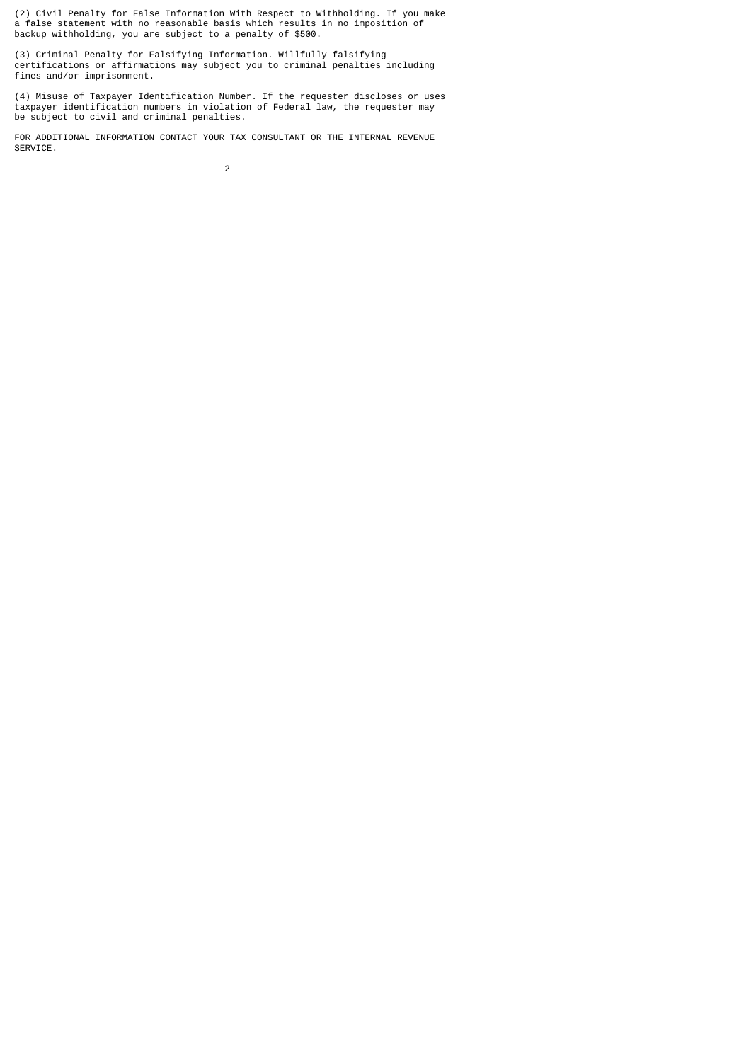(2) Civil Penalty for False Information With Respect to Withholding. If you make a false statement with no reasonable basis which results in no imposition of backup withholding, you are subject to a penalty of \$500.

(3) Criminal Penalty for Falsifying Information. Willfully falsifying certifications or affirmations may subject you to criminal penalties including fines and/or imprisonment.

(4) Misuse of Taxpayer Identification Number. If the requester discloses or uses taxpayer identification numbers in violation of Federal law, the requester may be subject to civil and criminal penalties.

FOR ADDITIONAL INFORMATION CONTACT YOUR TAX CONSULTANT OR THE INTERNAL REVENUE SERVICE.